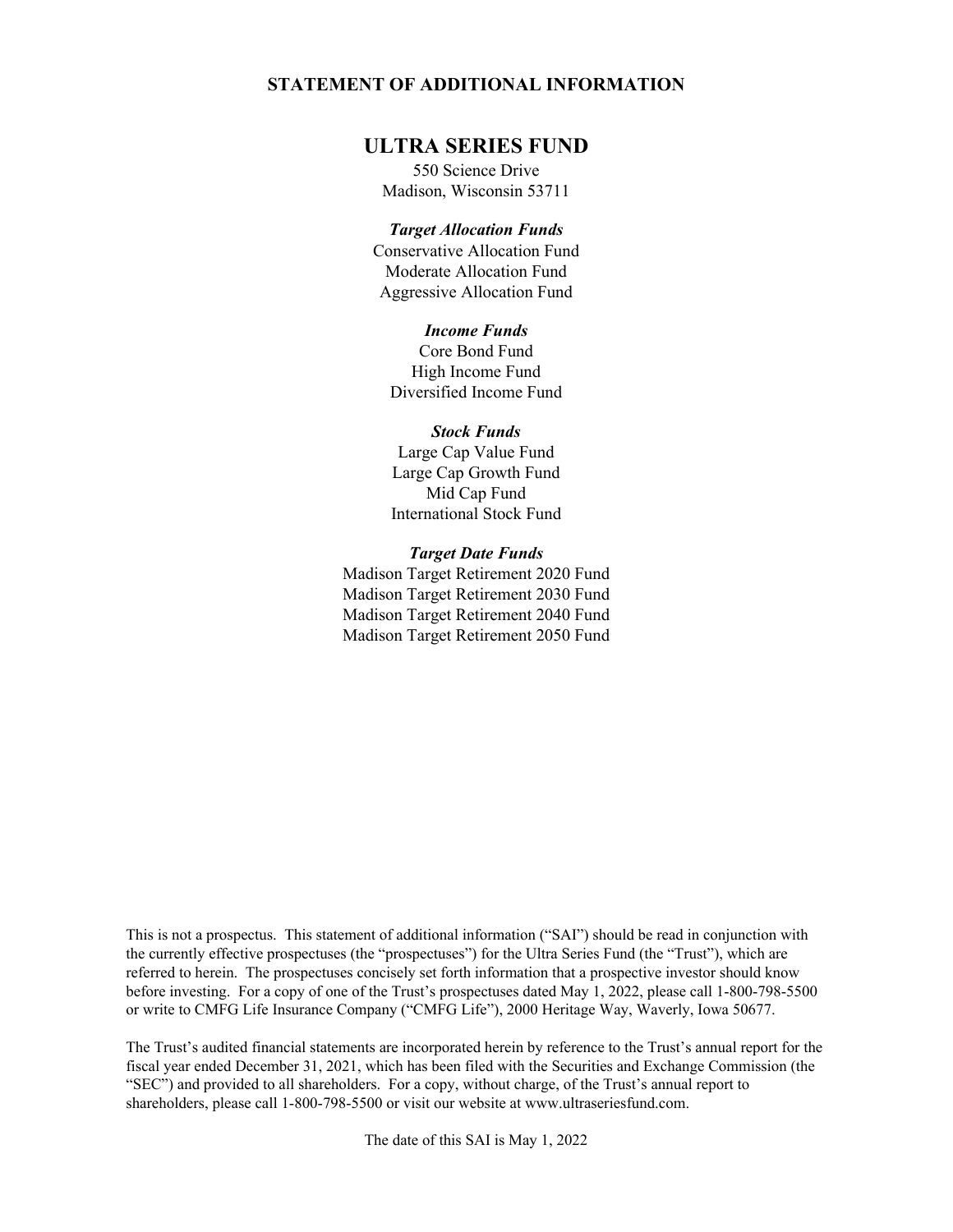## **STATEMENT OF ADDITIONAL INFORMATION**

# **ULTRA SERIES FUND**

550 Science Drive Madison, Wisconsin 53711

## *Target Allocation Funds*

Conservative Allocation Fund Moderate Allocation Fund Aggressive Allocation Fund

### *Income Funds*

Core Bond Fund High Income Fund Diversified Income Fund

#### *Stock Funds*

Large Cap Value Fund Large Cap Growth Fund Mid Cap Fund International Stock Fund

### *Target Date Funds*

Madison Target Retirement 2020 Fund Madison Target Retirement 2030 Fund Madison Target Retirement 2040 Fund Madison Target Retirement 2050 Fund

This is not a prospectus. This statement of additional information ("SAI") should be read in conjunction with the currently effective prospectuses (the "prospectuses") for the Ultra Series Fund (the "Trust"), which are referred to herein. The prospectuses concisely set forth information that a prospective investor should know before investing. For a copy of one of the Trust's prospectuses dated May 1, 2022, please call 1-800-798-5500 or write to CMFG Life Insurance Company ("CMFG Life"), 2000 Heritage Way, Waverly, Iowa 50677.

The Trust's audited financial statements are incorporated herein by reference to the Trust's annual report for the fiscal year ended December 31, 2021, which has been filed with the Securities and Exchange Commission (the "SEC") and provided to all shareholders. For a copy, without charge, of the Trust's annual report to shareholders, please call 1-800-798-5500 or visit our website at www.ultraseriesfund.com.

The date of this SAI is May 1, 2022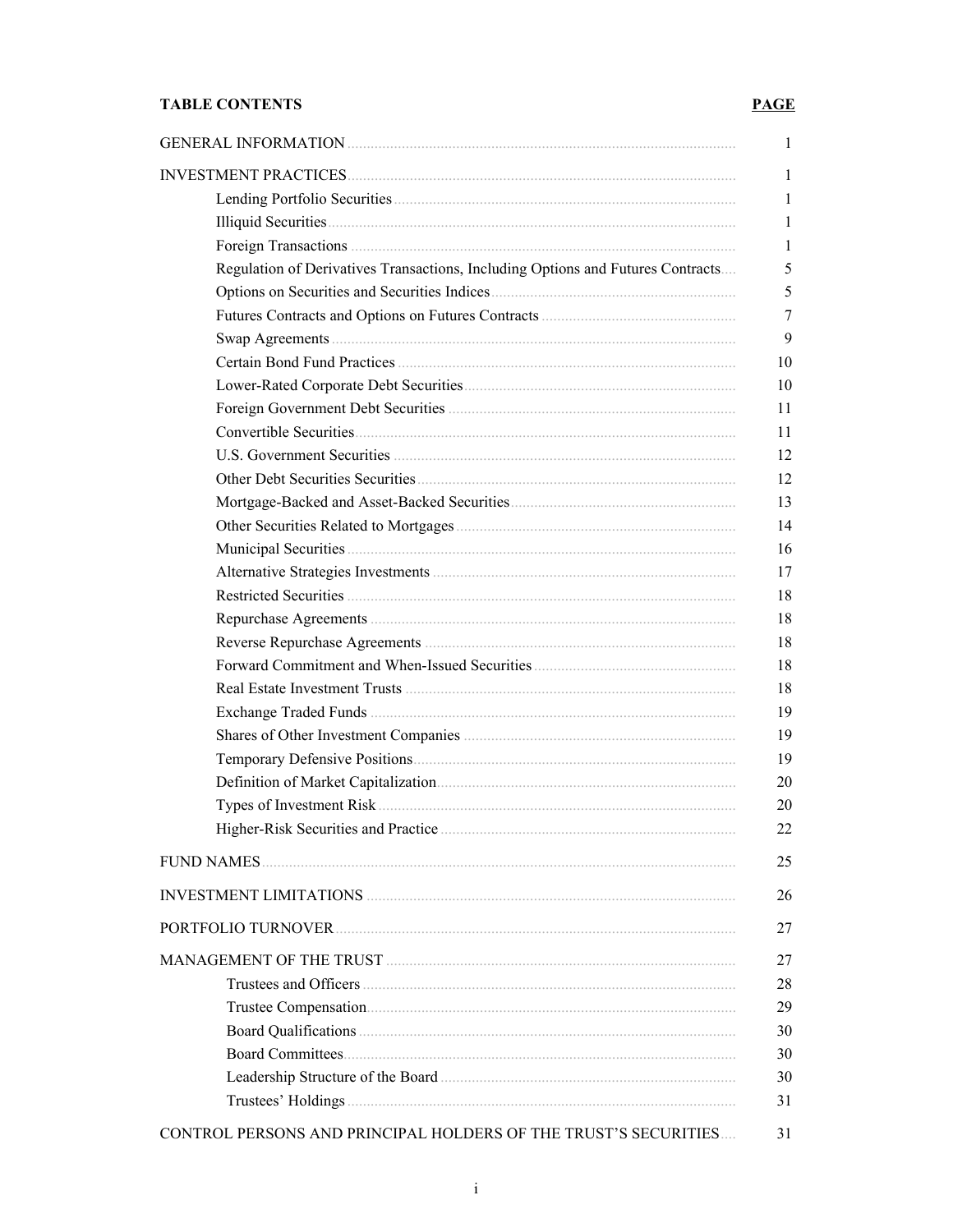# **TABLE CONTENTS**

# **PAGE**

| Regulation of Derivatives Transactions, Including Options and Futures Contracts |
|---------------------------------------------------------------------------------|
|                                                                                 |
|                                                                                 |
|                                                                                 |
|                                                                                 |
|                                                                                 |
|                                                                                 |
|                                                                                 |
|                                                                                 |
|                                                                                 |
|                                                                                 |
|                                                                                 |
|                                                                                 |
|                                                                                 |
|                                                                                 |
|                                                                                 |
|                                                                                 |
|                                                                                 |
|                                                                                 |
|                                                                                 |
|                                                                                 |
|                                                                                 |
|                                                                                 |
|                                                                                 |
|                                                                                 |
| <b>FUND NAMES.</b>                                                              |
|                                                                                 |
|                                                                                 |
|                                                                                 |
|                                                                                 |
|                                                                                 |
|                                                                                 |
|                                                                                 |
|                                                                                 |
|                                                                                 |
|                                                                                 |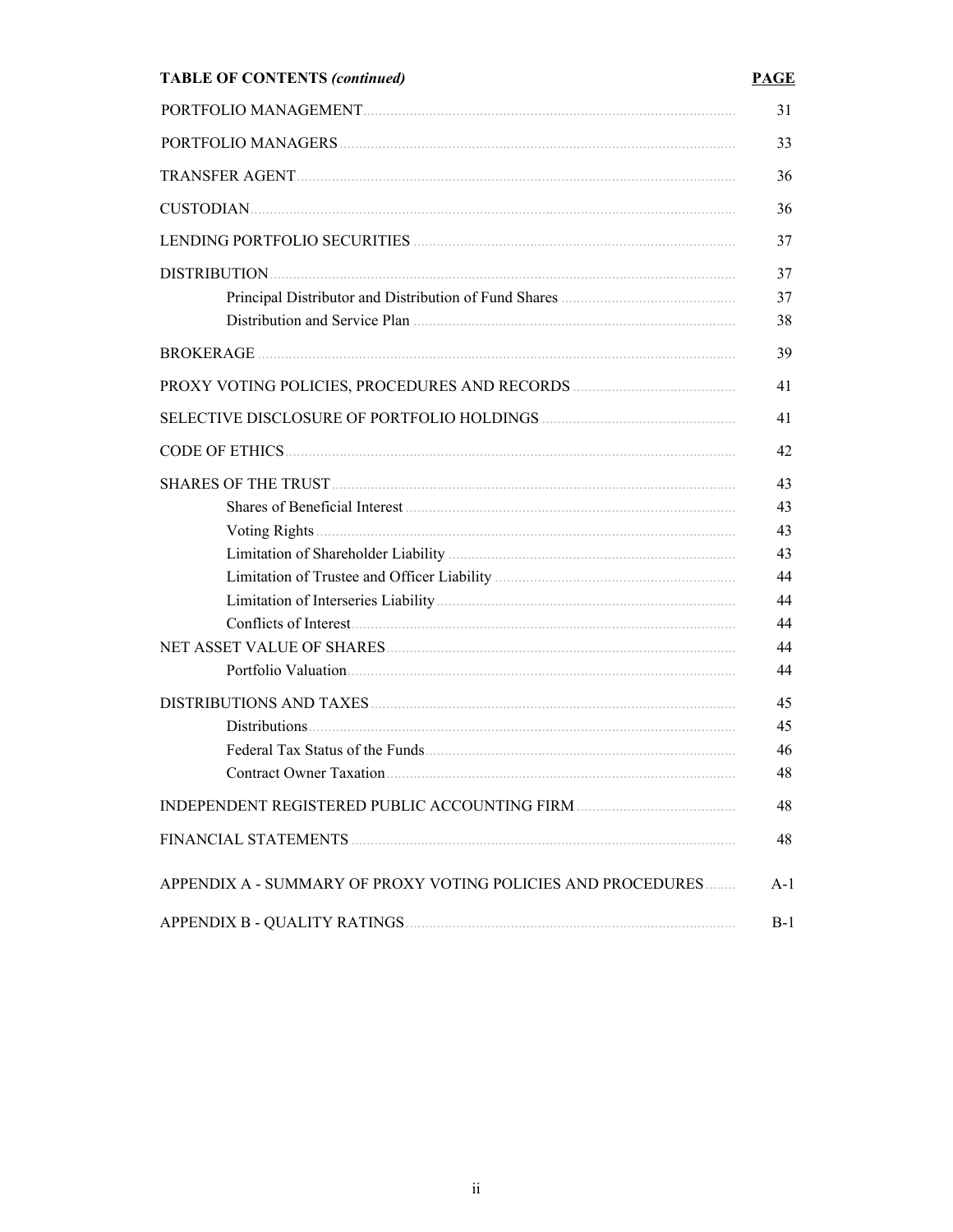# **TABLE OF CONTENTS (continued)**

# **PAGE**

|                                                              | 31       |
|--------------------------------------------------------------|----------|
|                                                              | 33       |
|                                                              | 36       |
|                                                              | 36       |
|                                                              | 37       |
|                                                              | 37       |
|                                                              | 37<br>38 |
|                                                              | 39       |
|                                                              | 41       |
|                                                              | 41       |
|                                                              | 42       |
|                                                              | 43       |
|                                                              | 43       |
|                                                              | 43       |
|                                                              | 43       |
|                                                              | 44       |
|                                                              | 44       |
|                                                              | 44       |
|                                                              | 44       |
|                                                              | 44       |
|                                                              | 45       |
|                                                              | 45       |
|                                                              | 46       |
|                                                              | 48       |
|                                                              | 48       |
| FINANCIAL STATEMENTS                                         | 48       |
| APPENDIX A - SUMMARY OF PROXY VOTING POLICIES AND PROCEDURES | A-1      |
|                                                              | $B-1$    |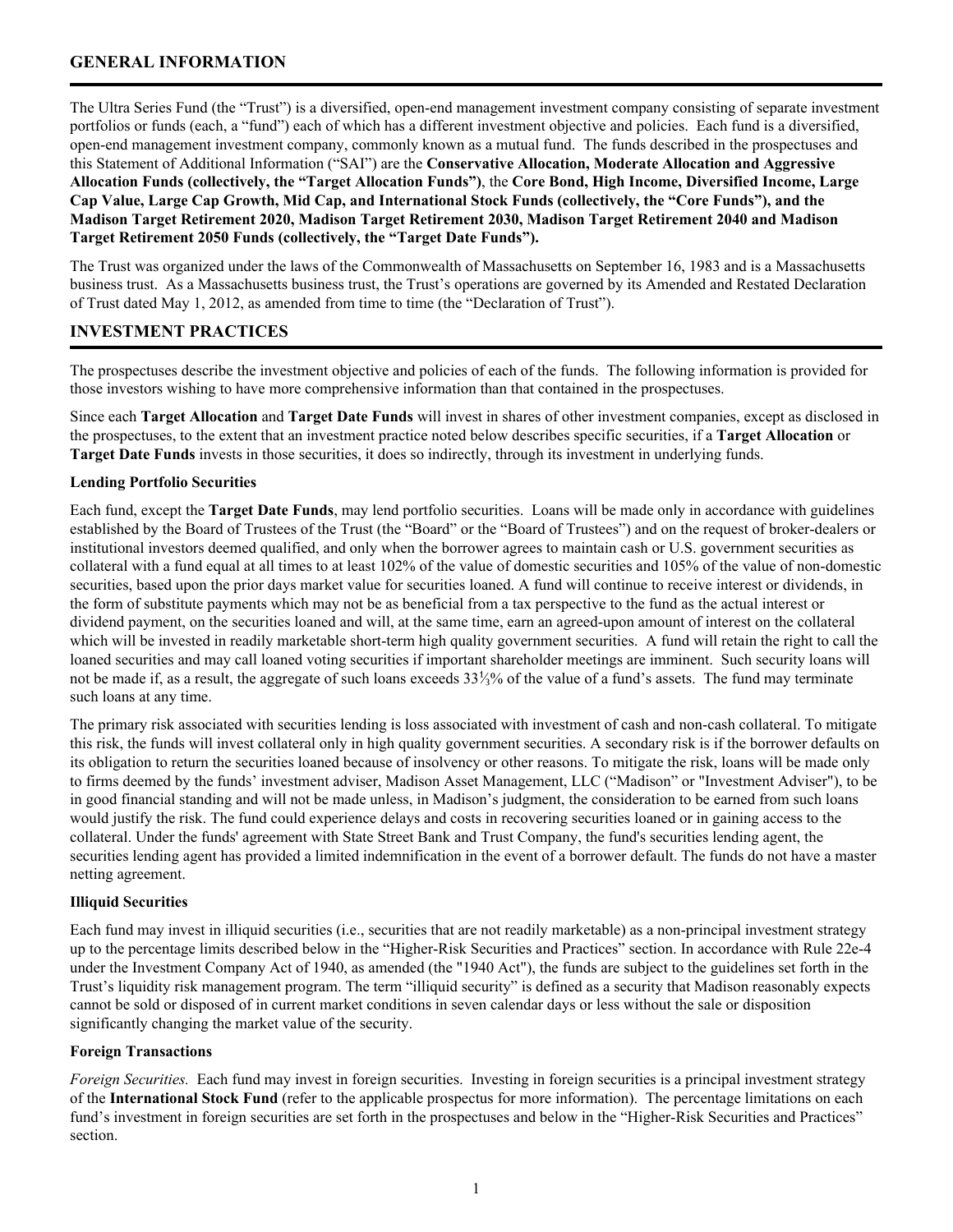## <span id="page-4-0"></span>**GENERAL INFORMATION**

The Ultra Series Fund (the "Trust") is a diversified, open-end management investment company consisting of separate investment portfolios or funds (each, a "fund") each of which has a different investment objective and policies. Each fund is a diversified, open-end management investment company, commonly known as a mutual fund. The funds described in the prospectuses and this Statement of Additional Information ("SAI") are the **Conservative Allocation, Moderate Allocation and Aggressive Allocation Funds (collectively, the "Target Allocation Funds")**, the **Core Bond, High Income, Diversified Income, Large Cap Value, Large Cap Growth, Mid Cap, and International Stock Funds (collectively, the "Core Funds"), and the Madison Target Retirement 2020, Madison Target Retirement 2030, Madison Target Retirement 2040 and Madison Target Retirement 2050 Funds (collectively, the "Target Date Funds").**

The Trust was organized under the laws of the Commonwealth of Massachusetts on September 16, 1983 and is a Massachusetts business trust. As a Massachusetts business trust, the Trust's operations are governed by its Amended and Restated Declaration of Trust dated May 1, 2012, as amended from time to time (the "Declaration of Trust").

## **INVESTMENT PRACTICES**

The prospectuses describe the investment objective and policies of each of the funds. The following information is provided for those investors wishing to have more comprehensive information than that contained in the prospectuses.

Since each **Target Allocation** and **Target Date Funds** will invest in shares of other investment companies, except as disclosed in the prospectuses, to the extent that an investment practice noted below describes specific securities, if a **Target Allocation** or **Target Date Funds** invests in those securities, it does so indirectly, through its investment in underlying funds.

#### **Lending Portfolio Securities**

Each fund, except the **Target Date Funds**, may lend portfolio securities. Loans will be made only in accordance with guidelines established by the Board of Trustees of the Trust (the "Board" or the "Board of Trustees") and on the request of broker-dealers or institutional investors deemed qualified, and only when the borrower agrees to maintain cash or U.S. government securities as collateral with a fund equal at all times to at least 102% of the value of domestic securities and 105% of the value of non-domestic securities, based upon the prior days market value for securities loaned. A fund will continue to receive interest or dividends, in the form of substitute payments which may not be as beneficial from a tax perspective to the fund as the actual interest or dividend payment, on the securities loaned and will, at the same time, earn an agreed-upon amount of interest on the collateral which will be invested in readily marketable short-term high quality government securities. A fund will retain the right to call the loaned securities and may call loaned voting securities if important shareholder meetings are imminent. Such security loans will not be made if, as a result, the aggregate of such loans exceeds 33⅓% of the value of a fund's assets. The fund may terminate such loans at any time.

The primary risk associated with securities lending is loss associated with investment of cash and non-cash collateral. To mitigate this risk, the funds will invest collateral only in high quality government securities. A secondary risk is if the borrower defaults on its obligation to return the securities loaned because of insolvency or other reasons. To mitigate the risk, loans will be made only to firms deemed by the funds' investment adviser, Madison Asset Management, LLC ("Madison" or "Investment Adviser"), to be in good financial standing and will not be made unless, in Madison's judgment, the consideration to be earned from such loans would justify the risk. The fund could experience delays and costs in recovering securities loaned or in gaining access to the collateral. Under the funds' agreement with State Street Bank and Trust Company, the fund's securities lending agent, the securities lending agent has provided a limited indemnification in the event of a borrower default. The funds do not have a master netting agreement.

#### **Illiquid Securities**

Each fund may invest in illiquid securities (i.e., securities that are not readily marketable) as a non-principal investment strategy up to the percentage limits described below in the "Higher-Risk Securities and Practices" section. In accordance with Rule 22e-4 under the Investment Company Act of 1940, as amended (the "1940 Act"), the funds are subject to the guidelines set forth in the Trust's liquidity risk management program. The term "illiquid security" is defined as a security that Madison reasonably expects cannot be sold or disposed of in current market conditions in seven calendar days or less without the sale or disposition significantly changing the market value of the security.

#### **Foreign Transactions**

*Foreign Securities.* Each fund may invest in foreign securities. Investing in foreign securities is a principal investment strategy of the **International Stock Fund** (refer to the applicable prospectus for more information). The percentage limitations on each fund's investment in foreign securities are set forth in the prospectuses and below in the "Higher-Risk Securities and Practices" section.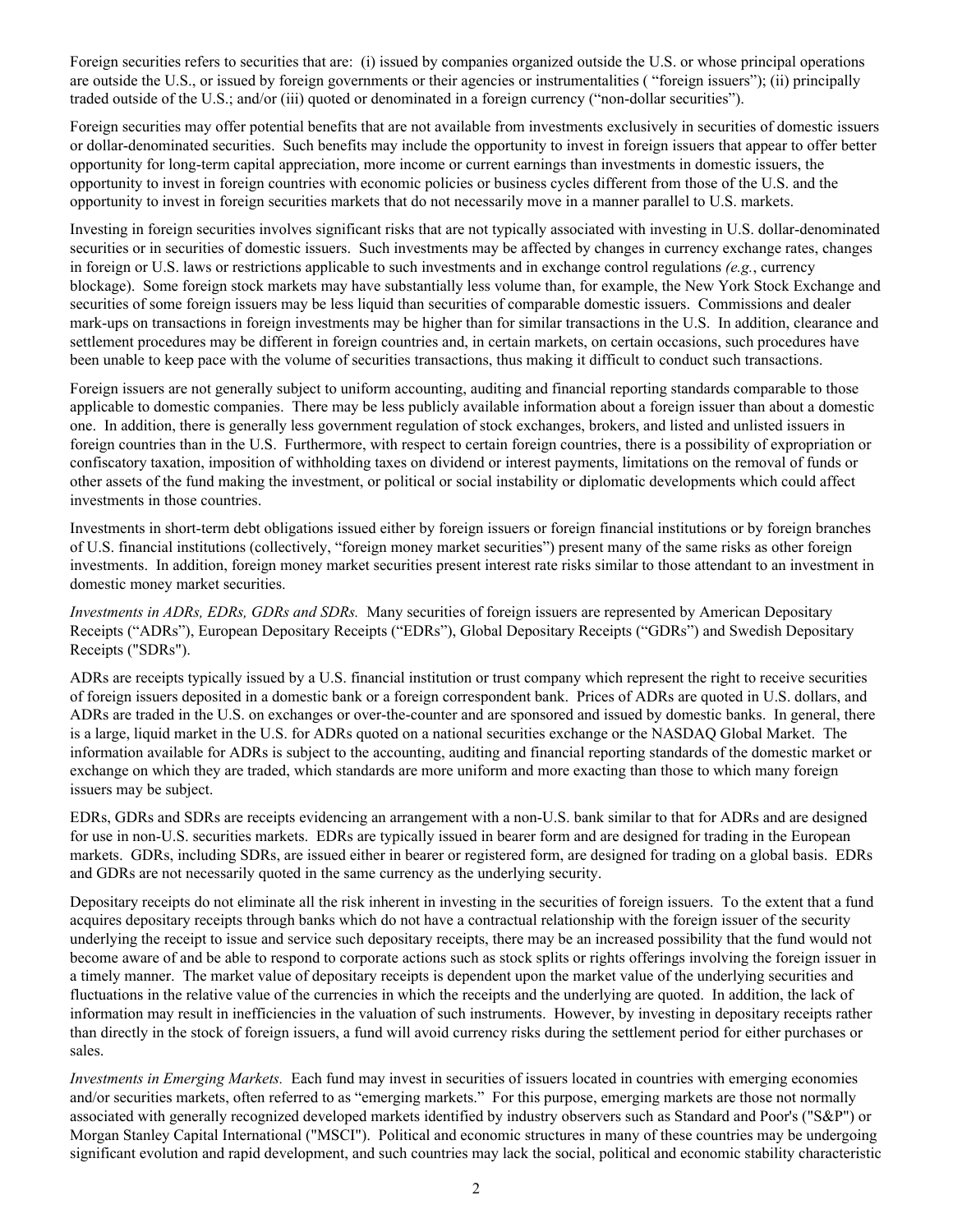Foreign securities refers to securities that are: (i) issued by companies organized outside the U.S. or whose principal operations are outside the U.S., or issued by foreign governments or their agencies or instrumentalities ( "foreign issuers"); (ii) principally traded outside of the U.S.; and/or (iii) quoted or denominated in a foreign currency ("non-dollar securities").

Foreign securities may offer potential benefits that are not available from investments exclusively in securities of domestic issuers or dollar-denominated securities. Such benefits may include the opportunity to invest in foreign issuers that appear to offer better opportunity for long-term capital appreciation, more income or current earnings than investments in domestic issuers, the opportunity to invest in foreign countries with economic policies or business cycles different from those of the U.S. and the opportunity to invest in foreign securities markets that do not necessarily move in a manner parallel to U.S. markets.

Investing in foreign securities involves significant risks that are not typically associated with investing in U.S. dollar-denominated securities or in securities of domestic issuers. Such investments may be affected by changes in currency exchange rates, changes in foreign or U.S. laws or restrictions applicable to such investments and in exchange control regulations *(e.g.*, currency blockage). Some foreign stock markets may have substantially less volume than, for example, the New York Stock Exchange and securities of some foreign issuers may be less liquid than securities of comparable domestic issuers. Commissions and dealer mark-ups on transactions in foreign investments may be higher than for similar transactions in the U.S. In addition, clearance and settlement procedures may be different in foreign countries and, in certain markets, on certain occasions, such procedures have been unable to keep pace with the volume of securities transactions, thus making it difficult to conduct such transactions.

Foreign issuers are not generally subject to uniform accounting, auditing and financial reporting standards comparable to those applicable to domestic companies. There may be less publicly available information about a foreign issuer than about a domestic one. In addition, there is generally less government regulation of stock exchanges, brokers, and listed and unlisted issuers in foreign countries than in the U.S. Furthermore, with respect to certain foreign countries, there is a possibility of expropriation or confiscatory taxation, imposition of withholding taxes on dividend or interest payments, limitations on the removal of funds or other assets of the fund making the investment, or political or social instability or diplomatic developments which could affect investments in those countries.

Investments in short-term debt obligations issued either by foreign issuers or foreign financial institutions or by foreign branches of U.S. financial institutions (collectively, "foreign money market securities") present many of the same risks as other foreign investments. In addition, foreign money market securities present interest rate risks similar to those attendant to an investment in domestic money market securities.

*Investments in ADRs, EDRs, GDRs and SDRs.* Many securities of foreign issuers are represented by American Depositary Receipts ("ADRs"), European Depositary Receipts ("EDRs"), Global Depositary Receipts ("GDRs") and Swedish Depositary Receipts ("SDRs").

ADRs are receipts typically issued by a U.S. financial institution or trust company which represent the right to receive securities of foreign issuers deposited in a domestic bank or a foreign correspondent bank. Prices of ADRs are quoted in U.S. dollars, and ADRs are traded in the U.S. on exchanges or over-the-counter and are sponsored and issued by domestic banks. In general, there is a large, liquid market in the U.S. for ADRs quoted on a national securities exchange or the NASDAQ Global Market. The information available for ADRs is subject to the accounting, auditing and financial reporting standards of the domestic market or exchange on which they are traded, which standards are more uniform and more exacting than those to which many foreign issuers may be subject.

EDRs, GDRs and SDRs are receipts evidencing an arrangement with a non-U.S. bank similar to that for ADRs and are designed for use in non-U.S. securities markets. EDRs are typically issued in bearer form and are designed for trading in the European markets. GDRs, including SDRs, are issued either in bearer or registered form, are designed for trading on a global basis. EDRs and GDRs are not necessarily quoted in the same currency as the underlying security.

Depositary receipts do not eliminate all the risk inherent in investing in the securities of foreign issuers. To the extent that a fund acquires depositary receipts through banks which do not have a contractual relationship with the foreign issuer of the security underlying the receipt to issue and service such depositary receipts, there may be an increased possibility that the fund would not become aware of and be able to respond to corporate actions such as stock splits or rights offerings involving the foreign issuer in a timely manner. The market value of depositary receipts is dependent upon the market value of the underlying securities and fluctuations in the relative value of the currencies in which the receipts and the underlying are quoted. In addition, the lack of information may result in inefficiencies in the valuation of such instruments. However, by investing in depositary receipts rather than directly in the stock of foreign issuers, a fund will avoid currency risks during the settlement period for either purchases or sales.

*Investments in Emerging Markets.* Each fund may invest in securities of issuers located in countries with emerging economies and/or securities markets, often referred to as "emerging markets." For this purpose, emerging markets are those not normally associated with generally recognized developed markets identified by industry observers such as Standard and Poor's ("S&P") or Morgan Stanley Capital International ("MSCI"). Political and economic structures in many of these countries may be undergoing significant evolution and rapid development, and such countries may lack the social, political and economic stability characteristic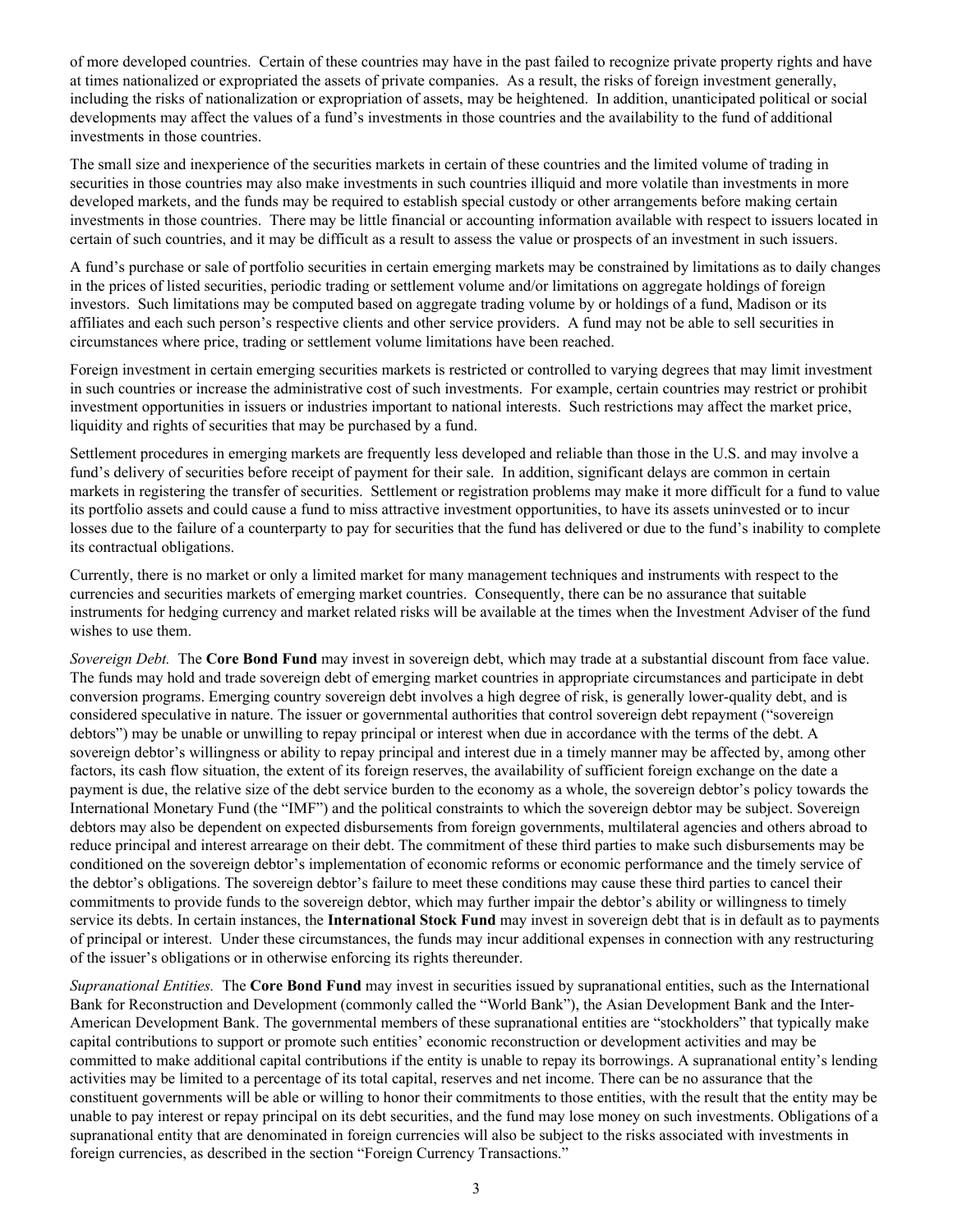of more developed countries. Certain of these countries may have in the past failed to recognize private property rights and have at times nationalized or expropriated the assets of private companies. As a result, the risks of foreign investment generally, including the risks of nationalization or expropriation of assets, may be heightened. In addition, unanticipated political or social developments may affect the values of a fund's investments in those countries and the availability to the fund of additional investments in those countries.

The small size and inexperience of the securities markets in certain of these countries and the limited volume of trading in securities in those countries may also make investments in such countries illiquid and more volatile than investments in more developed markets, and the funds may be required to establish special custody or other arrangements before making certain investments in those countries. There may be little financial or accounting information available with respect to issuers located in certain of such countries, and it may be difficult as a result to assess the value or prospects of an investment in such issuers.

A fund's purchase or sale of portfolio securities in certain emerging markets may be constrained by limitations as to daily changes in the prices of listed securities, periodic trading or settlement volume and/or limitations on aggregate holdings of foreign investors. Such limitations may be computed based on aggregate trading volume by or holdings of a fund, Madison or its affiliates and each such person's respective clients and other service providers. A fund may not be able to sell securities in circumstances where price, trading or settlement volume limitations have been reached.

Foreign investment in certain emerging securities markets is restricted or controlled to varying degrees that may limit investment in such countries or increase the administrative cost of such investments. For example, certain countries may restrict or prohibit investment opportunities in issuers or industries important to national interests. Such restrictions may affect the market price, liquidity and rights of securities that may be purchased by a fund.

Settlement procedures in emerging markets are frequently less developed and reliable than those in the U.S. and may involve a fund's delivery of securities before receipt of payment for their sale. In addition, significant delays are common in certain markets in registering the transfer of securities. Settlement or registration problems may make it more difficult for a fund to value its portfolio assets and could cause a fund to miss attractive investment opportunities, to have its assets uninvested or to incur losses due to the failure of a counterparty to pay for securities that the fund has delivered or due to the fund's inability to complete its contractual obligations.

Currently, there is no market or only a limited market for many management techniques and instruments with respect to the currencies and securities markets of emerging market countries. Consequently, there can be no assurance that suitable instruments for hedging currency and market related risks will be available at the times when the Investment Adviser of the fund wishes to use them.

*Sovereign Debt.* The **Core Bond Fund** may invest in sovereign debt, which may trade at a substantial discount from face value. The funds may hold and trade sovereign debt of emerging market countries in appropriate circumstances and participate in debt conversion programs. Emerging country sovereign debt involves a high degree of risk, is generally lower-quality debt, and is considered speculative in nature. The issuer or governmental authorities that control sovereign debt repayment ("sovereign debtors") may be unable or unwilling to repay principal or interest when due in accordance with the terms of the debt. A sovereign debtor's willingness or ability to repay principal and interest due in a timely manner may be affected by, among other factors, its cash flow situation, the extent of its foreign reserves, the availability of sufficient foreign exchange on the date a payment is due, the relative size of the debt service burden to the economy as a whole, the sovereign debtor's policy towards the International Monetary Fund (the "IMF") and the political constraints to which the sovereign debtor may be subject. Sovereign debtors may also be dependent on expected disbursements from foreign governments, multilateral agencies and others abroad to reduce principal and interest arrearage on their debt. The commitment of these third parties to make such disbursements may be conditioned on the sovereign debtor's implementation of economic reforms or economic performance and the timely service of the debtor's obligations. The sovereign debtor's failure to meet these conditions may cause these third parties to cancel their commitments to provide funds to the sovereign debtor, which may further impair the debtor's ability or willingness to timely service its debts. In certain instances, the **International Stock Fund** may invest in sovereign debt that is in default as to payments of principal or interest. Under these circumstances, the funds may incur additional expenses in connection with any restructuring of the issuer's obligations or in otherwise enforcing its rights thereunder.

*Supranational Entities.* The **Core Bond Fund** may invest in securities issued by supranational entities, such as the International Bank for Reconstruction and Development (commonly called the "World Bank"), the Asian Development Bank and the Inter-American Development Bank. The governmental members of these supranational entities are "stockholders" that typically make capital contributions to support or promote such entities' economic reconstruction or development activities and may be committed to make additional capital contributions if the entity is unable to repay its borrowings. A supranational entity's lending activities may be limited to a percentage of its total capital, reserves and net income. There can be no assurance that the constituent governments will be able or willing to honor their commitments to those entities, with the result that the entity may be unable to pay interest or repay principal on its debt securities, and the fund may lose money on such investments. Obligations of a supranational entity that are denominated in foreign currencies will also be subject to the risks associated with investments in foreign currencies, as described in the section "Foreign Currency Transactions."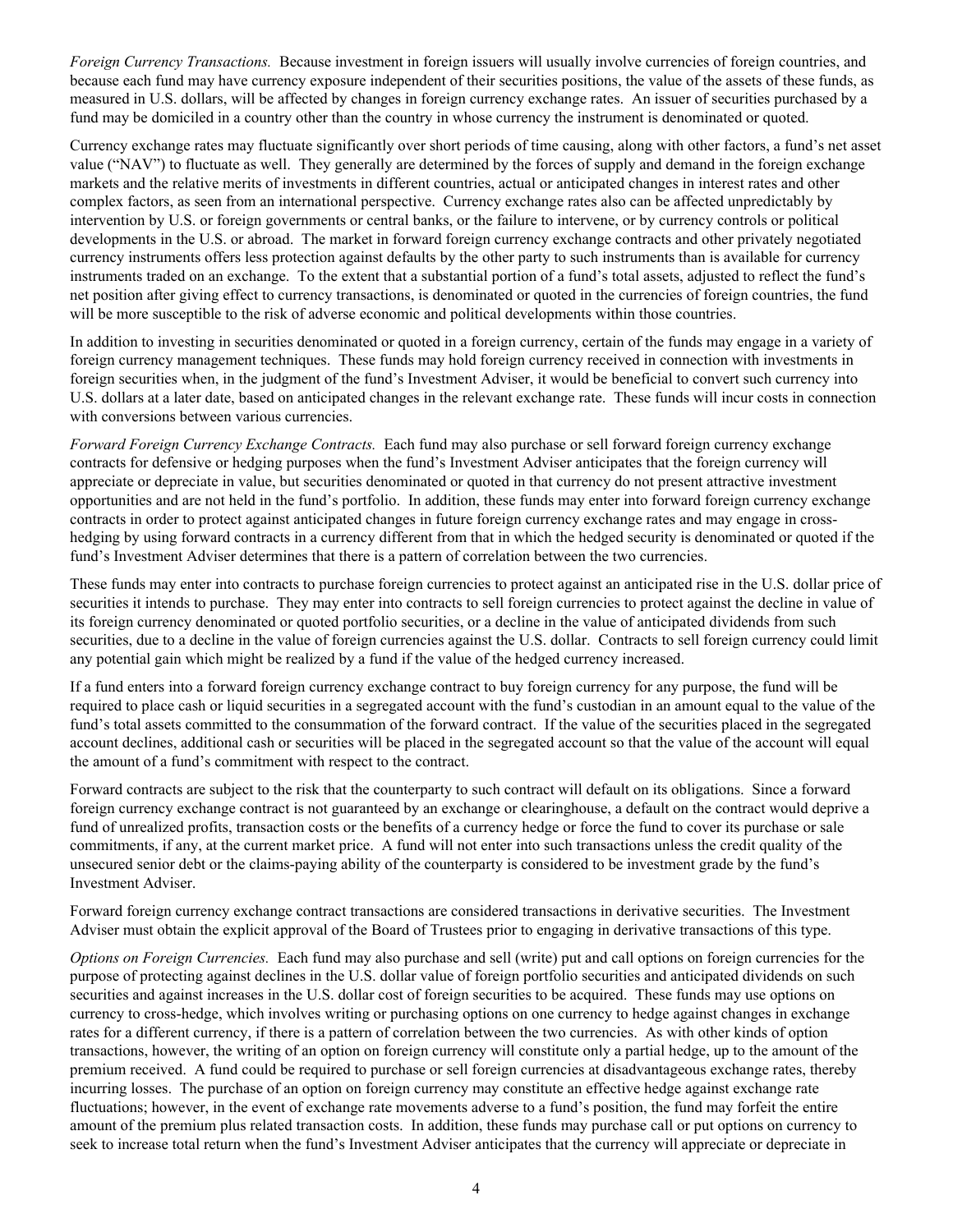*Foreign Currency Transactions.* Because investment in foreign issuers will usually involve currencies of foreign countries, and because each fund may have currency exposure independent of their securities positions, the value of the assets of these funds, as measured in U.S. dollars, will be affected by changes in foreign currency exchange rates. An issuer of securities purchased by a fund may be domiciled in a country other than the country in whose currency the instrument is denominated or quoted.

Currency exchange rates may fluctuate significantly over short periods of time causing, along with other factors, a fund's net asset value ("NAV") to fluctuate as well. They generally are determined by the forces of supply and demand in the foreign exchange markets and the relative merits of investments in different countries, actual or anticipated changes in interest rates and other complex factors, as seen from an international perspective. Currency exchange rates also can be affected unpredictably by intervention by U.S. or foreign governments or central banks, or the failure to intervene, or by currency controls or political developments in the U.S. or abroad. The market in forward foreign currency exchange contracts and other privately negotiated currency instruments offers less protection against defaults by the other party to such instruments than is available for currency instruments traded on an exchange. To the extent that a substantial portion of a fund's total assets, adjusted to reflect the fund's net position after giving effect to currency transactions, is denominated or quoted in the currencies of foreign countries, the fund will be more susceptible to the risk of adverse economic and political developments within those countries.

In addition to investing in securities denominated or quoted in a foreign currency, certain of the funds may engage in a variety of foreign currency management techniques. These funds may hold foreign currency received in connection with investments in foreign securities when, in the judgment of the fund's Investment Adviser, it would be beneficial to convert such currency into U.S. dollars at a later date, based on anticipated changes in the relevant exchange rate. These funds will incur costs in connection with conversions between various currencies.

*Forward Foreign Currency Exchange Contracts.* Each fund may also purchase or sell forward foreign currency exchange contracts for defensive or hedging purposes when the fund's Investment Adviser anticipates that the foreign currency will appreciate or depreciate in value, but securities denominated or quoted in that currency do not present attractive investment opportunities and are not held in the fund's portfolio. In addition, these funds may enter into forward foreign currency exchange contracts in order to protect against anticipated changes in future foreign currency exchange rates and may engage in crosshedging by using forward contracts in a currency different from that in which the hedged security is denominated or quoted if the fund's Investment Adviser determines that there is a pattern of correlation between the two currencies.

These funds may enter into contracts to purchase foreign currencies to protect against an anticipated rise in the U.S. dollar price of securities it intends to purchase. They may enter into contracts to sell foreign currencies to protect against the decline in value of its foreign currency denominated or quoted portfolio securities, or a decline in the value of anticipated dividends from such securities, due to a decline in the value of foreign currencies against the U.S. dollar. Contracts to sell foreign currency could limit any potential gain which might be realized by a fund if the value of the hedged currency increased.

If a fund enters into a forward foreign currency exchange contract to buy foreign currency for any purpose, the fund will be required to place cash or liquid securities in a segregated account with the fund's custodian in an amount equal to the value of the fund's total assets committed to the consummation of the forward contract. If the value of the securities placed in the segregated account declines, additional cash or securities will be placed in the segregated account so that the value of the account will equal the amount of a fund's commitment with respect to the contract.

Forward contracts are subject to the risk that the counterparty to such contract will default on its obligations. Since a forward foreign currency exchange contract is not guaranteed by an exchange or clearinghouse, a default on the contract would deprive a fund of unrealized profits, transaction costs or the benefits of a currency hedge or force the fund to cover its purchase or sale commitments, if any, at the current market price. A fund will not enter into such transactions unless the credit quality of the unsecured senior debt or the claims-paying ability of the counterparty is considered to be investment grade by the fund's Investment Adviser.

Forward foreign currency exchange contract transactions are considered transactions in derivative securities. The Investment Adviser must obtain the explicit approval of the Board of Trustees prior to engaging in derivative transactions of this type.

*Options on Foreign Currencies.* Each fund may also purchase and sell (write) put and call options on foreign currencies for the purpose of protecting against declines in the U.S. dollar value of foreign portfolio securities and anticipated dividends on such securities and against increases in the U.S. dollar cost of foreign securities to be acquired. These funds may use options on currency to cross-hedge, which involves writing or purchasing options on one currency to hedge against changes in exchange rates for a different currency, if there is a pattern of correlation between the two currencies. As with other kinds of option transactions, however, the writing of an option on foreign currency will constitute only a partial hedge, up to the amount of the premium received. A fund could be required to purchase or sell foreign currencies at disadvantageous exchange rates, thereby incurring losses. The purchase of an option on foreign currency may constitute an effective hedge against exchange rate fluctuations; however, in the event of exchange rate movements adverse to a fund's position, the fund may forfeit the entire amount of the premium plus related transaction costs. In addition, these funds may purchase call or put options on currency to seek to increase total return when the fund's Investment Adviser anticipates that the currency will appreciate or depreciate in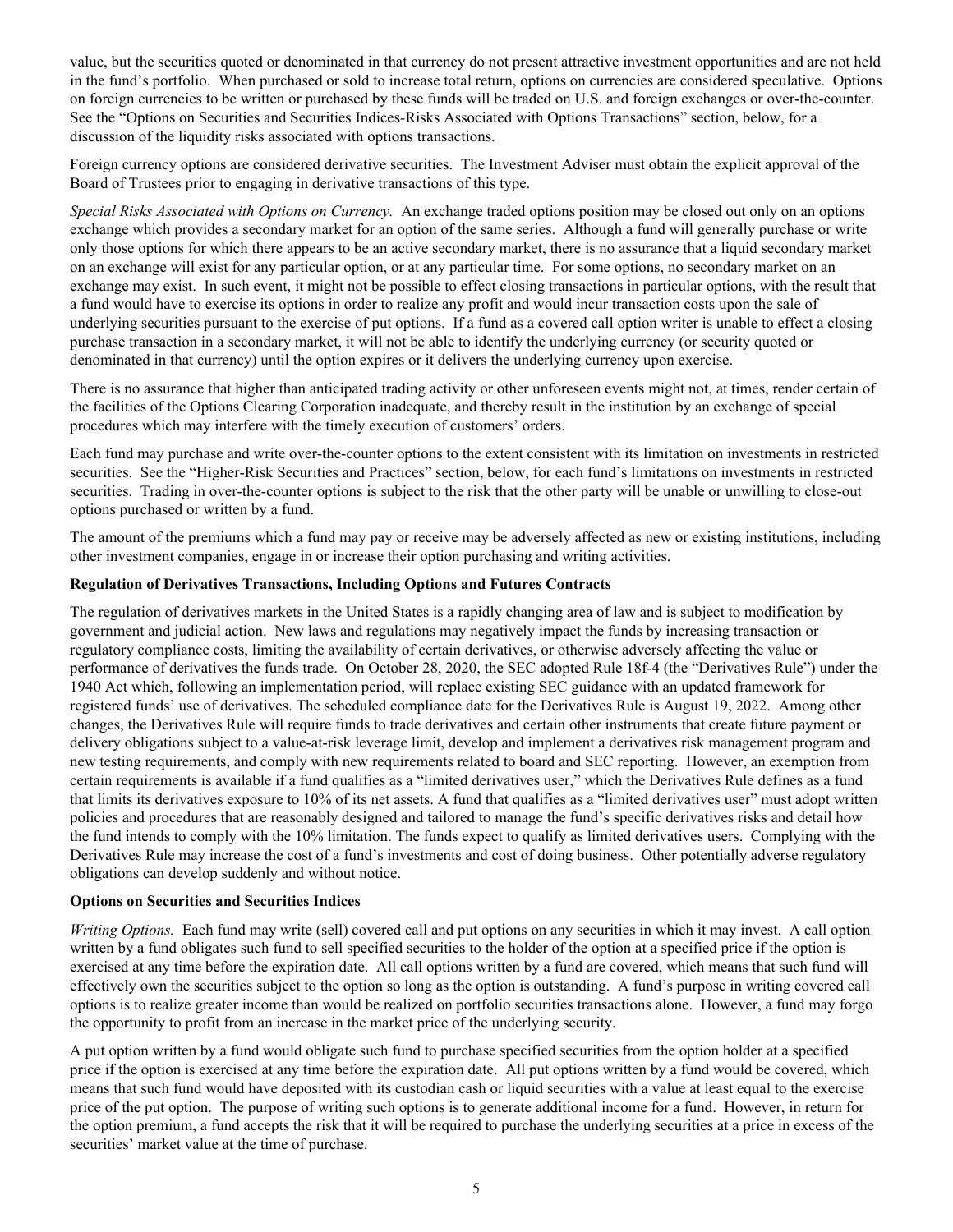<span id="page-8-0"></span>value, but the securities quoted or denominated in that currency do not present attractive investment opportunities and are not held in the fund's portfolio. When purchased or sold to increase total return, options on currencies are considered speculative. Options on foreign currencies to be written or purchased by these funds will be traded on U.S. and foreign exchanges or over-the-counter. See the "Options on Securities and Securities Indices*-*Risks Associated with Options Transactions" section, below, for a discussion of the liquidity risks associated with options transactions.

Foreign currency options are considered derivative securities. The Investment Adviser must obtain the explicit approval of the Board of Trustees prior to engaging in derivative transactions of this type.

*Special Risks Associated with Options on Currency.* An exchange traded options position may be closed out only on an options exchange which provides a secondary market for an option of the same series. Although a fund will generally purchase or write only those options for which there appears to be an active secondary market, there is no assurance that a liquid secondary market on an exchange will exist for any particular option, or at any particular time. For some options, no secondary market on an exchange may exist. In such event, it might not be possible to effect closing transactions in particular options, with the result that a fund would have to exercise its options in order to realize any profit and would incur transaction costs upon the sale of underlying securities pursuant to the exercise of put options. If a fund as a covered call option writer is unable to effect a closing purchase transaction in a secondary market, it will not be able to identify the underlying currency (or security quoted or denominated in that currency) until the option expires or it delivers the underlying currency upon exercise.

There is no assurance that higher than anticipated trading activity or other unforeseen events might not, at times, render certain of the facilities of the Options Clearing Corporation inadequate, and thereby result in the institution by an exchange of special procedures which may interfere with the timely execution of customers' orders.

Each fund may purchase and write over-the-counter options to the extent consistent with its limitation on investments in restricted securities. See the "Higher-Risk Securities and Practices" section, below, for each fund's limitations on investments in restricted securities. Trading in over-the-counter options is subject to the risk that the other party will be unable or unwilling to close-out options purchased or written by a fund.

The amount of the premiums which a fund may pay or receive may be adversely affected as new or existing institutions, including other investment companies, engage in or increase their option purchasing and writing activities.

#### **Regulation of Derivatives Transactions, Including Options and Futures Contracts**

The regulation of derivatives markets in the United States is a rapidly changing area of law and is subject to modification by government and judicial action. New laws and regulations may negatively impact the funds by increasing transaction or regulatory compliance costs, limiting the availability of certain derivatives, or otherwise adversely affecting the value or performance of derivatives the funds trade. On October 28, 2020, the SEC adopted Rule 18f-4 (the "Derivatives Rule") under the 1940 Act which, following an implementation period, will replace existing SEC guidance with an updated framework for registered funds' use of derivatives. The scheduled compliance date for the Derivatives Rule is August 19, 2022. Among other changes, the Derivatives Rule will require funds to trade derivatives and certain other instruments that create future payment or delivery obligations subject to a value-at-risk leverage limit, develop and implement a derivatives risk management program and new testing requirements, and comply with new requirements related to board and SEC reporting. However, an exemption from certain requirements is available if a fund qualifies as a "limited derivatives user," which the Derivatives Rule defines as a fund that limits its derivatives exposure to 10% of its net assets. A fund that qualifies as a "limited derivatives user" must adopt written policies and procedures that are reasonably designed and tailored to manage the fund's specific derivatives risks and detail how the fund intends to comply with the 10% limitation. The funds expect to qualify as limited derivatives users. Complying with the Derivatives Rule may increase the cost of a fund's investments and cost of doing business. Other potentially adverse regulatory obligations can develop suddenly and without notice.

#### **Options on Securities and Securities Indices**

*Writing Options.* Each fund may write (sell) covered call and put options on any securities in which it may invest. A call option written by a fund obligates such fund to sell specified securities to the holder of the option at a specified price if the option is exercised at any time before the expiration date. All call options written by a fund are covered, which means that such fund will effectively own the securities subject to the option so long as the option is outstanding. A fund's purpose in writing covered call options is to realize greater income than would be realized on portfolio securities transactions alone. However, a fund may forgo the opportunity to profit from an increase in the market price of the underlying security.

A put option written by a fund would obligate such fund to purchase specified securities from the option holder at a specified price if the option is exercised at any time before the expiration date. All put options written by a fund would be covered, which means that such fund would have deposited with its custodian cash or liquid securities with a value at least equal to the exercise price of the put option. The purpose of writing such options is to generate additional income for a fund. However, in return for the option premium, a fund accepts the risk that it will be required to purchase the underlying securities at a price in excess of the securities' market value at the time of purchase.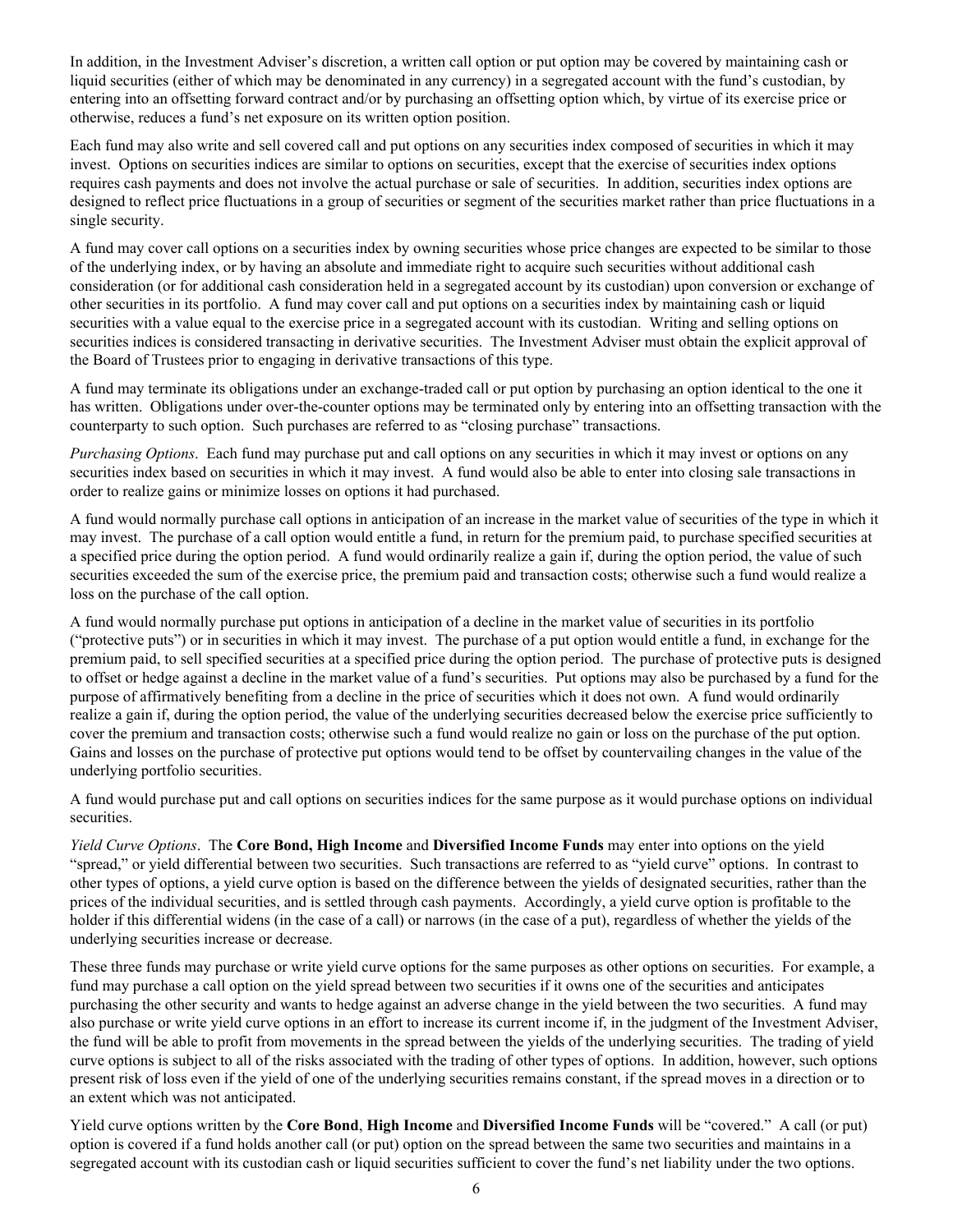In addition, in the Investment Adviser's discretion, a written call option or put option may be covered by maintaining cash or liquid securities (either of which may be denominated in any currency) in a segregated account with the fund's custodian, by entering into an offsetting forward contract and/or by purchasing an offsetting option which, by virtue of its exercise price or otherwise, reduces a fund's net exposure on its written option position.

Each fund may also write and sell covered call and put options on any securities index composed of securities in which it may invest. Options on securities indices are similar to options on securities, except that the exercise of securities index options requires cash payments and does not involve the actual purchase or sale of securities. In addition, securities index options are designed to reflect price fluctuations in a group of securities or segment of the securities market rather than price fluctuations in a single security.

A fund may cover call options on a securities index by owning securities whose price changes are expected to be similar to those of the underlying index, or by having an absolute and immediate right to acquire such securities without additional cash consideration (or for additional cash consideration held in a segregated account by its custodian) upon conversion or exchange of other securities in its portfolio. A fund may cover call and put options on a securities index by maintaining cash or liquid securities with a value equal to the exercise price in a segregated account with its custodian. Writing and selling options on securities indices is considered transacting in derivative securities. The Investment Adviser must obtain the explicit approval of the Board of Trustees prior to engaging in derivative transactions of this type.

A fund may terminate its obligations under an exchange-traded call or put option by purchasing an option identical to the one it has written. Obligations under over-the-counter options may be terminated only by entering into an offsetting transaction with the counterparty to such option. Such purchases are referred to as "closing purchase" transactions.

*Purchasing Options*. Each fund may purchase put and call options on any securities in which it may invest or options on any securities index based on securities in which it may invest. A fund would also be able to enter into closing sale transactions in order to realize gains or minimize losses on options it had purchased.

A fund would normally purchase call options in anticipation of an increase in the market value of securities of the type in which it may invest. The purchase of a call option would entitle a fund, in return for the premium paid, to purchase specified securities at a specified price during the option period. A fund would ordinarily realize a gain if, during the option period, the value of such securities exceeded the sum of the exercise price, the premium paid and transaction costs; otherwise such a fund would realize a loss on the purchase of the call option.

A fund would normally purchase put options in anticipation of a decline in the market value of securities in its portfolio ("protective puts") or in securities in which it may invest. The purchase of a put option would entitle a fund, in exchange for the premium paid, to sell specified securities at a specified price during the option period. The purchase of protective puts is designed to offset or hedge against a decline in the market value of a fund's securities. Put options may also be purchased by a fund for the purpose of affirmatively benefiting from a decline in the price of securities which it does not own. A fund would ordinarily realize a gain if, during the option period, the value of the underlying securities decreased below the exercise price sufficiently to cover the premium and transaction costs; otherwise such a fund would realize no gain or loss on the purchase of the put option. Gains and losses on the purchase of protective put options would tend to be offset by countervailing changes in the value of the underlying portfolio securities.

A fund would purchase put and call options on securities indices for the same purpose as it would purchase options on individual securities.

*Yield Curve Options*. The **Core Bond, High Income** and **Diversified Income Funds** may enter into options on the yield "spread," or yield differential between two securities. Such transactions are referred to as "yield curve" options. In contrast to other types of options, a yield curve option is based on the difference between the yields of designated securities, rather than the prices of the individual securities, and is settled through cash payments. Accordingly, a yield curve option is profitable to the holder if this differential widens (in the case of a call) or narrows (in the case of a put), regardless of whether the yields of the underlying securities increase or decrease.

These three funds may purchase or write yield curve options for the same purposes as other options on securities. For example, a fund may purchase a call option on the yield spread between two securities if it owns one of the securities and anticipates purchasing the other security and wants to hedge against an adverse change in the yield between the two securities. A fund may also purchase or write yield curve options in an effort to increase its current income if, in the judgment of the Investment Adviser, the fund will be able to profit from movements in the spread between the yields of the underlying securities. The trading of yield curve options is subject to all of the risks associated with the trading of other types of options. In addition, however, such options present risk of loss even if the yield of one of the underlying securities remains constant, if the spread moves in a direction or to an extent which was not anticipated.

Yield curve options written by the **Core Bond**, **High Income** and **Diversified Income Funds** will be "covered." A call (or put) option is covered if a fund holds another call (or put) option on the spread between the same two securities and maintains in a segregated account with its custodian cash or liquid securities sufficient to cover the fund's net liability under the two options.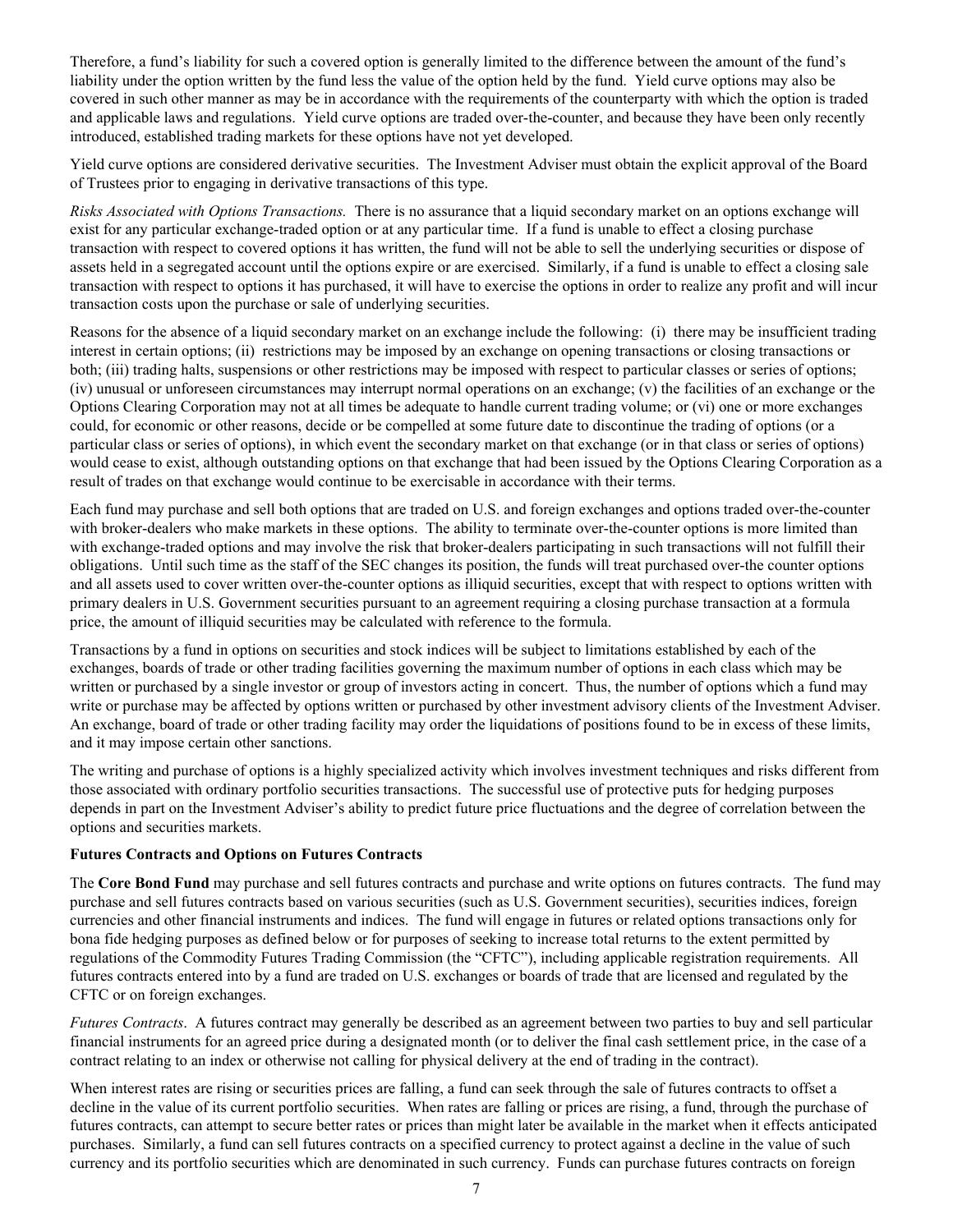<span id="page-10-0"></span>Therefore, a fund's liability for such a covered option is generally limited to the difference between the amount of the fund's liability under the option written by the fund less the value of the option held by the fund. Yield curve options may also be covered in such other manner as may be in accordance with the requirements of the counterparty with which the option is traded and applicable laws and regulations. Yield curve options are traded over-the-counter, and because they have been only recently introduced, established trading markets for these options have not yet developed.

Yield curve options are considered derivative securities. The Investment Adviser must obtain the explicit approval of the Board of Trustees prior to engaging in derivative transactions of this type.

*Risks Associated with Options Transactions.*There is no assurance that a liquid secondary market on an options exchange will exist for any particular exchange-traded option or at any particular time. If a fund is unable to effect a closing purchase transaction with respect to covered options it has written, the fund will not be able to sell the underlying securities or dispose of assets held in a segregated account until the options expire or are exercised. Similarly, if a fund is unable to effect a closing sale transaction with respect to options it has purchased, it will have to exercise the options in order to realize any profit and will incur transaction costs upon the purchase or sale of underlying securities.

Reasons for the absence of a liquid secondary market on an exchange include the following: (i) there may be insufficient trading interest in certain options; (ii) restrictions may be imposed by an exchange on opening transactions or closing transactions or both; (iii) trading halts, suspensions or other restrictions may be imposed with respect to particular classes or series of options; (iv) unusual or unforeseen circumstances may interrupt normal operations on an exchange; (v) the facilities of an exchange or the Options Clearing Corporation may not at all times be adequate to handle current trading volume; or (vi) one or more exchanges could, for economic or other reasons, decide or be compelled at some future date to discontinue the trading of options (or a particular class or series of options), in which event the secondary market on that exchange (or in that class or series of options) would cease to exist, although outstanding options on that exchange that had been issued by the Options Clearing Corporation as a result of trades on that exchange would continue to be exercisable in accordance with their terms.

Each fund may purchase and sell both options that are traded on U.S. and foreign exchanges and options traded over-the-counter with broker-dealers who make markets in these options. The ability to terminate over-the-counter options is more limited than with exchange-traded options and may involve the risk that broker-dealers participating in such transactions will not fulfill their obligations. Until such time as the staff of the SEC changes its position, the funds will treat purchased over-the counter options and all assets used to cover written over-the-counter options as illiquid securities, except that with respect to options written with primary dealers in U.S. Government securities pursuant to an agreement requiring a closing purchase transaction at a formula price, the amount of illiquid securities may be calculated with reference to the formula.

Transactions by a fund in options on securities and stock indices will be subject to limitations established by each of the exchanges, boards of trade or other trading facilities governing the maximum number of options in each class which may be written or purchased by a single investor or group of investors acting in concert. Thus, the number of options which a fund may write or purchase may be affected by options written or purchased by other investment advisory clients of the Investment Adviser. An exchange, board of trade or other trading facility may order the liquidations of positions found to be in excess of these limits, and it may impose certain other sanctions.

The writing and purchase of options is a highly specialized activity which involves investment techniques and risks different from those associated with ordinary portfolio securities transactions. The successful use of protective puts for hedging purposes depends in part on the Investment Adviser's ability to predict future price fluctuations and the degree of correlation between the options and securities markets.

#### **Futures Contracts and Options on Futures Contracts**

The **Core Bond Fund** may purchase and sell futures contracts and purchase and write options on futures contracts. The fund may purchase and sell futures contracts based on various securities (such as U.S. Government securities), securities indices, foreign currencies and other financial instruments and indices. The fund will engage in futures or related options transactions only for bona fide hedging purposes as defined below or for purposes of seeking to increase total returns to the extent permitted by regulations of the Commodity Futures Trading Commission (the "CFTC"), including applicable registration requirements. All futures contracts entered into by a fund are traded on U.S. exchanges or boards of trade that are licensed and regulated by the CFTC or on foreign exchanges.

*Futures Contracts*. A futures contract may generally be described as an agreement between two parties to buy and sell particular financial instruments for an agreed price during a designated month (or to deliver the final cash settlement price, in the case of a contract relating to an index or otherwise not calling for physical delivery at the end of trading in the contract).

When interest rates are rising or securities prices are falling, a fund can seek through the sale of futures contracts to offset a decline in the value of its current portfolio securities. When rates are falling or prices are rising, a fund, through the purchase of futures contracts, can attempt to secure better rates or prices than might later be available in the market when it effects anticipated purchases. Similarly, a fund can sell futures contracts on a specified currency to protect against a decline in the value of such currency and its portfolio securities which are denominated in such currency. Funds can purchase futures contracts on foreign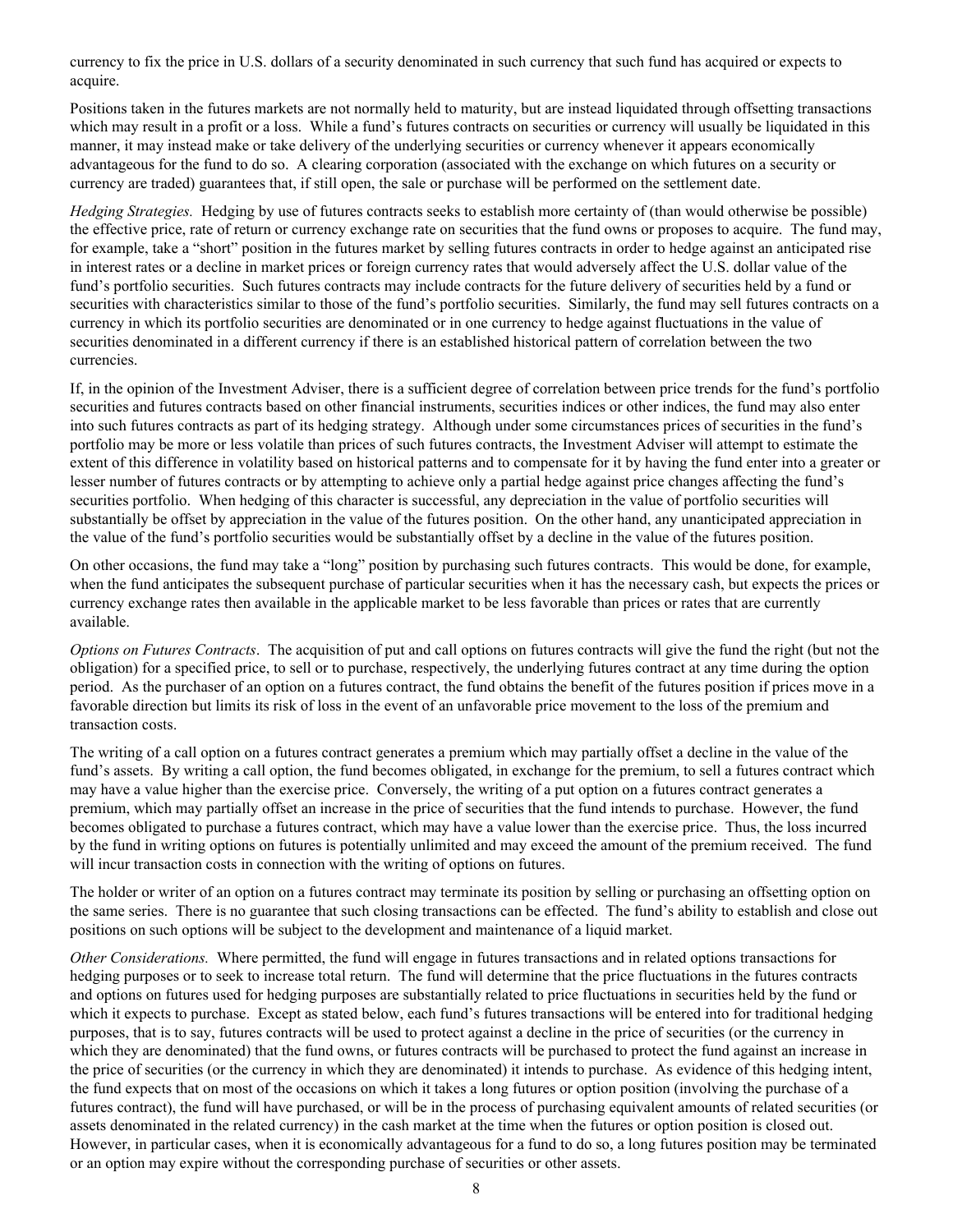currency to fix the price in U.S. dollars of a security denominated in such currency that such fund has acquired or expects to acquire.

Positions taken in the futures markets are not normally held to maturity, but are instead liquidated through offsetting transactions which may result in a profit or a loss. While a fund's futures contracts on securities or currency will usually be liquidated in this manner, it may instead make or take delivery of the underlying securities or currency whenever it appears economically advantageous for the fund to do so. A clearing corporation (associated with the exchange on which futures on a security or currency are traded) guarantees that, if still open, the sale or purchase will be performed on the settlement date.

*Hedging Strategies.* Hedging by use of futures contracts seeks to establish more certainty of (than would otherwise be possible) the effective price, rate of return or currency exchange rate on securities that the fund owns or proposes to acquire. The fund may, for example, take a "short" position in the futures market by selling futures contracts in order to hedge against an anticipated rise in interest rates or a decline in market prices or foreign currency rates that would adversely affect the U.S. dollar value of the fund's portfolio securities. Such futures contracts may include contracts for the future delivery of securities held by a fund or securities with characteristics similar to those of the fund's portfolio securities. Similarly, the fund may sell futures contracts on a currency in which its portfolio securities are denominated or in one currency to hedge against fluctuations in the value of securities denominated in a different currency if there is an established historical pattern of correlation between the two currencies.

If, in the opinion of the Investment Adviser, there is a sufficient degree of correlation between price trends for the fund's portfolio securities and futures contracts based on other financial instruments, securities indices or other indices, the fund may also enter into such futures contracts as part of its hedging strategy. Although under some circumstances prices of securities in the fund's portfolio may be more or less volatile than prices of such futures contracts, the Investment Adviser will attempt to estimate the extent of this difference in volatility based on historical patterns and to compensate for it by having the fund enter into a greater or lesser number of futures contracts or by attempting to achieve only a partial hedge against price changes affecting the fund's securities portfolio. When hedging of this character is successful, any depreciation in the value of portfolio securities will substantially be offset by appreciation in the value of the futures position. On the other hand, any unanticipated appreciation in the value of the fund's portfolio securities would be substantially offset by a decline in the value of the futures position.

On other occasions, the fund may take a "long" position by purchasing such futures contracts. This would be done, for example, when the fund anticipates the subsequent purchase of particular securities when it has the necessary cash, but expects the prices or currency exchange rates then available in the applicable market to be less favorable than prices or rates that are currently available.

*Options on Futures Contracts*. The acquisition of put and call options on futures contracts will give the fund the right (but not the obligation) for a specified price, to sell or to purchase, respectively, the underlying futures contract at any time during the option period. As the purchaser of an option on a futures contract, the fund obtains the benefit of the futures position if prices move in a favorable direction but limits its risk of loss in the event of an unfavorable price movement to the loss of the premium and transaction costs.

The writing of a call option on a futures contract generates a premium which may partially offset a decline in the value of the fund's assets. By writing a call option, the fund becomes obligated, in exchange for the premium, to sell a futures contract which may have a value higher than the exercise price. Conversely, the writing of a put option on a futures contract generates a premium, which may partially offset an increase in the price of securities that the fund intends to purchase. However, the fund becomes obligated to purchase a futures contract, which may have a value lower than the exercise price. Thus, the loss incurred by the fund in writing options on futures is potentially unlimited and may exceed the amount of the premium received. The fund will incur transaction costs in connection with the writing of options on futures.

The holder or writer of an option on a futures contract may terminate its position by selling or purchasing an offsetting option on the same series. There is no guarantee that such closing transactions can be effected. The fund's ability to establish and close out positions on such options will be subject to the development and maintenance of a liquid market.

*Other Considerations.* Where permitted, the fund will engage in futures transactions and in related options transactions for hedging purposes or to seek to increase total return. The fund will determine that the price fluctuations in the futures contracts and options on futures used for hedging purposes are substantially related to price fluctuations in securities held by the fund or which it expects to purchase. Except as stated below, each fund's futures transactions will be entered into for traditional hedging purposes, that is to say, futures contracts will be used to protect against a decline in the price of securities (or the currency in which they are denominated) that the fund owns, or futures contracts will be purchased to protect the fund against an increase in the price of securities (or the currency in which they are denominated) it intends to purchase. As evidence of this hedging intent, the fund expects that on most of the occasions on which it takes a long futures or option position (involving the purchase of a futures contract), the fund will have purchased, or will be in the process of purchasing equivalent amounts of related securities (or assets denominated in the related currency) in the cash market at the time when the futures or option position is closed out. However, in particular cases, when it is economically advantageous for a fund to do so, a long futures position may be terminated or an option may expire without the corresponding purchase of securities or other assets.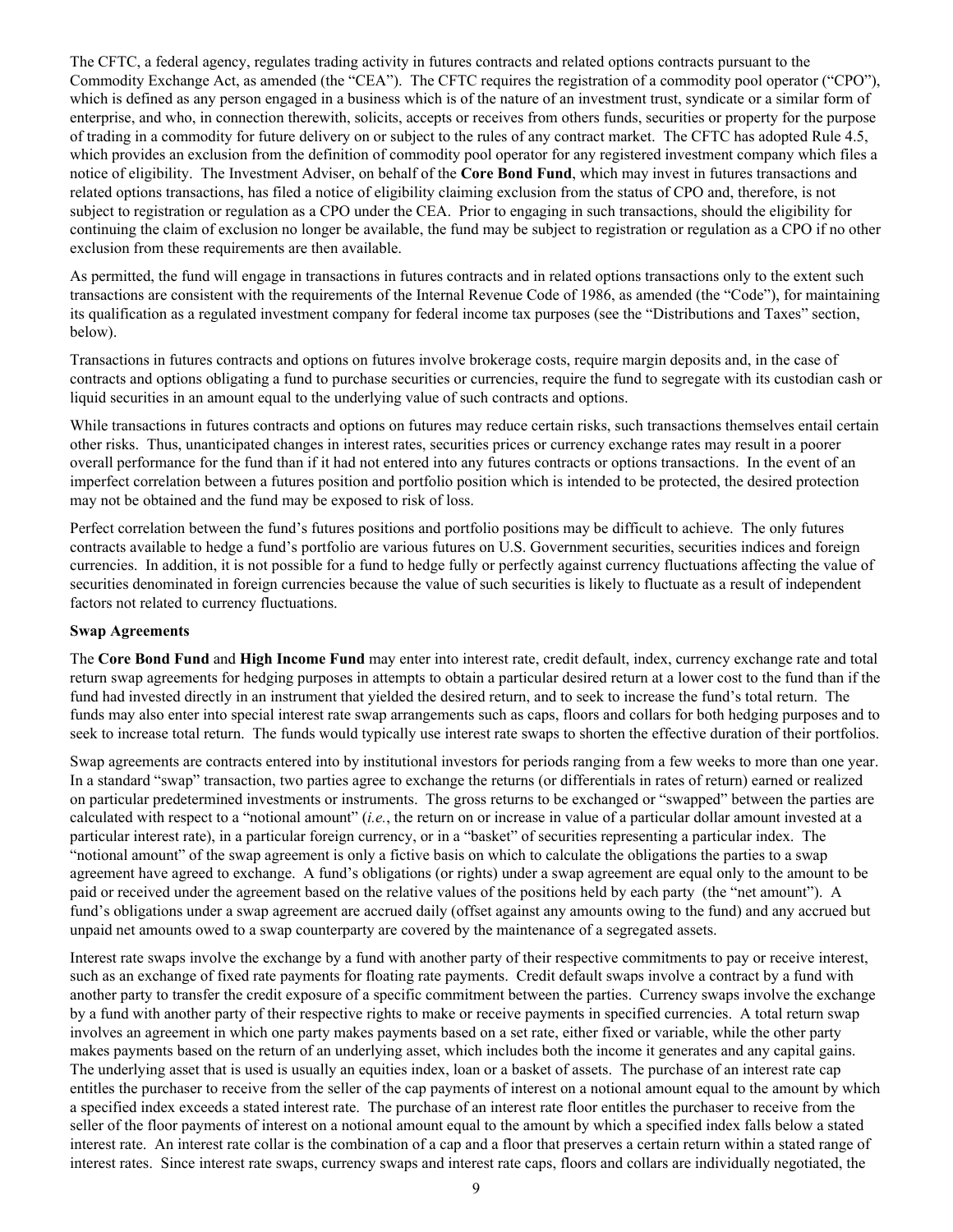<span id="page-12-0"></span>The CFTC, a federal agency, regulates trading activity in futures contracts and related options contracts pursuant to the Commodity Exchange Act, as amended (the "CEA"). The CFTC requires the registration of a commodity pool operator ("CPO"), which is defined as any person engaged in a business which is of the nature of an investment trust, syndicate or a similar form of enterprise, and who, in connection therewith, solicits, accepts or receives from others funds, securities or property for the purpose of trading in a commodity for future delivery on or subject to the rules of any contract market. The CFTC has adopted Rule 4.5, which provides an exclusion from the definition of commodity pool operator for any registered investment company which files a notice of eligibility. The Investment Adviser, on behalf of the **Core Bond Fund**, which may invest in futures transactions and related options transactions, has filed a notice of eligibility claiming exclusion from the status of CPO and, therefore, is not subject to registration or regulation as a CPO under the CEA. Prior to engaging in such transactions, should the eligibility for continuing the claim of exclusion no longer be available, the fund may be subject to registration or regulation as a CPO if no other exclusion from these requirements are then available.

As permitted, the fund will engage in transactions in futures contracts and in related options transactions only to the extent such transactions are consistent with the requirements of the Internal Revenue Code of 1986, as amended (the "Code"), for maintaining its qualification as a regulated investment company for federal income tax purposes (see the "Distributions and Taxes" section, below).

Transactions in futures contracts and options on futures involve brokerage costs, require margin deposits and, in the case of contracts and options obligating a fund to purchase securities or currencies, require the fund to segregate with its custodian cash or liquid securities in an amount equal to the underlying value of such contracts and options.

While transactions in futures contracts and options on futures may reduce certain risks, such transactions themselves entail certain other risks. Thus, unanticipated changes in interest rates, securities prices or currency exchange rates may result in a poorer overall performance for the fund than if it had not entered into any futures contracts or options transactions. In the event of an imperfect correlation between a futures position and portfolio position which is intended to be protected, the desired protection may not be obtained and the fund may be exposed to risk of loss.

Perfect correlation between the fund's futures positions and portfolio positions may be difficult to achieve. The only futures contracts available to hedge a fund's portfolio are various futures on U.S. Government securities, securities indices and foreign currencies. In addition, it is not possible for a fund to hedge fully or perfectly against currency fluctuations affecting the value of securities denominated in foreign currencies because the value of such securities is likely to fluctuate as a result of independent factors not related to currency fluctuations.

#### **Swap Agreements**

The **Core Bond Fund** and **High Income Fund** may enter into interest rate, credit default, index, currency exchange rate and total return swap agreements for hedging purposes in attempts to obtain a particular desired return at a lower cost to the fund than if the fund had invested directly in an instrument that yielded the desired return, and to seek to increase the fund's total return. The funds may also enter into special interest rate swap arrangements such as caps, floors and collars for both hedging purposes and to seek to increase total return. The funds would typically use interest rate swaps to shorten the effective duration of their portfolios.

Swap agreements are contracts entered into by institutional investors for periods ranging from a few weeks to more than one year. In a standard "swap" transaction, two parties agree to exchange the returns (or differentials in rates of return) earned or realized on particular predetermined investments or instruments. The gross returns to be exchanged or "swapped" between the parties are calculated with respect to a "notional amount" (*i.e.*, the return on or increase in value of a particular dollar amount invested at a particular interest rate), in a particular foreign currency, or in a "basket" of securities representing a particular index. The "notional amount" of the swap agreement is only a fictive basis on which to calculate the obligations the parties to a swap agreement have agreed to exchange. A fund's obligations (or rights) under a swap agreement are equal only to the amount to be paid or received under the agreement based on the relative values of the positions held by each party (the "net amount"). A fund's obligations under a swap agreement are accrued daily (offset against any amounts owing to the fund) and any accrued but unpaid net amounts owed to a swap counterparty are covered by the maintenance of a segregated assets.

Interest rate swaps involve the exchange by a fund with another party of their respective commitments to pay or receive interest, such as an exchange of fixed rate payments for floating rate payments. Credit default swaps involve a contract by a fund with another party to transfer the credit exposure of a specific commitment between the parties. Currency swaps involve the exchange by a fund with another party of their respective rights to make or receive payments in specified currencies. A total return swap involves an agreement in which one party makes payments based on a set rate, either fixed or variable, while the other party makes payments based on the return of an underlying asset, which includes both the income it generates and any capital gains. The underlying asset that is used is usually an equities index, loan or a basket of assets. The purchase of an interest rate cap entitles the purchaser to receive from the seller of the cap payments of interest on a notional amount equal to the amount by which a specified index exceeds a stated interest rate. The purchase of an interest rate floor entitles the purchaser to receive from the seller of the floor payments of interest on a notional amount equal to the amount by which a specified index falls below a stated interest rate. An interest rate collar is the combination of a cap and a floor that preserves a certain return within a stated range of interest rates. Since interest rate swaps, currency swaps and interest rate caps, floors and collars are individually negotiated, the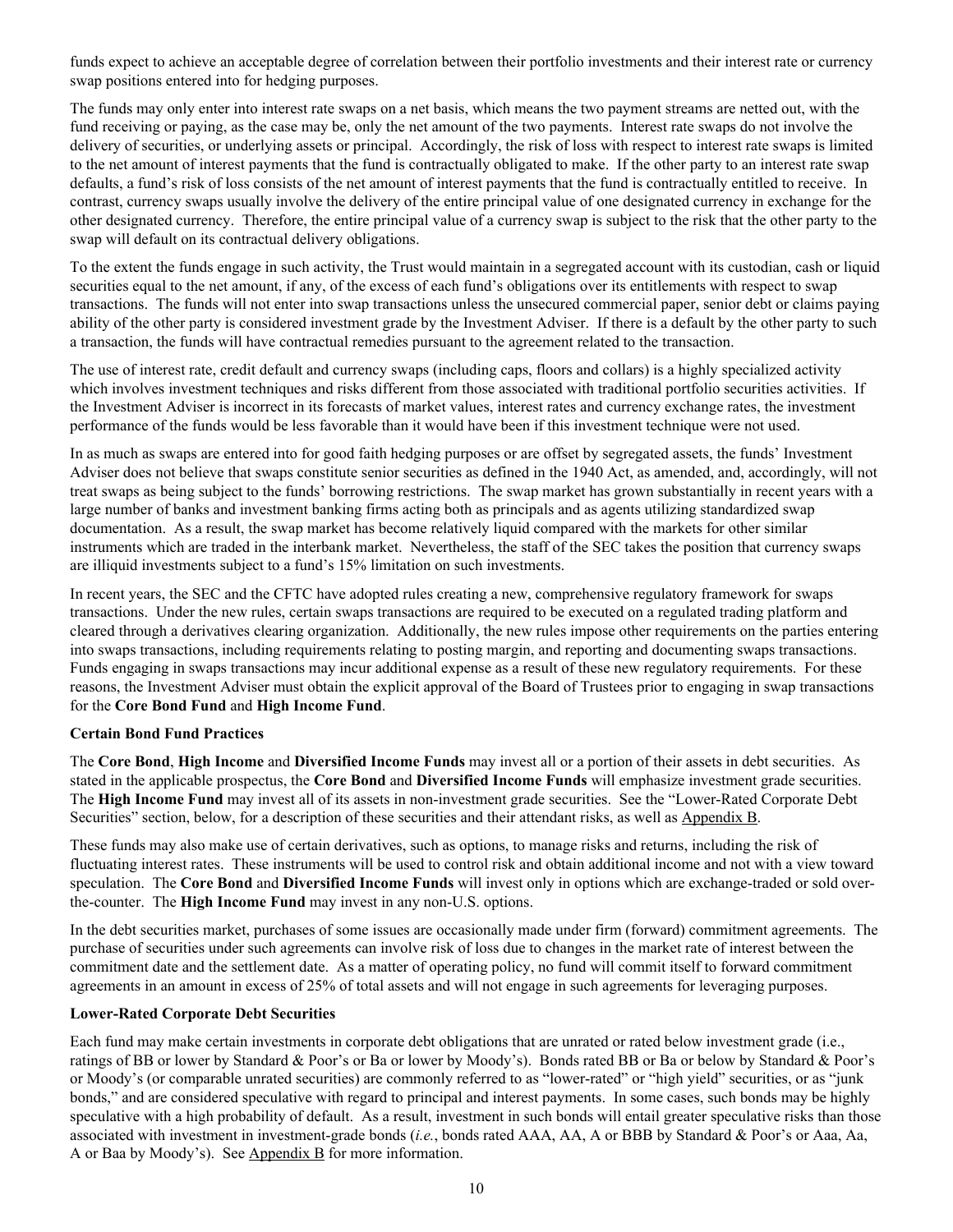<span id="page-13-0"></span>funds expect to achieve an acceptable degree of correlation between their portfolio investments and their interest rate or currency swap positions entered into for hedging purposes.

The funds may only enter into interest rate swaps on a net basis, which means the two payment streams are netted out, with the fund receiving or paying, as the case may be, only the net amount of the two payments. Interest rate swaps do not involve the delivery of securities, or underlying assets or principal. Accordingly, the risk of loss with respect to interest rate swaps is limited to the net amount of interest payments that the fund is contractually obligated to make. If the other party to an interest rate swap defaults, a fund's risk of loss consists of the net amount of interest payments that the fund is contractually entitled to receive. In contrast, currency swaps usually involve the delivery of the entire principal value of one designated currency in exchange for the other designated currency. Therefore, the entire principal value of a currency swap is subject to the risk that the other party to the swap will default on its contractual delivery obligations.

To the extent the funds engage in such activity, the Trust would maintain in a segregated account with its custodian, cash or liquid securities equal to the net amount, if any, of the excess of each fund's obligations over its entitlements with respect to swap transactions. The funds will not enter into swap transactions unless the unsecured commercial paper, senior debt or claims paying ability of the other party is considered investment grade by the Investment Adviser. If there is a default by the other party to such a transaction, the funds will have contractual remedies pursuant to the agreement related to the transaction.

The use of interest rate, credit default and currency swaps (including caps, floors and collars) is a highly specialized activity which involves investment techniques and risks different from those associated with traditional portfolio securities activities. If the Investment Adviser is incorrect in its forecasts of market values, interest rates and currency exchange rates, the investment performance of the funds would be less favorable than it would have been if this investment technique were not used.

In as much as swaps are entered into for good faith hedging purposes or are offset by segregated assets, the funds' Investment Adviser does not believe that swaps constitute senior securities as defined in the 1940 Act, as amended, and, accordingly, will not treat swaps as being subject to the funds' borrowing restrictions. The swap market has grown substantially in recent years with a large number of banks and investment banking firms acting both as principals and as agents utilizing standardized swap documentation. As a result, the swap market has become relatively liquid compared with the markets for other similar instruments which are traded in the interbank market. Nevertheless, the staff of the SEC takes the position that currency swaps are illiquid investments subject to a fund's 15% limitation on such investments.

In recent years, the SEC and the CFTC have adopted rules creating a new, comprehensive regulatory framework for swaps transactions. Under the new rules, certain swaps transactions are required to be executed on a regulated trading platform and cleared through a derivatives clearing organization. Additionally, the new rules impose other requirements on the parties entering into swaps transactions, including requirements relating to posting margin, and reporting and documenting swaps transactions. Funds engaging in swaps transactions may incur additional expense as a result of these new regulatory requirements. For these reasons, the Investment Adviser must obtain the explicit approval of the Board of Trustees prior to engaging in swap transactions for the **Core Bond Fund** and **High Income Fund**.

#### **Certain Bond Fund Practices**

The **Core Bond**, **High Income** and **Diversified Income Funds** may invest all or a portion of their assets in debt securities. As stated in the applicable prospectus, the **Core Bond** and **Diversified Income Funds** will emphasize investment grade securities. The **High Income Fund** may invest all of its assets in non-investment grade securities. See the "Lower-Rated Corporate Debt Securities" section, below, for a description of these securities and their attendant risks, as well as Appendix B.

These funds may also make use of certain derivatives, such as options, to manage risks and returns, including the risk of fluctuating interest rates. These instruments will be used to control risk and obtain additional income and not with a view toward speculation. The **Core Bond** and **Diversified Income Funds** will invest only in options which are exchange-traded or sold overthe-counter. The **High Income Fund** may invest in any non-U.S. options.

In the debt securities market, purchases of some issues are occasionally made under firm (forward) commitment agreements. The purchase of securities under such agreements can involve risk of loss due to changes in the market rate of interest between the commitment date and the settlement date. As a matter of operating policy, no fund will commit itself to forward commitment agreements in an amount in excess of 25% of total assets and will not engage in such agreements for leveraging purposes.

#### **Lower-Rated Corporate Debt Securities**

Each fund may make certain investments in corporate debt obligations that are unrated or rated below investment grade (i.e., ratings of BB or lower by Standard & Poor's or Ba or lower by Moody's). Bonds rated BB or Ba or below by Standard & Poor's or Moody's (or comparable unrated securities) are commonly referred to as "lower-rated" or "high yield" securities, or as "junk bonds," and are considered speculative with regard to principal and interest payments. In some cases, such bonds may be highly speculative with a high probability of default. As a result, investment in such bonds will entail greater speculative risks than those associated with investment in investment-grade bonds (*i.e.*, bonds rated AAA, AA, A or BBB by Standard & Poor's or Aaa, Aa, A or Baa by Moody's). See  $\Delta$ ppendix  $\overline{B}$  for more information.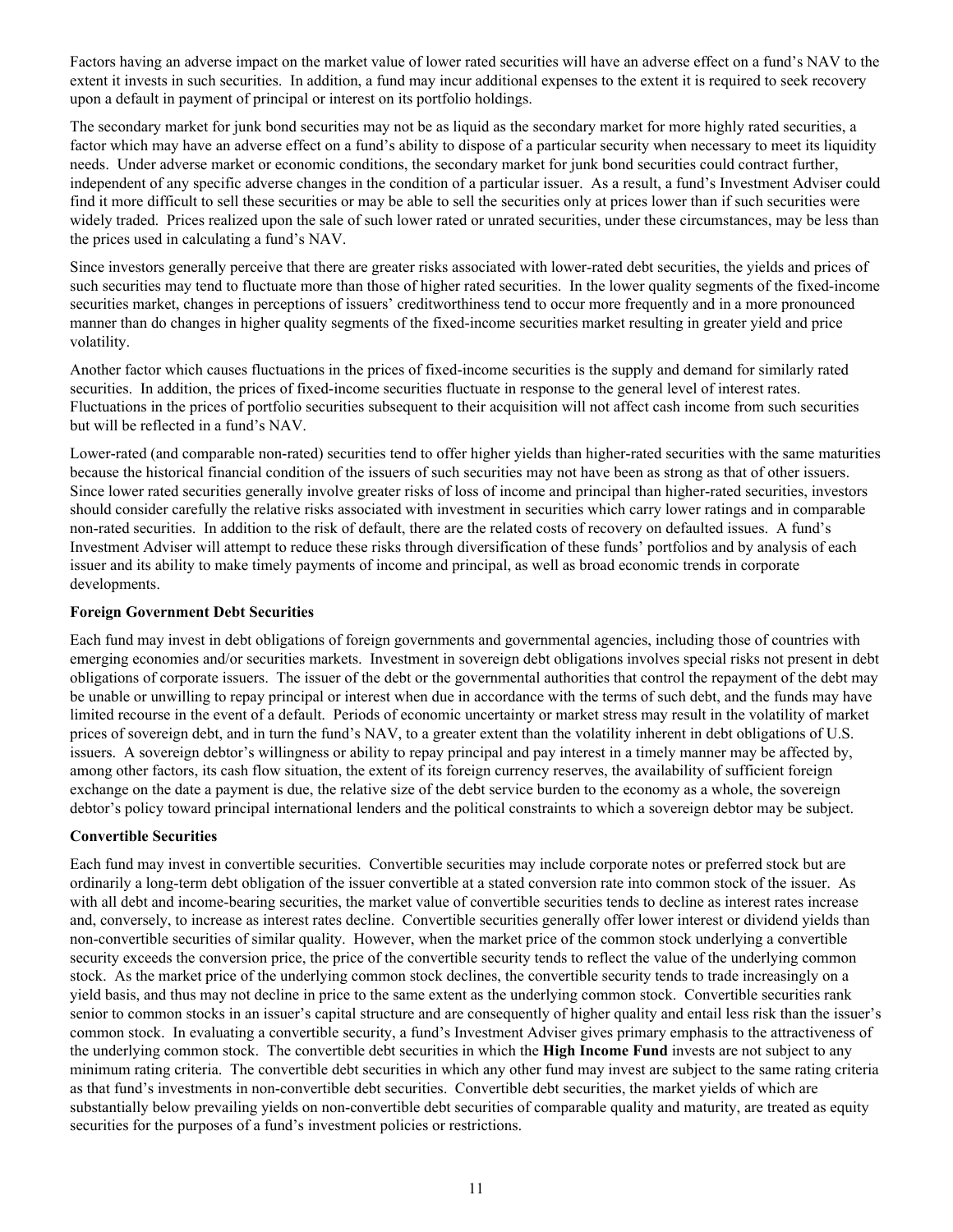<span id="page-14-0"></span>Factors having an adverse impact on the market value of lower rated securities will have an adverse effect on a fund's NAV to the extent it invests in such securities. In addition, a fund may incur additional expenses to the extent it is required to seek recovery upon a default in payment of principal or interest on its portfolio holdings.

The secondary market for junk bond securities may not be as liquid as the secondary market for more highly rated securities, a factor which may have an adverse effect on a fund's ability to dispose of a particular security when necessary to meet its liquidity needs. Under adverse market or economic conditions, the secondary market for junk bond securities could contract further, independent of any specific adverse changes in the condition of a particular issuer. As a result, a fund's Investment Adviser could find it more difficult to sell these securities or may be able to sell the securities only at prices lower than if such securities were widely traded. Prices realized upon the sale of such lower rated or unrated securities, under these circumstances, may be less than the prices used in calculating a fund's NAV.

Since investors generally perceive that there are greater risks associated with lower-rated debt securities, the yields and prices of such securities may tend to fluctuate more than those of higher rated securities. In the lower quality segments of the fixed-income securities market, changes in perceptions of issuers' creditworthiness tend to occur more frequently and in a more pronounced manner than do changes in higher quality segments of the fixed-income securities market resulting in greater yield and price volatility.

Another factor which causes fluctuations in the prices of fixed-income securities is the supply and demand for similarly rated securities. In addition, the prices of fixed-income securities fluctuate in response to the general level of interest rates. Fluctuations in the prices of portfolio securities subsequent to their acquisition will not affect cash income from such securities but will be reflected in a fund's NAV.

Lower-rated (and comparable non-rated) securities tend to offer higher yields than higher-rated securities with the same maturities because the historical financial condition of the issuers of such securities may not have been as strong as that of other issuers. Since lower rated securities generally involve greater risks of loss of income and principal than higher-rated securities, investors should consider carefully the relative risks associated with investment in securities which carry lower ratings and in comparable non-rated securities. In addition to the risk of default, there are the related costs of recovery on defaulted issues. A fund's Investment Adviser will attempt to reduce these risks through diversification of these funds' portfolios and by analysis of each issuer and its ability to make timely payments of income and principal, as well as broad economic trends in corporate developments.

### **Foreign Government Debt Securities**

Each fund may invest in debt obligations of foreign governments and governmental agencies, including those of countries with emerging economies and/or securities markets. Investment in sovereign debt obligations involves special risks not present in debt obligations of corporate issuers. The issuer of the debt or the governmental authorities that control the repayment of the debt may be unable or unwilling to repay principal or interest when due in accordance with the terms of such debt, and the funds may have limited recourse in the event of a default. Periods of economic uncertainty or market stress may result in the volatility of market prices of sovereign debt, and in turn the fund's NAV, to a greater extent than the volatility inherent in debt obligations of U.S. issuers. A sovereign debtor's willingness or ability to repay principal and pay interest in a timely manner may be affected by, among other factors, its cash flow situation, the extent of its foreign currency reserves, the availability of sufficient foreign exchange on the date a payment is due, the relative size of the debt service burden to the economy as a whole, the sovereign debtor's policy toward principal international lenders and the political constraints to which a sovereign debtor may be subject.

#### **Convertible Securities**

Each fund may invest in convertible securities. Convertible securities may include corporate notes or preferred stock but are ordinarily a long-term debt obligation of the issuer convertible at a stated conversion rate into common stock of the issuer. As with all debt and income-bearing securities, the market value of convertible securities tends to decline as interest rates increase and, conversely, to increase as interest rates decline. Convertible securities generally offer lower interest or dividend yields than non-convertible securities of similar quality. However, when the market price of the common stock underlying a convertible security exceeds the conversion price, the price of the convertible security tends to reflect the value of the underlying common stock. As the market price of the underlying common stock declines, the convertible security tends to trade increasingly on a yield basis, and thus may not decline in price to the same extent as the underlying common stock. Convertible securities rank senior to common stocks in an issuer's capital structure and are consequently of higher quality and entail less risk than the issuer's common stock. In evaluating a convertible security, a fund's Investment Adviser gives primary emphasis to the attractiveness of the underlying common stock. The convertible debt securities in which the **High Income Fund** invests are not subject to any minimum rating criteria. The convertible debt securities in which any other fund may invest are subject to the same rating criteria as that fund's investments in non-convertible debt securities. Convertible debt securities, the market yields of which are substantially below prevailing yields on non-convertible debt securities of comparable quality and maturity, are treated as equity securities for the purposes of a fund's investment policies or restrictions.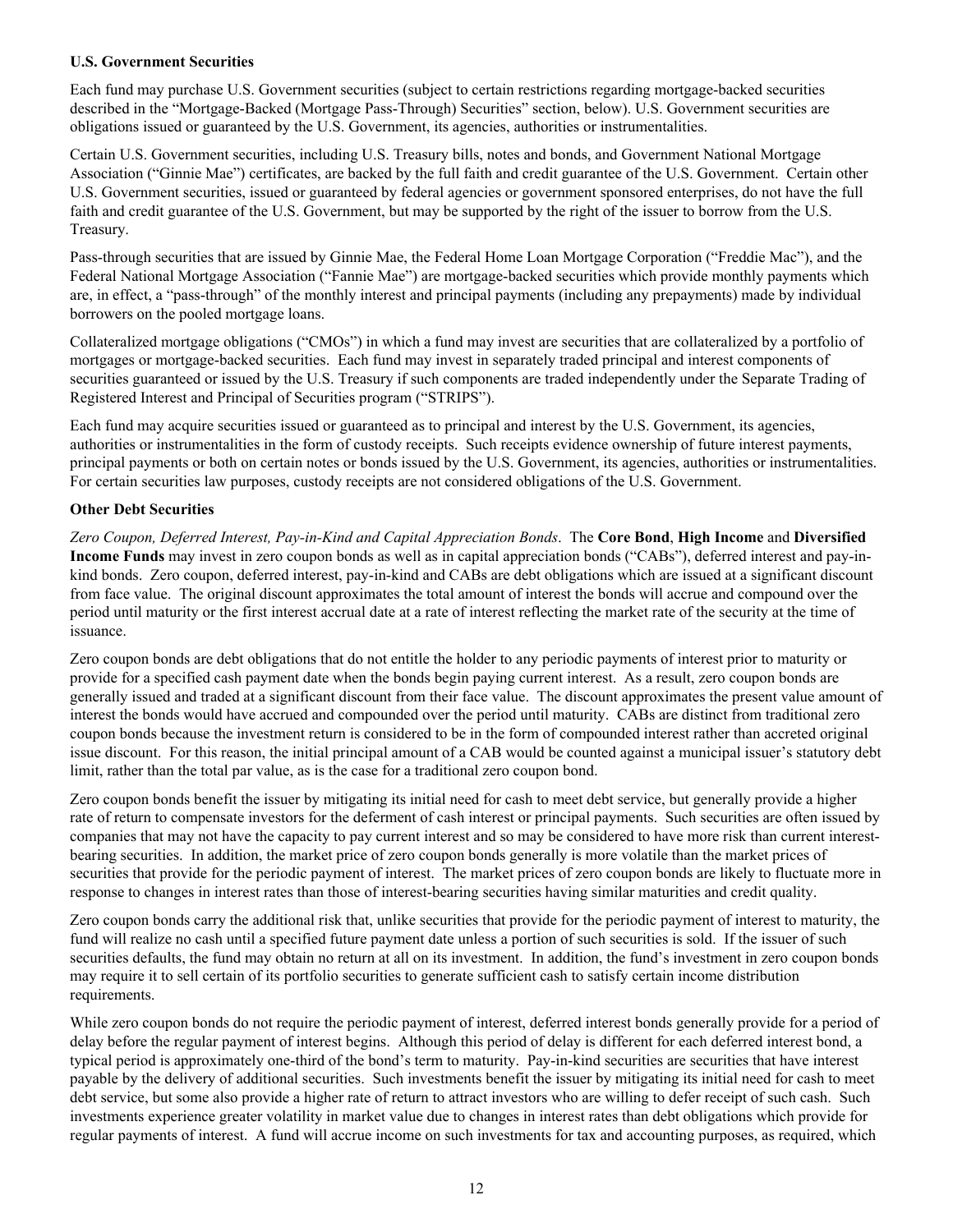### <span id="page-15-0"></span>**U.S. Government Securities**

Each fund may purchase U.S. Government securities (subject to certain restrictions regarding mortgage-backed securities described in the "Mortgage-Backed (Mortgage Pass-Through) Securities" section, below). U.S. Government securities are obligations issued or guaranteed by the U.S. Government, its agencies, authorities or instrumentalities.

Certain U.S. Government securities, including U.S. Treasury bills, notes and bonds, and Government National Mortgage Association ("Ginnie Mae") certificates, are backed by the full faith and credit guarantee of the U.S. Government. Certain other U.S. Government securities, issued or guaranteed by federal agencies or government sponsored enterprises, do not have the full faith and credit guarantee of the U.S. Government, but may be supported by the right of the issuer to borrow from the U.S. Treasury.

Pass-through securities that are issued by Ginnie Mae, the Federal Home Loan Mortgage Corporation ("Freddie Mac"), and the Federal National Mortgage Association ("Fannie Mae") are mortgage-backed securities which provide monthly payments which are, in effect, a "pass-through" of the monthly interest and principal payments (including any prepayments) made by individual borrowers on the pooled mortgage loans.

Collateralized mortgage obligations ("CMOs") in which a fund may invest are securities that are collateralized by a portfolio of mortgages or mortgage-backed securities. Each fund may invest in separately traded principal and interest components of securities guaranteed or issued by the U.S. Treasury if such components are traded independently under the Separate Trading of Registered Interest and Principal of Securities program ("STRIPS").

Each fund may acquire securities issued or guaranteed as to principal and interest by the U.S. Government, its agencies, authorities or instrumentalities in the form of custody receipts. Such receipts evidence ownership of future interest payments, principal payments or both on certain notes or bonds issued by the U.S. Government, its agencies, authorities or instrumentalities. For certain securities law purposes, custody receipts are not considered obligations of the U.S. Government.

### **Other Debt Securities**

*Zero Coupon, Deferred Interest, Pay-in-Kind and Capital Appreciation Bonds*. The **Core Bond**, **High Income** and **Diversified Income Funds** may invest in zero coupon bonds as well as in capital appreciation bonds ("CABs"), deferred interest and pay-inkind bonds. Zero coupon, deferred interest, pay-in-kind and CABs are debt obligations which are issued at a significant discount from face value. The original discount approximates the total amount of interest the bonds will accrue and compound over the period until maturity or the first interest accrual date at a rate of interest reflecting the market rate of the security at the time of issuance.

Zero coupon bonds are debt obligations that do not entitle the holder to any periodic payments of interest prior to maturity or provide for a specified cash payment date when the bonds begin paying current interest. As a result, zero coupon bonds are generally issued and traded at a significant discount from their face value. The discount approximates the present value amount of interest the bonds would have accrued and compounded over the period until maturity. CABs are distinct from traditional zero coupon bonds because the investment return is considered to be in the form of compounded interest rather than accreted original issue discount. For this reason, the initial principal amount of a CAB would be counted against a municipal issuer's statutory debt limit, rather than the total par value, as is the case for a traditional zero coupon bond.

Zero coupon bonds benefit the issuer by mitigating its initial need for cash to meet debt service, but generally provide a higher rate of return to compensate investors for the deferment of cash interest or principal payments. Such securities are often issued by companies that may not have the capacity to pay current interest and so may be considered to have more risk than current interestbearing securities. In addition, the market price of zero coupon bonds generally is more volatile than the market prices of securities that provide for the periodic payment of interest. The market prices of zero coupon bonds are likely to fluctuate more in response to changes in interest rates than those of interest-bearing securities having similar maturities and credit quality.

Zero coupon bonds carry the additional risk that, unlike securities that provide for the periodic payment of interest to maturity, the fund will realize no cash until a specified future payment date unless a portion of such securities is sold. If the issuer of such securities defaults, the fund may obtain no return at all on its investment. In addition, the fund's investment in zero coupon bonds may require it to sell certain of its portfolio securities to generate sufficient cash to satisfy certain income distribution requirements.

While zero coupon bonds do not require the periodic payment of interest, deferred interest bonds generally provide for a period of delay before the regular payment of interest begins. Although this period of delay is different for each deferred interest bond, a typical period is approximately one-third of the bond's term to maturity. Pay-in-kind securities are securities that have interest payable by the delivery of additional securities. Such investments benefit the issuer by mitigating its initial need for cash to meet debt service, but some also provide a higher rate of return to attract investors who are willing to defer receipt of such cash. Such investments experience greater volatility in market value due to changes in interest rates than debt obligations which provide for regular payments of interest. A fund will accrue income on such investments for tax and accounting purposes, as required, which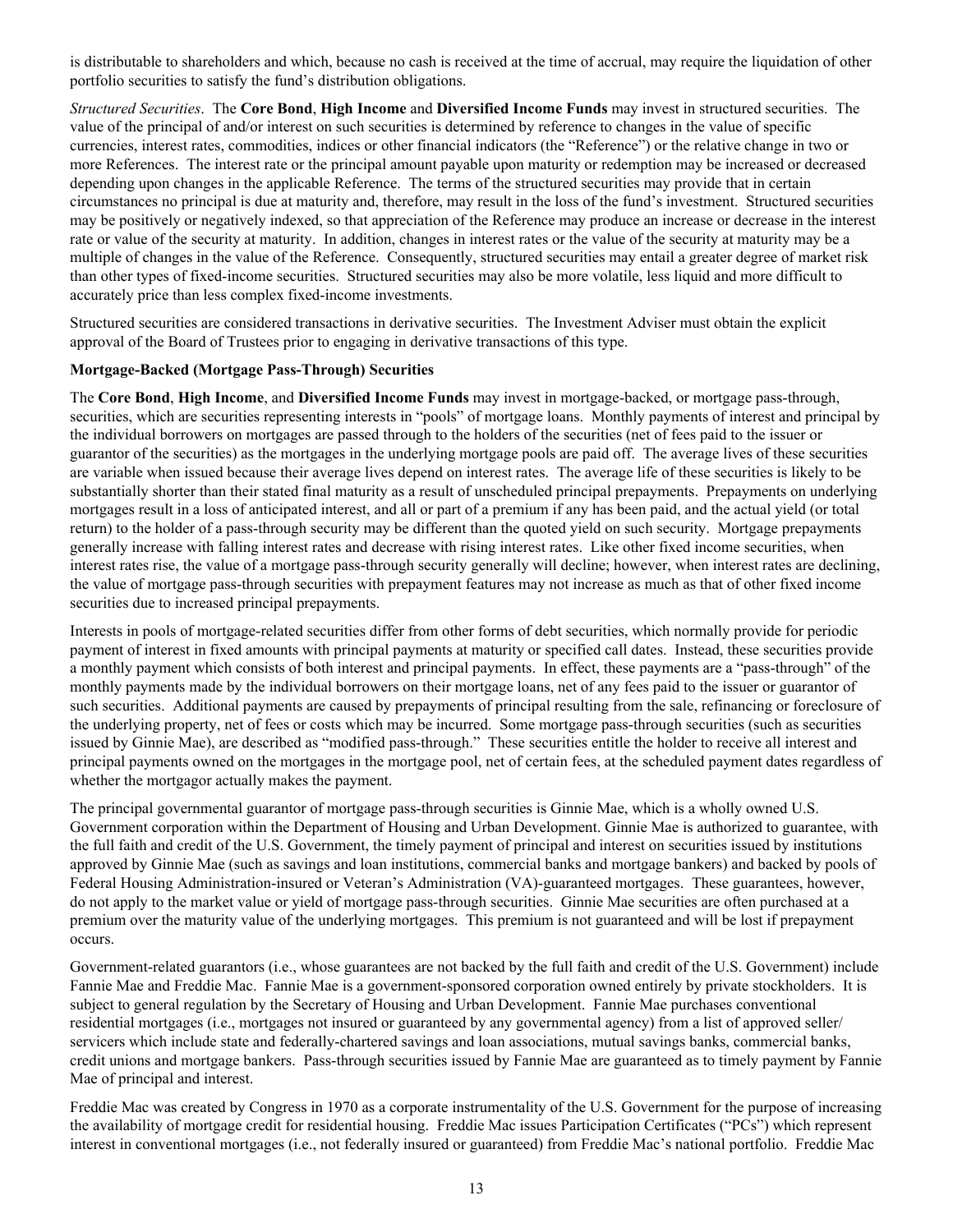<span id="page-16-0"></span>is distributable to shareholders and which, because no cash is received at the time of accrual, may require the liquidation of other portfolio securities to satisfy the fund's distribution obligations.

*Structured Securities*. The **Core Bond**, **High Income** and **Diversified Income Funds** may invest in structured securities. The value of the principal of and/or interest on such securities is determined by reference to changes in the value of specific currencies, interest rates, commodities, indices or other financial indicators (the "Reference") or the relative change in two or more References. The interest rate or the principal amount payable upon maturity or redemption may be increased or decreased depending upon changes in the applicable Reference. The terms of the structured securities may provide that in certain circumstances no principal is due at maturity and, therefore, may result in the loss of the fund's investment. Structured securities may be positively or negatively indexed, so that appreciation of the Reference may produce an increase or decrease in the interest rate or value of the security at maturity. In addition, changes in interest rates or the value of the security at maturity may be a multiple of changes in the value of the Reference. Consequently, structured securities may entail a greater degree of market risk than other types of fixed-income securities. Structured securities may also be more volatile, less liquid and more difficult to accurately price than less complex fixed-income investments.

Structured securities are considered transactions in derivative securities. The Investment Adviser must obtain the explicit approval of the Board of Trustees prior to engaging in derivative transactions of this type.

#### **Mortgage-Backed (Mortgage Pass-Through) Securities**

The **Core Bond**, **High Income**, and **Diversified Income Funds** may invest in mortgage-backed, or mortgage pass-through, securities, which are securities representing interests in "pools" of mortgage loans. Monthly payments of interest and principal by the individual borrowers on mortgages are passed through to the holders of the securities (net of fees paid to the issuer or guarantor of the securities) as the mortgages in the underlying mortgage pools are paid off. The average lives of these securities are variable when issued because their average lives depend on interest rates. The average life of these securities is likely to be substantially shorter than their stated final maturity as a result of unscheduled principal prepayments. Prepayments on underlying mortgages result in a loss of anticipated interest, and all or part of a premium if any has been paid, and the actual yield (or total return) to the holder of a pass-through security may be different than the quoted yield on such security. Mortgage prepayments generally increase with falling interest rates and decrease with rising interest rates. Like other fixed income securities, when interest rates rise, the value of a mortgage pass-through security generally will decline; however, when interest rates are declining, the value of mortgage pass-through securities with prepayment features may not increase as much as that of other fixed income securities due to increased principal prepayments.

Interests in pools of mortgage-related securities differ from other forms of debt securities, which normally provide for periodic payment of interest in fixed amounts with principal payments at maturity or specified call dates. Instead, these securities provide a monthly payment which consists of both interest and principal payments. In effect, these payments are a "pass-through" of the monthly payments made by the individual borrowers on their mortgage loans, net of any fees paid to the issuer or guarantor of such securities. Additional payments are caused by prepayments of principal resulting from the sale, refinancing or foreclosure of the underlying property, net of fees or costs which may be incurred. Some mortgage pass-through securities (such as securities issued by Ginnie Mae), are described as "modified pass-through." These securities entitle the holder to receive all interest and principal payments owned on the mortgages in the mortgage pool, net of certain fees, at the scheduled payment dates regardless of whether the mortgagor actually makes the payment.

The principal governmental guarantor of mortgage pass-through securities is Ginnie Mae, which is a wholly owned U.S. Government corporation within the Department of Housing and Urban Development. Ginnie Mae is authorized to guarantee, with the full faith and credit of the U.S. Government, the timely payment of principal and interest on securities issued by institutions approved by Ginnie Mae (such as savings and loan institutions, commercial banks and mortgage bankers) and backed by pools of Federal Housing Administration-insured or Veteran's Administration (VA)-guaranteed mortgages. These guarantees, however, do not apply to the market value or yield of mortgage pass-through securities. Ginnie Mae securities are often purchased at a premium over the maturity value of the underlying mortgages. This premium is not guaranteed and will be lost if prepayment occurs.

Government-related guarantors (i.e., whose guarantees are not backed by the full faith and credit of the U.S. Government) include Fannie Mae and Freddie Mac. Fannie Mae is a government-sponsored corporation owned entirely by private stockholders. It is subject to general regulation by the Secretary of Housing and Urban Development. Fannie Mae purchases conventional residential mortgages (i.e., mortgages not insured or guaranteed by any governmental agency) from a list of approved seller/ servicers which include state and federally-chartered savings and loan associations, mutual savings banks, commercial banks, credit unions and mortgage bankers. Pass-through securities issued by Fannie Mae are guaranteed as to timely payment by Fannie Mae of principal and interest.

Freddie Mac was created by Congress in 1970 as a corporate instrumentality of the U.S. Government for the purpose of increasing the availability of mortgage credit for residential housing. Freddie Mac issues Participation Certificates ("PCs") which represent interest in conventional mortgages (i.e., not federally insured or guaranteed) from Freddie Mac's national portfolio. Freddie Mac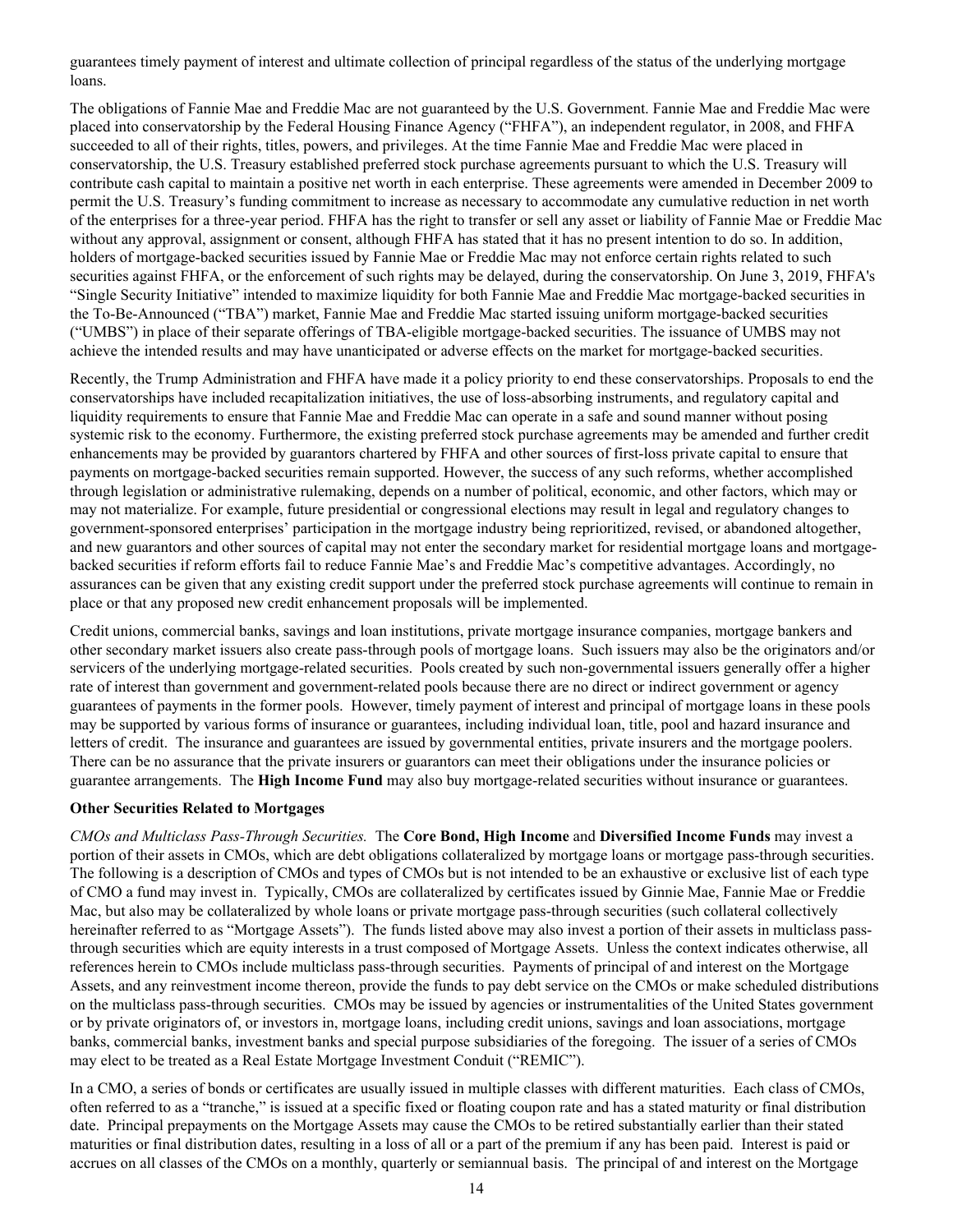<span id="page-17-0"></span>guarantees timely payment of interest and ultimate collection of principal regardless of the status of the underlying mortgage loans.

The obligations of Fannie Mae and Freddie Mac are not guaranteed by the U.S. Government. Fannie Mae and Freddie Mac were placed into conservatorship by the Federal Housing Finance Agency ("FHFA"), an independent regulator, in 2008, and FHFA succeeded to all of their rights, titles, powers, and privileges. At the time Fannie Mae and Freddie Mac were placed in conservatorship, the U.S. Treasury established preferred stock purchase agreements pursuant to which the U.S. Treasury will contribute cash capital to maintain a positive net worth in each enterprise. These agreements were amended in December 2009 to permit the U.S. Treasury's funding commitment to increase as necessary to accommodate any cumulative reduction in net worth of the enterprises for a three-year period. FHFA has the right to transfer or sell any asset or liability of Fannie Mae or Freddie Mac without any approval, assignment or consent, although FHFA has stated that it has no present intention to do so. In addition, holders of mortgage-backed securities issued by Fannie Mae or Freddie Mac may not enforce certain rights related to such securities against FHFA, or the enforcement of such rights may be delayed, during the conservatorship. On June 3, 2019, FHFA's "Single Security Initiative" intended to maximize liquidity for both Fannie Mae and Freddie Mac mortgage-backed securities in the To-Be-Announced ("TBA") market, Fannie Mae and Freddie Mac started issuing uniform mortgage-backed securities ("UMBS") in place of their separate offerings of TBA-eligible mortgage-backed securities. The issuance of UMBS may not achieve the intended results and may have unanticipated or adverse effects on the market for mortgage-backed securities.

Recently, the Trump Administration and FHFA have made it a policy priority to end these conservatorships. Proposals to end the conservatorships have included recapitalization initiatives, the use of loss-absorbing instruments, and regulatory capital and liquidity requirements to ensure that Fannie Mae and Freddie Mac can operate in a safe and sound manner without posing systemic risk to the economy. Furthermore, the existing preferred stock purchase agreements may be amended and further credit enhancements may be provided by guarantors chartered by FHFA and other sources of first-loss private capital to ensure that payments on mortgage-backed securities remain supported. However, the success of any such reforms, whether accomplished through legislation or administrative rulemaking, depends on a number of political, economic, and other factors, which may or may not materialize. For example, future presidential or congressional elections may result in legal and regulatory changes to government-sponsored enterprises' participation in the mortgage industry being reprioritized, revised, or abandoned altogether, and new guarantors and other sources of capital may not enter the secondary market for residential mortgage loans and mortgagebacked securities if reform efforts fail to reduce Fannie Mae's and Freddie Mac's competitive advantages. Accordingly, no assurances can be given that any existing credit support under the preferred stock purchase agreements will continue to remain in place or that any proposed new credit enhancement proposals will be implemented.

Credit unions, commercial banks, savings and loan institutions, private mortgage insurance companies, mortgage bankers and other secondary market issuers also create pass-through pools of mortgage loans. Such issuers may also be the originators and/or servicers of the underlying mortgage-related securities. Pools created by such non-governmental issuers generally offer a higher rate of interest than government and government-related pools because there are no direct or indirect government or agency guarantees of payments in the former pools. However, timely payment of interest and principal of mortgage loans in these pools may be supported by various forms of insurance or guarantees, including individual loan, title, pool and hazard insurance and letters of credit. The insurance and guarantees are issued by governmental entities, private insurers and the mortgage poolers. There can be no assurance that the private insurers or guarantors can meet their obligations under the insurance policies or guarantee arrangements. The **High Income Fund** may also buy mortgage-related securities without insurance or guarantees.

#### **Other Securities Related to Mortgages**

*CMOs and Multiclass Pass-Through Securities.* The **Core Bond, High Income** and **Diversified Income Funds** may invest a portion of their assets in CMOs, which are debt obligations collateralized by mortgage loans or mortgage pass-through securities. The following is a description of CMOs and types of CMOs but is not intended to be an exhaustive or exclusive list of each type of CMO a fund may invest in. Typically, CMOs are collateralized by certificates issued by Ginnie Mae, Fannie Mae or Freddie Mac, but also may be collateralized by whole loans or private mortgage pass-through securities (such collateral collectively hereinafter referred to as "Mortgage Assets"). The funds listed above may also invest a portion of their assets in multiclass passthrough securities which are equity interests in a trust composed of Mortgage Assets. Unless the context indicates otherwise, all references herein to CMOs include multiclass pass-through securities. Payments of principal of and interest on the Mortgage Assets, and any reinvestment income thereon, provide the funds to pay debt service on the CMOs or make scheduled distributions on the multiclass pass-through securities. CMOs may be issued by agencies or instrumentalities of the United States government or by private originators of, or investors in, mortgage loans, including credit unions, savings and loan associations, mortgage banks, commercial banks, investment banks and special purpose subsidiaries of the foregoing. The issuer of a series of CMOs may elect to be treated as a Real Estate Mortgage Investment Conduit ("REMIC").

In a CMO, a series of bonds or certificates are usually issued in multiple classes with different maturities. Each class of CMOs, often referred to as a "tranche," is issued at a specific fixed or floating coupon rate and has a stated maturity or final distribution date. Principal prepayments on the Mortgage Assets may cause the CMOs to be retired substantially earlier than their stated maturities or final distribution dates, resulting in a loss of all or a part of the premium if any has been paid. Interest is paid or accrues on all classes of the CMOs on a monthly, quarterly or semiannual basis. The principal of and interest on the Mortgage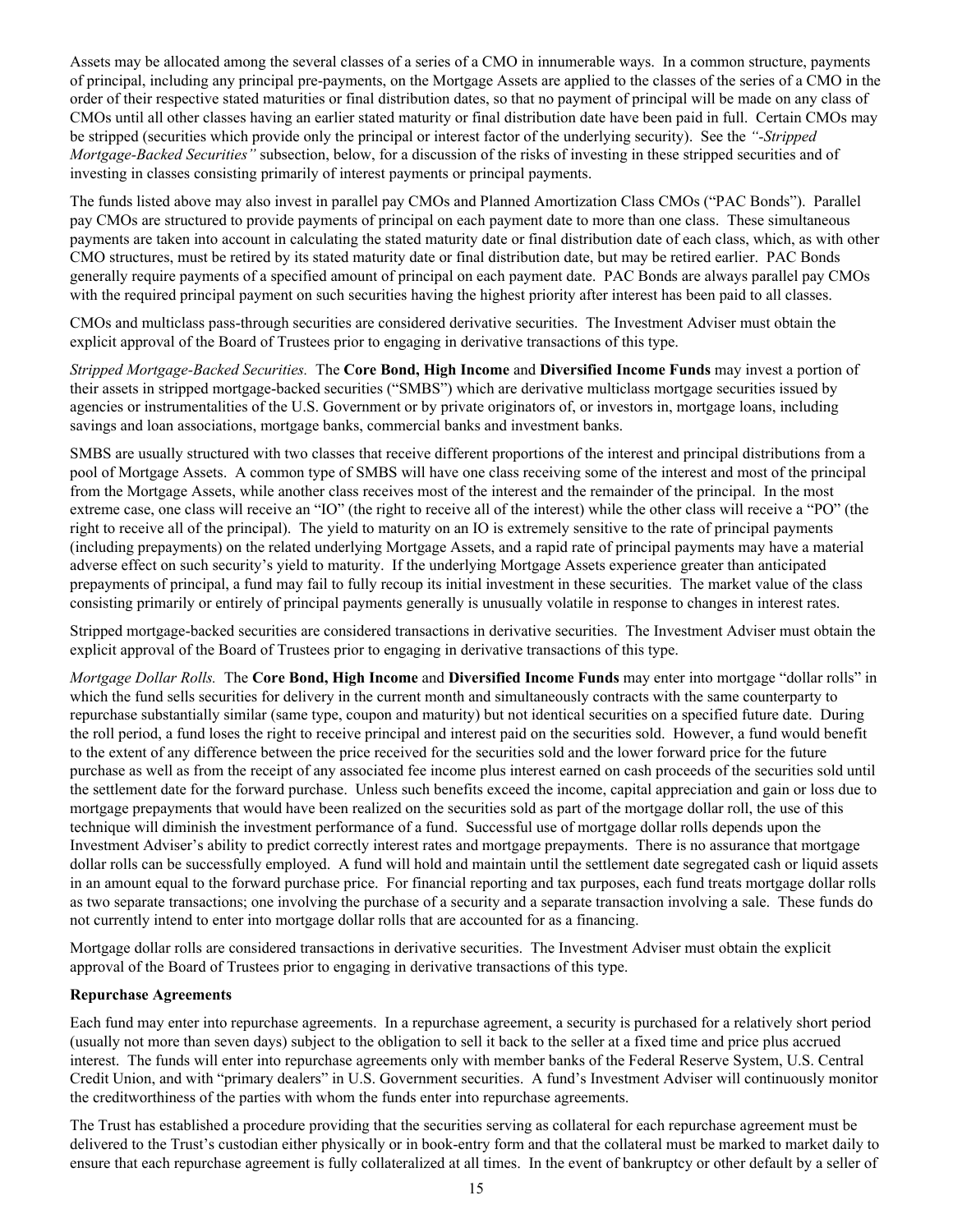<span id="page-18-0"></span>Assets may be allocated among the several classes of a series of a CMO in innumerable ways. In a common structure, payments of principal, including any principal pre-payments, on the Mortgage Assets are applied to the classes of the series of a CMO in the order of their respective stated maturities or final distribution dates, so that no payment of principal will be made on any class of CMOs until all other classes having an earlier stated maturity or final distribution date have been paid in full. Certain CMOs may be stripped (securities which provide only the principal or interest factor of the underlying security). See the *"-Stripped Mortgage-Backed Securities"* subsection, below, for a discussion of the risks of investing in these stripped securities and of investing in classes consisting primarily of interest payments or principal payments.

The funds listed above may also invest in parallel pay CMOs and Planned Amortization Class CMOs ("PAC Bonds"). Parallel pay CMOs are structured to provide payments of principal on each payment date to more than one class. These simultaneous payments are taken into account in calculating the stated maturity date or final distribution date of each class, which, as with other CMO structures, must be retired by its stated maturity date or final distribution date, but may be retired earlier. PAC Bonds generally require payments of a specified amount of principal on each payment date. PAC Bonds are always parallel pay CMOs with the required principal payment on such securities having the highest priority after interest has been paid to all classes.

CMOs and multiclass pass-through securities are considered derivative securities. The Investment Adviser must obtain the explicit approval of the Board of Trustees prior to engaging in derivative transactions of this type.

*Stripped Mortgage-Backed Securities.* The **Core Bond, High Income** and **Diversified Income Funds** may invest a portion of their assets in stripped mortgage-backed securities ("SMBS") which are derivative multiclass mortgage securities issued by agencies or instrumentalities of the U.S. Government or by private originators of, or investors in, mortgage loans, including savings and loan associations, mortgage banks, commercial banks and investment banks.

SMBS are usually structured with two classes that receive different proportions of the interest and principal distributions from a pool of Mortgage Assets. A common type of SMBS will have one class receiving some of the interest and most of the principal from the Mortgage Assets, while another class receives most of the interest and the remainder of the principal. In the most extreme case, one class will receive an "IO" (the right to receive all of the interest) while the other class will receive a "PO" (the right to receive all of the principal). The yield to maturity on an IO is extremely sensitive to the rate of principal payments (including prepayments) on the related underlying Mortgage Assets, and a rapid rate of principal payments may have a material adverse effect on such security's yield to maturity. If the underlying Mortgage Assets experience greater than anticipated prepayments of principal, a fund may fail to fully recoup its initial investment in these securities. The market value of the class consisting primarily or entirely of principal payments generally is unusually volatile in response to changes in interest rates.

Stripped mortgage-backed securities are considered transactions in derivative securities. The Investment Adviser must obtain the explicit approval of the Board of Trustees prior to engaging in derivative transactions of this type.

*Mortgage Dollar Rolls.* The **Core Bond, High Income** and **Diversified Income Funds** may enter into mortgage "dollar rolls" in which the fund sells securities for delivery in the current month and simultaneously contracts with the same counterparty to repurchase substantially similar (same type, coupon and maturity) but not identical securities on a specified future date. During the roll period, a fund loses the right to receive principal and interest paid on the securities sold. However, a fund would benefit to the extent of any difference between the price received for the securities sold and the lower forward price for the future purchase as well as from the receipt of any associated fee income plus interest earned on cash proceeds of the securities sold until the settlement date for the forward purchase. Unless such benefits exceed the income, capital appreciation and gain or loss due to mortgage prepayments that would have been realized on the securities sold as part of the mortgage dollar roll, the use of this technique will diminish the investment performance of a fund. Successful use of mortgage dollar rolls depends upon the Investment Adviser's ability to predict correctly interest rates and mortgage prepayments. There is no assurance that mortgage dollar rolls can be successfully employed. A fund will hold and maintain until the settlement date segregated cash or liquid assets in an amount equal to the forward purchase price. For financial reporting and tax purposes, each fund treats mortgage dollar rolls as two separate transactions; one involving the purchase of a security and a separate transaction involving a sale. These funds do not currently intend to enter into mortgage dollar rolls that are accounted for as a financing.

Mortgage dollar rolls are considered transactions in derivative securities. The Investment Adviser must obtain the explicit approval of the Board of Trustees prior to engaging in derivative transactions of this type.

#### **Repurchase Agreements**

Each fund may enter into repurchase agreements. In a repurchase agreement, a security is purchased for a relatively short period (usually not more than seven days) subject to the obligation to sell it back to the seller at a fixed time and price plus accrued interest. The funds will enter into repurchase agreements only with member banks of the Federal Reserve System, U.S. Central Credit Union, and with "primary dealers" in U.S. Government securities. A fund's Investment Adviser will continuously monitor the creditworthiness of the parties with whom the funds enter into repurchase agreements.

The Trust has established a procedure providing that the securities serving as collateral for each repurchase agreement must be delivered to the Trust's custodian either physically or in book-entry form and that the collateral must be marked to market daily to ensure that each repurchase agreement is fully collateralized at all times. In the event of bankruptcy or other default by a seller of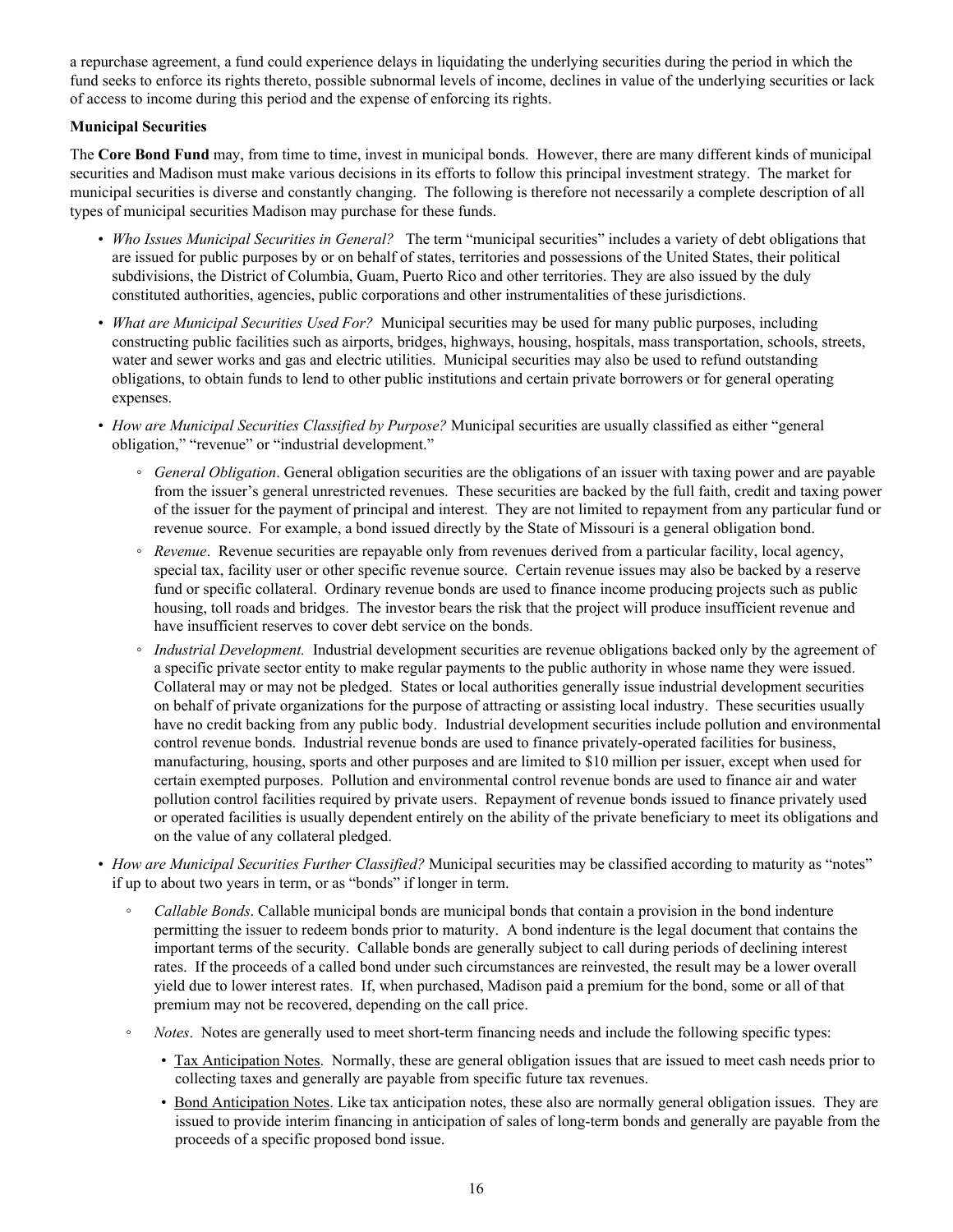<span id="page-19-0"></span>a repurchase agreement, a fund could experience delays in liquidating the underlying securities during the period in which the fund seeks to enforce its rights thereto, possible subnormal levels of income, declines in value of the underlying securities or lack of access to income during this period and the expense of enforcing its rights.

### **Municipal Securities**

The **Core Bond Fund** may, from time to time, invest in municipal bonds. However, there are many different kinds of municipal securities and Madison must make various decisions in its efforts to follow this principal investment strategy. The market for municipal securities is diverse and constantly changing. The following is therefore not necessarily a complete description of all types of municipal securities Madison may purchase for these funds.

- *Who Issues Municipal Securities in General?* The term "municipal securities" includes a variety of debt obligations that are issued for public purposes by or on behalf of states, territories and possessions of the United States, their political subdivisions, the District of Columbia, Guam, Puerto Rico and other territories. They are also issued by the duly constituted authorities, agencies, public corporations and other instrumentalities of these jurisdictions.
- *What are Municipal Securities Used For?* Municipal securities may be used for many public purposes, including constructing public facilities such as airports, bridges, highways, housing, hospitals, mass transportation, schools, streets, water and sewer works and gas and electric utilities. Municipal securities may also be used to refund outstanding obligations, to obtain funds to lend to other public institutions and certain private borrowers or for general operating expenses.
- *How are Municipal Securities Classified by Purpose?* Municipal securities are usually classified as either "general obligation," "revenue" or "industrial development."
	- *General Obligation*. General obligation securities are the obligations of an issuer with taxing power and are payable from the issuer's general unrestricted revenues. These securities are backed by the full faith, credit and taxing power of the issuer for the payment of principal and interest. They are not limited to repayment from any particular fund or revenue source. For example, a bond issued directly by the State of Missouri is a general obligation bond.
	- *Revenue*. Revenue securities are repayable only from revenues derived from a particular facility, local agency, special tax, facility user or other specific revenue source. Certain revenue issues may also be backed by a reserve fund or specific collateral. Ordinary revenue bonds are used to finance income producing projects such as public housing, toll roads and bridges. The investor bears the risk that the project will produce insufficient revenue and have insufficient reserves to cover debt service on the bonds.
	- *Industrial Development.* Industrial development securities are revenue obligations backed only by the agreement of a specific private sector entity to make regular payments to the public authority in whose name they were issued. Collateral may or may not be pledged. States or local authorities generally issue industrial development securities on behalf of private organizations for the purpose of attracting or assisting local industry. These securities usually have no credit backing from any public body. Industrial development securities include pollution and environmental control revenue bonds. Industrial revenue bonds are used to finance privately-operated facilities for business, manufacturing, housing, sports and other purposes and are limited to \$10 million per issuer, except when used for certain exempted purposes. Pollution and environmental control revenue bonds are used to finance air and water pollution control facilities required by private users. Repayment of revenue bonds issued to finance privately used or operated facilities is usually dependent entirely on the ability of the private beneficiary to meet its obligations and on the value of any collateral pledged.
- *How are Municipal Securities Further Classified?* Municipal securities may be classified according to maturity as "notes" if up to about two years in term, or as "bonds" if longer in term.
	- *Callable Bonds*. Callable municipal bonds are municipal bonds that contain a provision in the bond indenture permitting the issuer to redeem bonds prior to maturity. A bond indenture is the legal document that contains the important terms of the security. Callable bonds are generally subject to call during periods of declining interest rates. If the proceeds of a called bond under such circumstances are reinvested, the result may be a lower overall yield due to lower interest rates. If, when purchased, Madison paid a premium for the bond, some or all of that premium may not be recovered, depending on the call price.
	- *Notes*. Notes are generally used to meet short-term financing needs and include the following specific types:
		- Tax Anticipation Notes. Normally, these are general obligation issues that are issued to meet cash needs prior to collecting taxes and generally are payable from specific future tax revenues.
		- Bond Anticipation Notes. Like tax anticipation notes, these also are normally general obligation issues. They are issued to provide interim financing in anticipation of sales of long-term bonds and generally are payable from the proceeds of a specific proposed bond issue.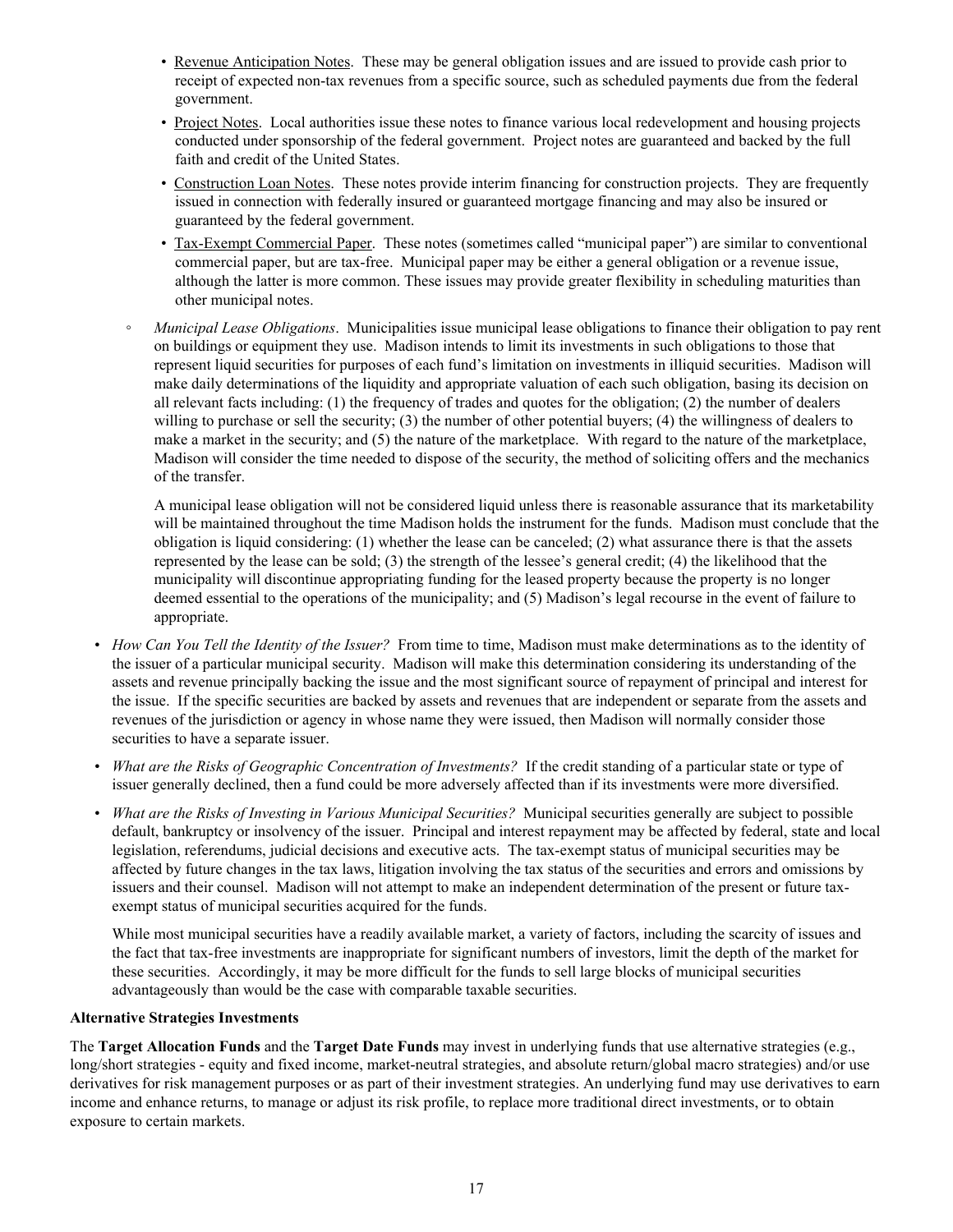- <span id="page-20-0"></span>• Revenue Anticipation Notes. These may be general obligation issues and are issued to provide cash prior to receipt of expected non-tax revenues from a specific source, such as scheduled payments due from the federal government.
- Project Notes. Local authorities issue these notes to finance various local redevelopment and housing projects conducted under sponsorship of the federal government. Project notes are guaranteed and backed by the full faith and credit of the United States.
- Construction Loan Notes. These notes provide interim financing for construction projects. They are frequently issued in connection with federally insured or guaranteed mortgage financing and may also be insured or guaranteed by the federal government.
- Tax-Exempt Commercial Paper. These notes (sometimes called "municipal paper") are similar to conventional commercial paper, but are tax-free. Municipal paper may be either a general obligation or a revenue issue, although the latter is more common. These issues may provide greater flexibility in scheduling maturities than other municipal notes.
- *Municipal Lease Obligations*. Municipalities issue municipal lease obligations to finance their obligation to pay rent on buildings or equipment they use. Madison intends to limit its investments in such obligations to those that represent liquid securities for purposes of each fund's limitation on investments in illiquid securities. Madison will make daily determinations of the liquidity and appropriate valuation of each such obligation, basing its decision on all relevant facts including: (1) the frequency of trades and quotes for the obligation; (2) the number of dealers willing to purchase or sell the security; (3) the number of other potential buyers; (4) the willingness of dealers to make a market in the security; and (5) the nature of the marketplace. With regard to the nature of the marketplace, Madison will consider the time needed to dispose of the security, the method of soliciting offers and the mechanics of the transfer.

 A municipal lease obligation will not be considered liquid unless there is reasonable assurance that its marketability will be maintained throughout the time Madison holds the instrument for the funds. Madison must conclude that the obligation is liquid considering: (1) whether the lease can be canceled; (2) what assurance there is that the assets represented by the lease can be sold; (3) the strength of the lessee's general credit; (4) the likelihood that the municipality will discontinue appropriating funding for the leased property because the property is no longer deemed essential to the operations of the municipality; and (5) Madison's legal recourse in the event of failure to appropriate.

- *How Can You Tell the Identity of the Issuer?* From time to time, Madison must make determinations as to the identity of the issuer of a particular municipal security. Madison will make this determination considering its understanding of the assets and revenue principally backing the issue and the most significant source of repayment of principal and interest for the issue. If the specific securities are backed by assets and revenues that are independent or separate from the assets and revenues of the jurisdiction or agency in whose name they were issued, then Madison will normally consider those securities to have a separate issuer.
- *What are the Risks of Geographic Concentration of Investments?*If the credit standing of a particular state or type of issuer generally declined, then a fund could be more adversely affected than if its investments were more diversified.
- *What are the Risks of Investing in Various Municipal Securities?* Municipal securities generally are subject to possible default, bankruptcy or insolvency of the issuer. Principal and interest repayment may be affected by federal, state and local legislation, referendums, judicial decisions and executive acts. The tax-exempt status of municipal securities may be affected by future changes in the tax laws, litigation involving the tax status of the securities and errors and omissions by issuers and their counsel. Madison will not attempt to make an independent determination of the present or future taxexempt status of municipal securities acquired for the funds.

While most municipal securities have a readily available market, a variety of factors, including the scarcity of issues and the fact that tax-free investments are inappropriate for significant numbers of investors, limit the depth of the market for these securities. Accordingly, it may be more difficult for the funds to sell large blocks of municipal securities advantageously than would be the case with comparable taxable securities.

#### **Alternative Strategies Investments**

The **Target Allocation Funds** and the **Target Date Funds** may invest in underlying funds that use alternative strategies (e.g., long/short strategies - equity and fixed income, market-neutral strategies, and absolute return/global macro strategies) and/or use derivatives for risk management purposes or as part of their investment strategies. An underlying fund may use derivatives to earn income and enhance returns, to manage or adjust its risk profile, to replace more traditional direct investments, or to obtain exposure to certain markets.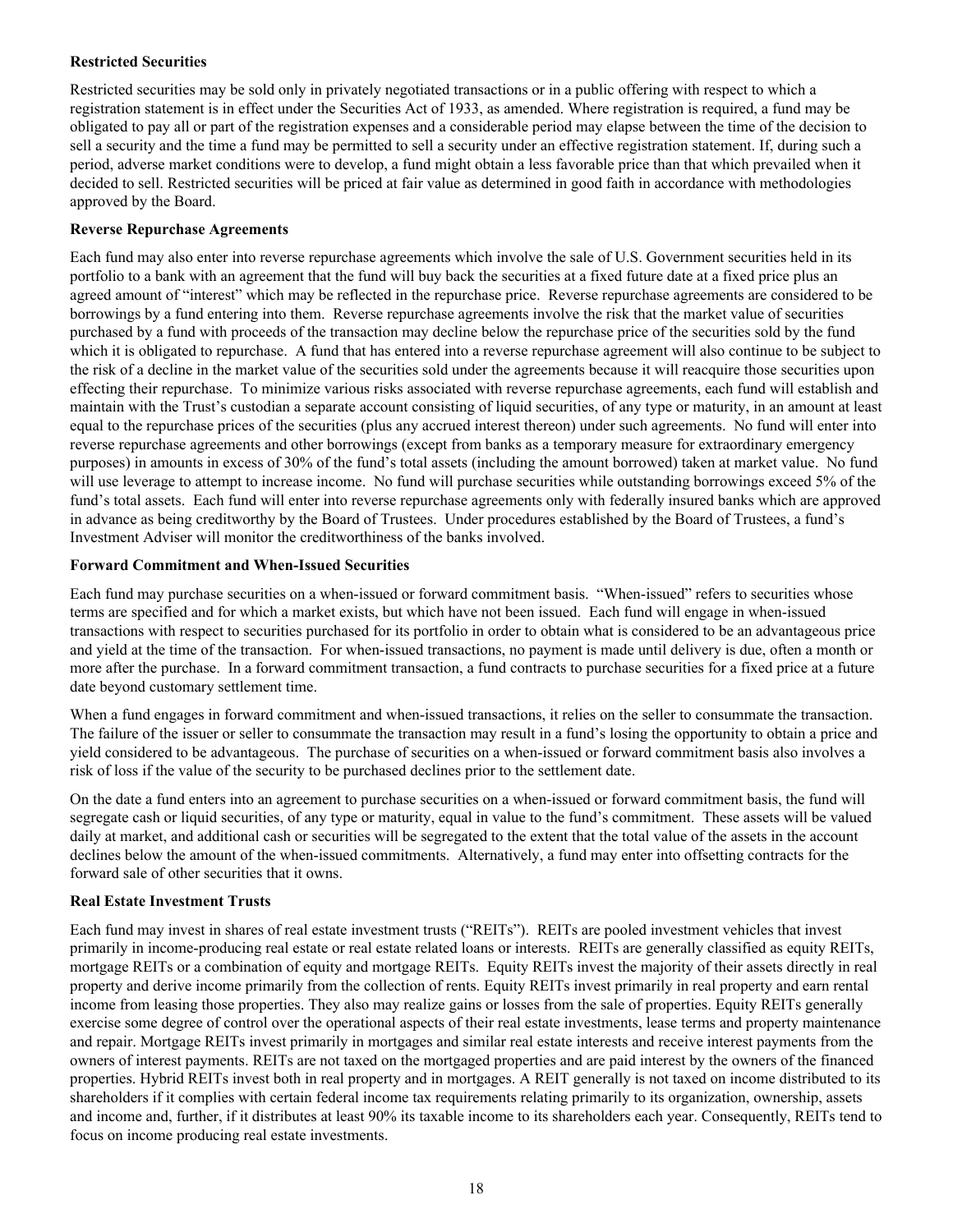### <span id="page-21-0"></span>**Restricted Securities**

Restricted securities may be sold only in privately negotiated transactions or in a public offering with respect to which a registration statement is in effect under the Securities Act of 1933, as amended. Where registration is required, a fund may be obligated to pay all or part of the registration expenses and a considerable period may elapse between the time of the decision to sell a security and the time a fund may be permitted to sell a security under an effective registration statement. If, during such a period, adverse market conditions were to develop, a fund might obtain a less favorable price than that which prevailed when it decided to sell. Restricted securities will be priced at fair value as determined in good faith in accordance with methodologies approved by the Board.

#### **Reverse Repurchase Agreements**

Each fund may also enter into reverse repurchase agreements which involve the sale of U.S. Government securities held in its portfolio to a bank with an agreement that the fund will buy back the securities at a fixed future date at a fixed price plus an agreed amount of "interest" which may be reflected in the repurchase price. Reverse repurchase agreements are considered to be borrowings by a fund entering into them. Reverse repurchase agreements involve the risk that the market value of securities purchased by a fund with proceeds of the transaction may decline below the repurchase price of the securities sold by the fund which it is obligated to repurchase. A fund that has entered into a reverse repurchase agreement will also continue to be subject to the risk of a decline in the market value of the securities sold under the agreements because it will reacquire those securities upon effecting their repurchase. To minimize various risks associated with reverse repurchase agreements, each fund will establish and maintain with the Trust's custodian a separate account consisting of liquid securities, of any type or maturity, in an amount at least equal to the repurchase prices of the securities (plus any accrued interest thereon) under such agreements. No fund will enter into reverse repurchase agreements and other borrowings (except from banks as a temporary measure for extraordinary emergency purposes) in amounts in excess of 30% of the fund's total assets (including the amount borrowed) taken at market value. No fund will use leverage to attempt to increase income. No fund will purchase securities while outstanding borrowings exceed 5% of the fund's total assets. Each fund will enter into reverse repurchase agreements only with federally insured banks which are approved in advance as being creditworthy by the Board of Trustees. Under procedures established by the Board of Trustees, a fund's Investment Adviser will monitor the creditworthiness of the banks involved.

### **Forward Commitment and When-Issued Securities**

Each fund may purchase securities on a when-issued or forward commitment basis. "When-issued" refers to securities whose terms are specified and for which a market exists, but which have not been issued. Each fund will engage in when-issued transactions with respect to securities purchased for its portfolio in order to obtain what is considered to be an advantageous price and yield at the time of the transaction. For when-issued transactions, no payment is made until delivery is due, often a month or more after the purchase. In a forward commitment transaction, a fund contracts to purchase securities for a fixed price at a future date beyond customary settlement time.

When a fund engages in forward commitment and when-issued transactions, it relies on the seller to consummate the transaction. The failure of the issuer or seller to consummate the transaction may result in a fund's losing the opportunity to obtain a price and yield considered to be advantageous. The purchase of securities on a when-issued or forward commitment basis also involves a risk of loss if the value of the security to be purchased declines prior to the settlement date.

On the date a fund enters into an agreement to purchase securities on a when-issued or forward commitment basis, the fund will segregate cash or liquid securities, of any type or maturity, equal in value to the fund's commitment. These assets will be valued daily at market, and additional cash or securities will be segregated to the extent that the total value of the assets in the account declines below the amount of the when-issued commitments. Alternatively, a fund may enter into offsetting contracts for the forward sale of other securities that it owns.

## **Real Estate Investment Trusts**

Each fund may invest in shares of real estate investment trusts ("REITs"). REITs are pooled investment vehicles that invest primarily in income-producing real estate or real estate related loans or interests. REITs are generally classified as equity REITs, mortgage REITs or a combination of equity and mortgage REITs. Equity REITs invest the majority of their assets directly in real property and derive income primarily from the collection of rents. Equity REITs invest primarily in real property and earn rental income from leasing those properties. They also may realize gains or losses from the sale of properties. Equity REITs generally exercise some degree of control over the operational aspects of their real estate investments, lease terms and property maintenance and repair. Mortgage REITs invest primarily in mortgages and similar real estate interests and receive interest payments from the owners of interest payments. REITs are not taxed on the mortgaged properties and are paid interest by the owners of the financed properties. Hybrid REITs invest both in real property and in mortgages. A REIT generally is not taxed on income distributed to its shareholders if it complies with certain federal income tax requirements relating primarily to its organization, ownership, assets and income and, further, if it distributes at least 90% its taxable income to its shareholders each year. Consequently, REITs tend to focus on income producing real estate investments.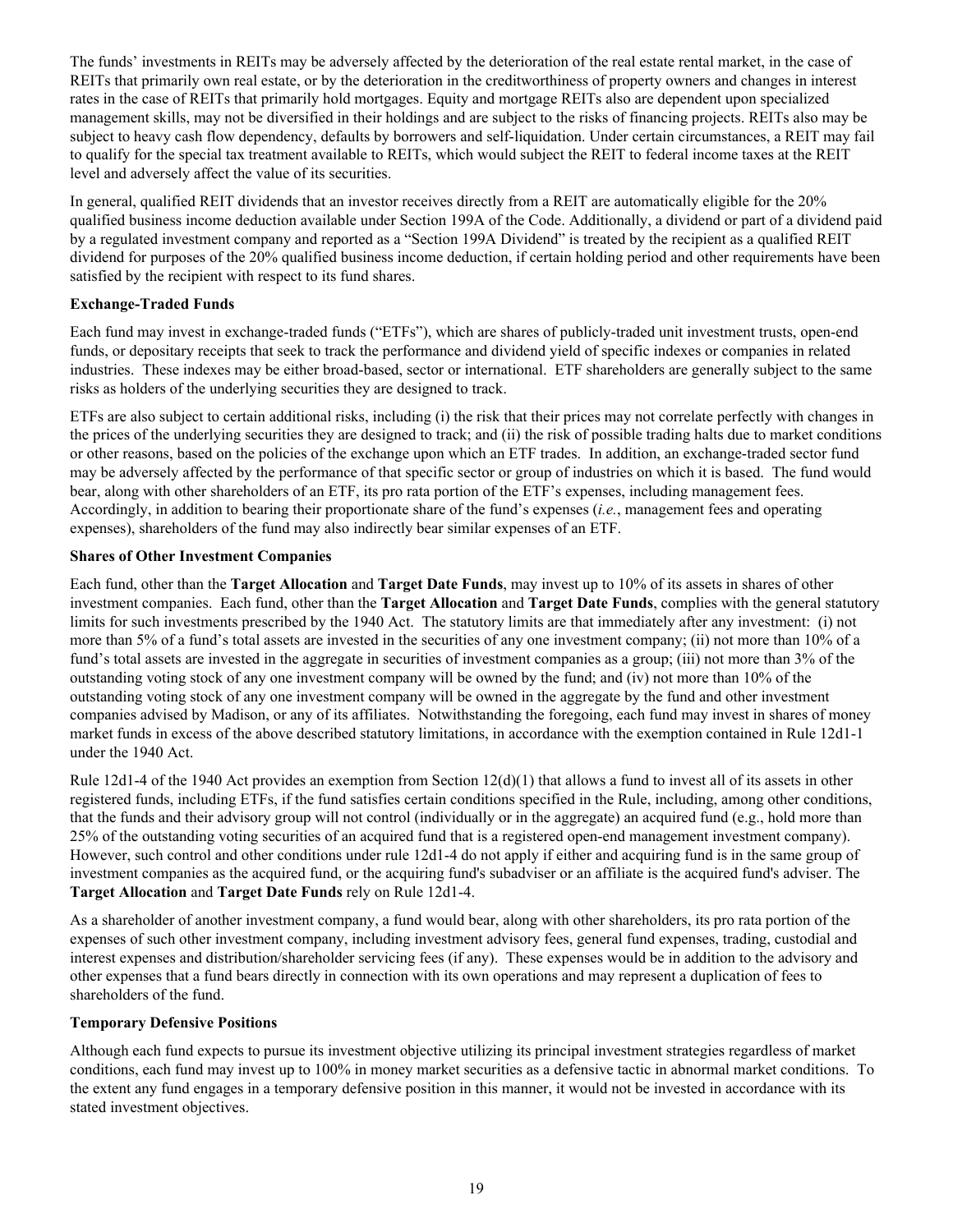<span id="page-22-0"></span>The funds' investments in REITs may be adversely affected by the deterioration of the real estate rental market, in the case of REITs that primarily own real estate, or by the deterioration in the creditworthiness of property owners and changes in interest rates in the case of REITs that primarily hold mortgages. Equity and mortgage REITs also are dependent upon specialized management skills, may not be diversified in their holdings and are subject to the risks of financing projects. REITs also may be subject to heavy cash flow dependency, defaults by borrowers and self-liquidation. Under certain circumstances, a REIT may fail to qualify for the special tax treatment available to REITs, which would subject the REIT to federal income taxes at the REIT level and adversely affect the value of its securities.

In general, qualified REIT dividends that an investor receives directly from a REIT are automatically eligible for the 20% qualified business income deduction available under Section 199A of the Code. Additionally, a dividend or part of a dividend paid by a regulated investment company and reported as a "Section 199A Dividend" is treated by the recipient as a qualified REIT dividend for purposes of the 20% qualified business income deduction, if certain holding period and other requirements have been satisfied by the recipient with respect to its fund shares.

## **Exchange-Traded Funds**

Each fund may invest in exchange-traded funds ("ETFs"), which are shares of publicly-traded unit investment trusts, open-end funds, or depositary receipts that seek to track the performance and dividend yield of specific indexes or companies in related industries. These indexes may be either broad-based, sector or international. ETF shareholders are generally subject to the same risks as holders of the underlying securities they are designed to track.

ETFs are also subject to certain additional risks, including (i) the risk that their prices may not correlate perfectly with changes in the prices of the underlying securities they are designed to track; and (ii) the risk of possible trading halts due to market conditions or other reasons, based on the policies of the exchange upon which an ETF trades. In addition, an exchange-traded sector fund may be adversely affected by the performance of that specific sector or group of industries on which it is based. The fund would bear, along with other shareholders of an ETF, its pro rata portion of the ETF's expenses, including management fees. Accordingly, in addition to bearing their proportionate share of the fund's expenses (*i.e.*, management fees and operating expenses), shareholders of the fund may also indirectly bear similar expenses of an ETF.

### **Shares of Other Investment Companies**

Each fund, other than the **Target Allocation** and **Target Date Funds**, may invest up to 10% of its assets in shares of other investment companies. Each fund, other than the **Target Allocation** and **Target Date Funds**, complies with the general statutory limits for such investments prescribed by the 1940 Act. The statutory limits are that immediately after any investment: (i) not more than 5% of a fund's total assets are invested in the securities of any one investment company; (ii) not more than 10% of a fund's total assets are invested in the aggregate in securities of investment companies as a group; (iii) not more than 3% of the outstanding voting stock of any one investment company will be owned by the fund; and (iv) not more than 10% of the outstanding voting stock of any one investment company will be owned in the aggregate by the fund and other investment companies advised by Madison, or any of its affiliates. Notwithstanding the foregoing, each fund may invest in shares of money market funds in excess of the above described statutory limitations, in accordance with the exemption contained in Rule 12d1-1 under the 1940 Act.

Rule 12d1-4 of the 1940 Act provides an exemption from Section  $12(d)(1)$  that allows a fund to invest all of its assets in other registered funds, including ETFs, if the fund satisfies certain conditions specified in the Rule, including, among other conditions, that the funds and their advisory group will not control (individually or in the aggregate) an acquired fund (e.g., hold more than 25% of the outstanding voting securities of an acquired fund that is a registered open-end management investment company). However, such control and other conditions under rule 12d1-4 do not apply if either and acquiring fund is in the same group of investment companies as the acquired fund, or the acquiring fund's subadviser or an affiliate is the acquired fund's adviser. The **Target Allocation** and **Target Date Funds** rely on Rule 12d1-4.

As a shareholder of another investment company, a fund would bear, along with other shareholders, its pro rata portion of the expenses of such other investment company, including investment advisory fees, general fund expenses, trading, custodial and interest expenses and distribution/shareholder servicing fees (if any). These expenses would be in addition to the advisory and other expenses that a fund bears directly in connection with its own operations and may represent a duplication of fees to shareholders of the fund.

#### **Temporary Defensive Positions**

Although each fund expects to pursue its investment objective utilizing its principal investment strategies regardless of market conditions, each fund may invest up to 100% in money market securities as a defensive tactic in abnormal market conditions. To the extent any fund engages in a temporary defensive position in this manner, it would not be invested in accordance with its stated investment objectives.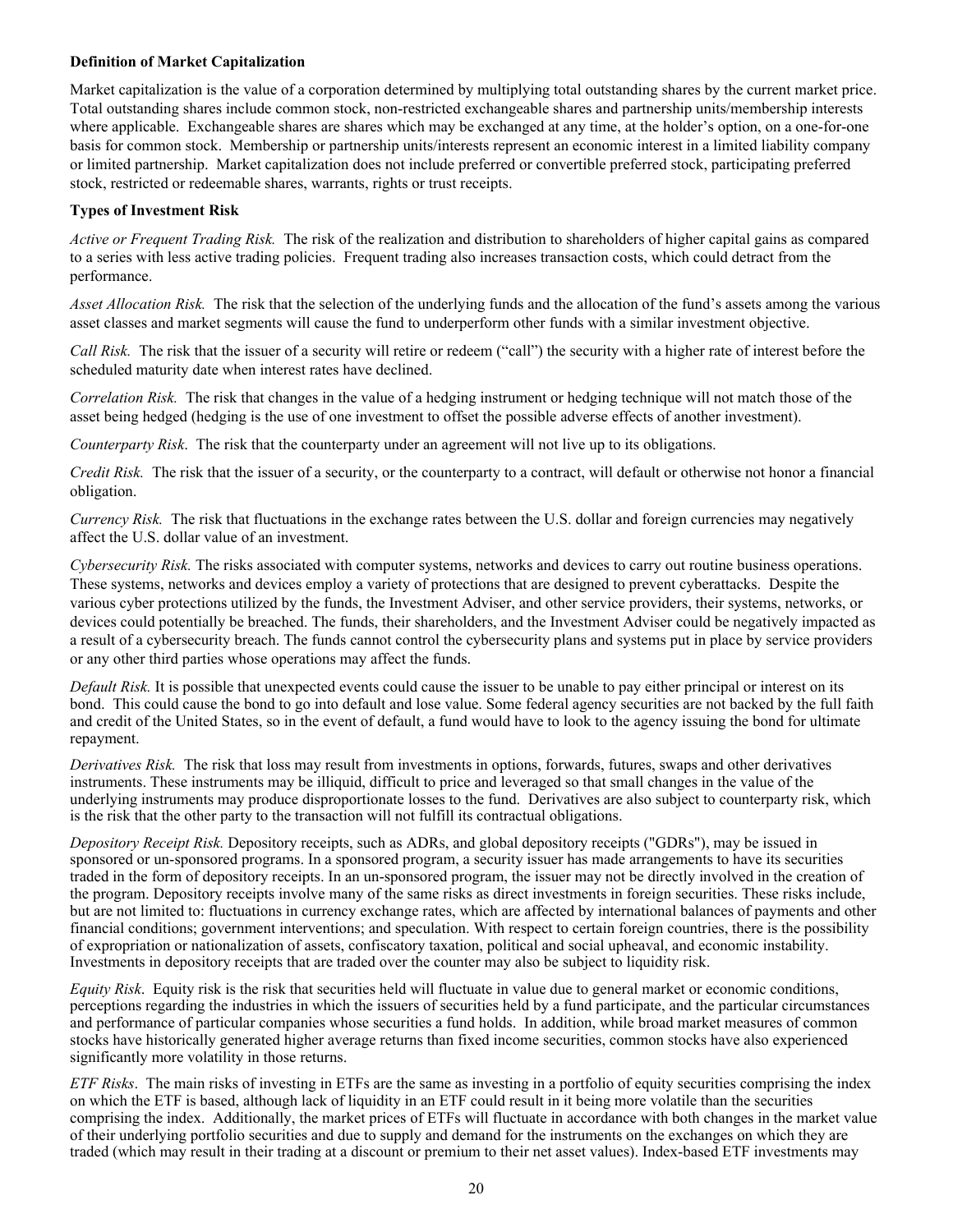#### <span id="page-23-0"></span>**Definition of Market Capitalization**

Market capitalization is the value of a corporation determined by multiplying total outstanding shares by the current market price. Total outstanding shares include common stock, non-restricted exchangeable shares and partnership units/membership interests where applicable. Exchangeable shares are shares which may be exchanged at any time, at the holder's option, on a one-for-one basis for common stock. Membership or partnership units/interests represent an economic interest in a limited liability company or limited partnership. Market capitalization does not include preferred or convertible preferred stock, participating preferred stock, restricted or redeemable shares, warrants, rights or trust receipts.

#### **Types of Investment Risk**

*Active or Frequent Trading Risk.* The risk of the realization and distribution to shareholders of higher capital gains as compared to a series with less active trading policies. Frequent trading also increases transaction costs, which could detract from the performance.

*Asset Allocation Risk.* The risk that the selection of the underlying funds and the allocation of the fund's assets among the various asset classes and market segments will cause the fund to underperform other funds with a similar investment objective.

*Call Risk.* The risk that the issuer of a security will retire or redeem ("call") the security with a higher rate of interest before the scheduled maturity date when interest rates have declined.

*Correlation Risk.* The risk that changes in the value of a hedging instrument or hedging technique will not match those of the asset being hedged (hedging is the use of one investment to offset the possible adverse effects of another investment).

*Counterparty Risk*. The risk that the counterparty under an agreement will not live up to its obligations.

*Credit Risk.* The risk that the issuer of a security, or the counterparty to a contract, will default or otherwise not honor a financial obligation.

*Currency Risk.* The risk that fluctuations in the exchange rates between the U.S. dollar and foreign currencies may negatively affect the U.S. dollar value of an investment.

*Cybersecurity Risk.* The risks associated with computer systems, networks and devices to carry out routine business operations. These systems, networks and devices employ a variety of protections that are designed to prevent cyberattacks. Despite the various cyber protections utilized by the funds, the Investment Adviser, and other service providers, their systems, networks, or devices could potentially be breached. The funds, their shareholders, and the Investment Adviser could be negatively impacted as a result of a cybersecurity breach. The funds cannot control the cybersecurity plans and systems put in place by service providers or any other third parties whose operations may affect the funds.

*Default Risk.* It is possible that unexpected events could cause the issuer to be unable to pay either principal or interest on its bond. This could cause the bond to go into default and lose value. Some federal agency securities are not backed by the full faith and credit of the United States, so in the event of default, a fund would have to look to the agency issuing the bond for ultimate repayment.

*Derivatives Risk.* The risk that loss may result from investments in options, forwards, futures, swaps and other derivatives instruments. These instruments may be illiquid, difficult to price and leveraged so that small changes in the value of the underlying instruments may produce disproportionate losses to the fund. Derivatives are also subject to counterparty risk, which is the risk that the other party to the transaction will not fulfill its contractual obligations.

*Depository Receipt Risk.* Depository receipts, such as ADRs, and global depository receipts ("GDRs"), may be issued in sponsored or un-sponsored programs. In a sponsored program, a security issuer has made arrangements to have its securities traded in the form of depository receipts. In an un-sponsored program, the issuer may not be directly involved in the creation of the program. Depository receipts involve many of the same risks as direct investments in foreign securities. These risks include, but are not limited to: fluctuations in currency exchange rates, which are affected by international balances of payments and other financial conditions; government interventions; and speculation. With respect to certain foreign countries, there is the possibility of expropriation or nationalization of assets, confiscatory taxation, political and social upheaval, and economic instability. Investments in depository receipts that are traded over the counter may also be subject to liquidity risk.

*Equity Risk*. Equity risk is the risk that securities held will fluctuate in value due to general market or economic conditions, perceptions regarding the industries in which the issuers of securities held by a fund participate, and the particular circumstances and performance of particular companies whose securities a fund holds. In addition, while broad market measures of common stocks have historically generated higher average returns than fixed income securities, common stocks have also experienced significantly more volatility in those returns.

*ETF Risks*. The main risks of investing in ETFs are the same as investing in a portfolio of equity securities comprising the index on which the ETF is based, although lack of liquidity in an ETF could result in it being more volatile than the securities comprising the index. Additionally, the market prices of ETFs will fluctuate in accordance with both changes in the market value of their underlying portfolio securities and due to supply and demand for the instruments on the exchanges on which they are traded (which may result in their trading at a discount or premium to their net asset values). Index-based ETF investments may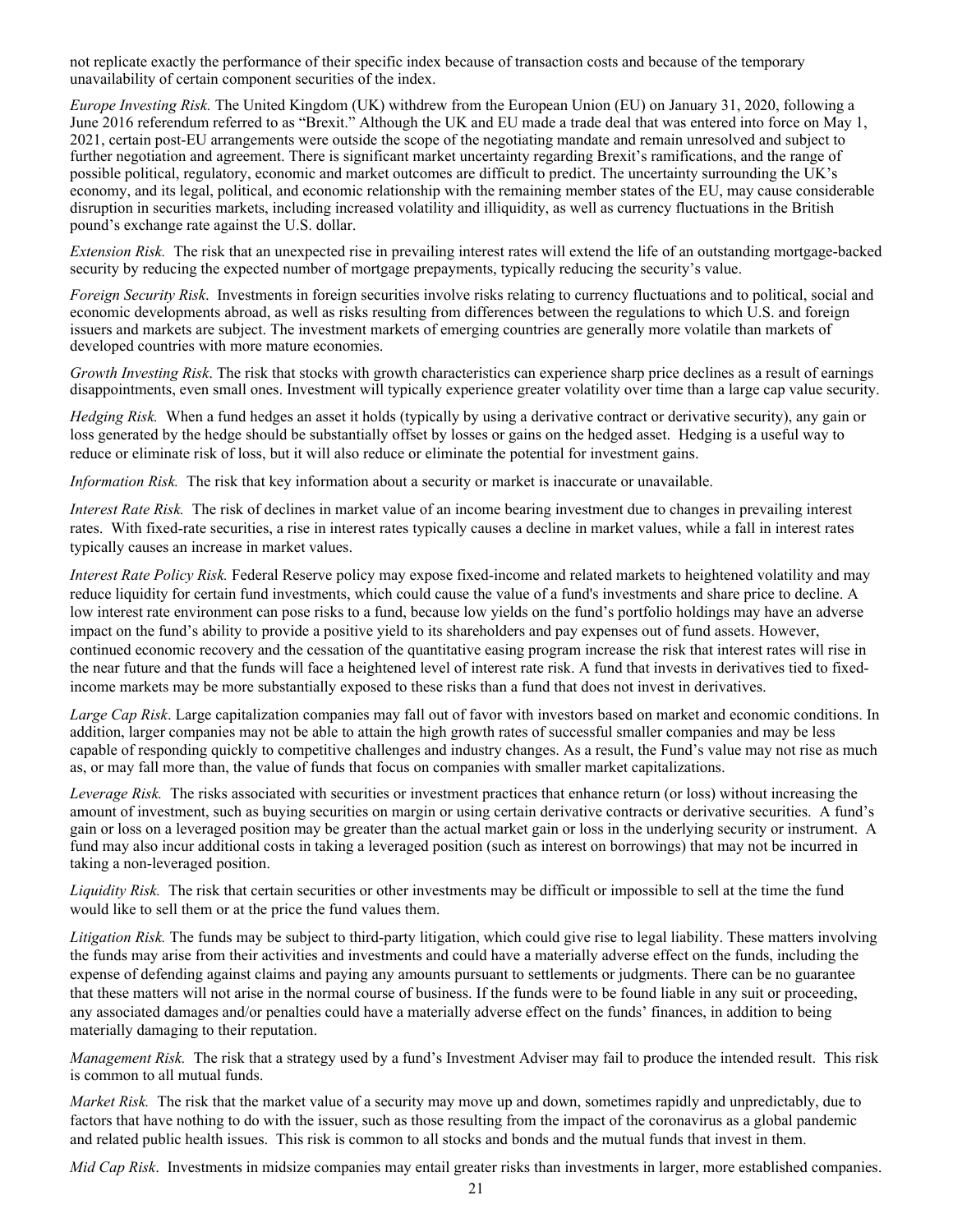not replicate exactly the performance of their specific index because of transaction costs and because of the temporary unavailability of certain component securities of the index.

*Europe Investing Risk.* The United Kingdom (UK) withdrew from the European Union (EU) on January 31, 2020, following a June 2016 referendum referred to as "Brexit." Although the UK and EU made a trade deal that was entered into force on May 1, 2021, certain post-EU arrangements were outside the scope of the negotiating mandate and remain unresolved and subject to further negotiation and agreement. There is significant market uncertainty regarding Brexit's ramifications, and the range of possible political, regulatory, economic and market outcomes are difficult to predict. The uncertainty surrounding the UK's economy, and its legal, political, and economic relationship with the remaining member states of the EU, may cause considerable disruption in securities markets, including increased volatility and illiquidity, as well as currency fluctuations in the British pound's exchange rate against the U.S. dollar.

*Extension Risk.* The risk that an unexpected rise in prevailing interest rates will extend the life of an outstanding mortgage-backed security by reducing the expected number of mortgage prepayments, typically reducing the security's value.

*Foreign Security Risk*. Investments in foreign securities involve risks relating to currency fluctuations and to political, social and economic developments abroad, as well as risks resulting from differences between the regulations to which U.S. and foreign issuers and markets are subject. The investment markets of emerging countries are generally more volatile than markets of developed countries with more mature economies.

*Growth Investing Risk*. The risk that stocks with growth characteristics can experience sharp price declines as a result of earnings disappointments, even small ones. Investment will typically experience greater volatility over time than a large cap value security.

*Hedging Risk.* When a fund hedges an asset it holds (typically by using a derivative contract or derivative security), any gain or loss generated by the hedge should be substantially offset by losses or gains on the hedged asset. Hedging is a useful way to reduce or eliminate risk of loss, but it will also reduce or eliminate the potential for investment gains.

*Information Risk.* The risk that key information about a security or market is inaccurate or unavailable.

*Interest Rate Risk.* The risk of declines in market value of an income bearing investment due to changes in prevailing interest rates. With fixed-rate securities, a rise in interest rates typically causes a decline in market values, while a fall in interest rates typically causes an increase in market values.

*Interest Rate Policy Risk.* Federal Reserve policy may expose fixed-income and related markets to heightened volatility and may reduce liquidity for certain fund investments, which could cause the value of a fund's investments and share price to decline. A low interest rate environment can pose risks to a fund, because low yields on the fund's portfolio holdings may have an adverse impact on the fund's ability to provide a positive yield to its shareholders and pay expenses out of fund assets. However, continued economic recovery and the cessation of the quantitative easing program increase the risk that interest rates will rise in the near future and that the funds will face a heightened level of interest rate risk. A fund that invests in derivatives tied to fixedincome markets may be more substantially exposed to these risks than a fund that does not invest in derivatives.

*Large Cap Risk*. Large capitalization companies may fall out of favor with investors based on market and economic conditions. In addition, larger companies may not be able to attain the high growth rates of successful smaller companies and may be less capable of responding quickly to competitive challenges and industry changes. As a result, the Fund's value may not rise as much as, or may fall more than, the value of funds that focus on companies with smaller market capitalizations.

*Leverage Risk.* The risks associated with securities or investment practices that enhance return (or loss) without increasing the amount of investment, such as buying securities on margin or using certain derivative contracts or derivative securities. A fund's gain or loss on a leveraged position may be greater than the actual market gain or loss in the underlying security or instrument. A fund may also incur additional costs in taking a leveraged position (such as interest on borrowings) that may not be incurred in taking a non-leveraged position.

*Liquidity Risk.* The risk that certain securities or other investments may be difficult or impossible to sell at the time the fund would like to sell them or at the price the fund values them.

*Litigation Risk.* The funds may be subject to third-party litigation, which could give rise to legal liability. These matters involving the funds may arise from their activities and investments and could have a materially adverse effect on the funds, including the expense of defending against claims and paying any amounts pursuant to settlements or judgments. There can be no guarantee that these matters will not arise in the normal course of business. If the funds were to be found liable in any suit or proceeding, any associated damages and/or penalties could have a materially adverse effect on the funds' finances, in addition to being materially damaging to their reputation.

*Management Risk.* The risk that a strategy used by a fund's Investment Adviser may fail to produce the intended result. This risk is common to all mutual funds.

*Market Risk.* The risk that the market value of a security may move up and down, sometimes rapidly and unpredictably, due to factors that have nothing to do with the issuer, such as those resulting from the impact of the coronavirus as a global pandemic and related public health issues. This risk is common to all stocks and bonds and the mutual funds that invest in them.

*Mid Cap Risk*. Investments in midsize companies may entail greater risks than investments in larger, more established companies.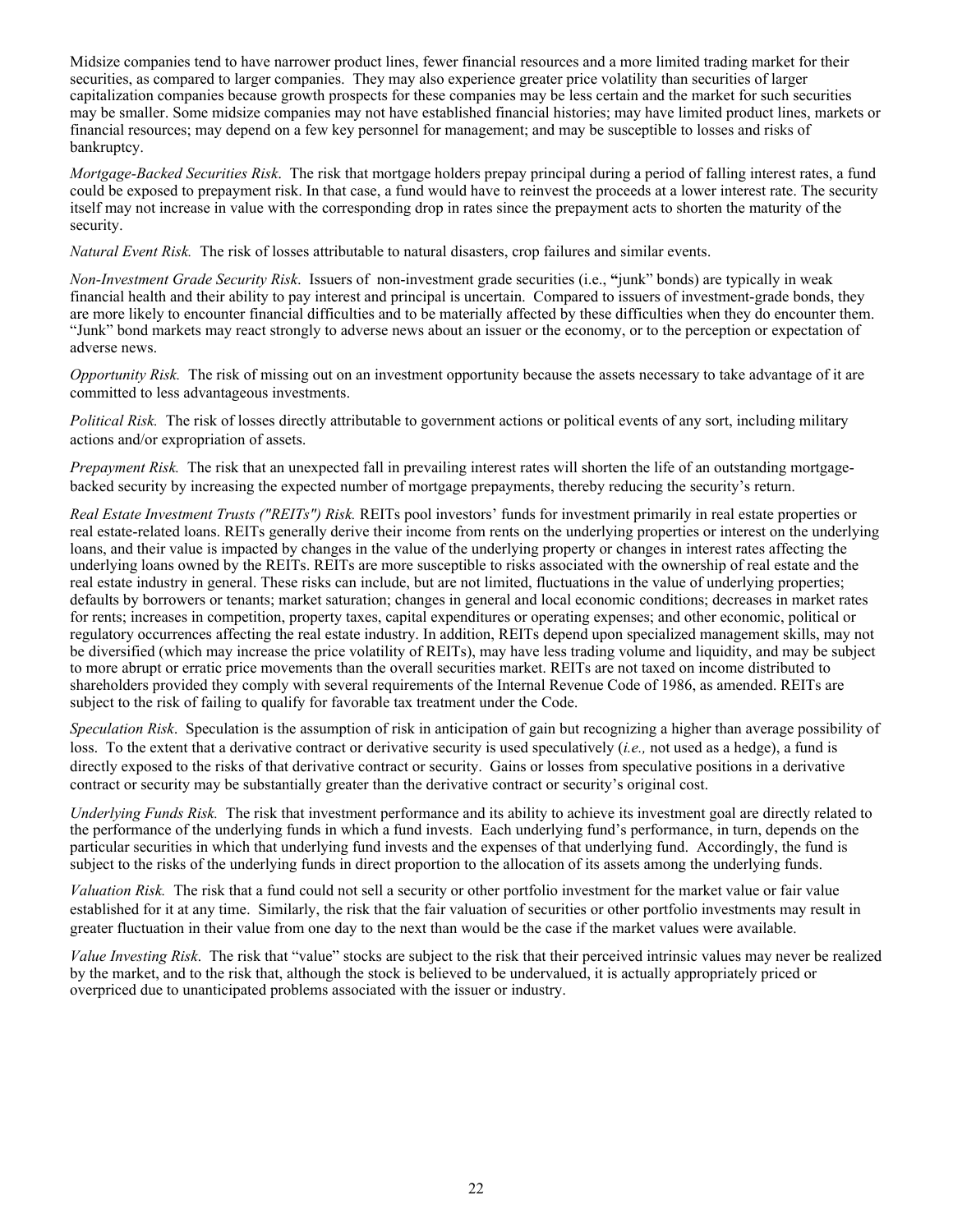<span id="page-25-0"></span>Midsize companies tend to have narrower product lines, fewer financial resources and a more limited trading market for their securities, as compared to larger companies. They may also experience greater price volatility than securities of larger capitalization companies because growth prospects for these companies may be less certain and the market for such securities may be smaller. Some midsize companies may not have established financial histories; may have limited product lines, markets or financial resources; may depend on a few key personnel for management; and may be susceptible to losses and risks of bankruptcy.

*Mortgage-Backed Securities Risk*. The risk that mortgage holders prepay principal during a period of falling interest rates, a fund could be exposed to prepayment risk. In that case, a fund would have to reinvest the proceeds at a lower interest rate. The security itself may not increase in value with the corresponding drop in rates since the prepayment acts to shorten the maturity of the security.

*Natural Event Risk.* The risk of losses attributable to natural disasters, crop failures and similar events.

*Non-Investment Grade Security Risk*. Issuers of non-investment grade securities (i.e., **"**junk" bonds) are typically in weak financial health and their ability to pay interest and principal is uncertain. Compared to issuers of investment-grade bonds, they are more likely to encounter financial difficulties and to be materially affected by these difficulties when they do encounter them. "Junk" bond markets may react strongly to adverse news about an issuer or the economy, or to the perception or expectation of adverse news.

*Opportunity Risk.* The risk of missing out on an investment opportunity because the assets necessary to take advantage of it are committed to less advantageous investments.

*Political Risk.* The risk of losses directly attributable to government actions or political events of any sort, including military actions and/or expropriation of assets.

*Prepayment Risk.* The risk that an unexpected fall in prevailing interest rates will shorten the life of an outstanding mortgagebacked security by increasing the expected number of mortgage prepayments, thereby reducing the security's return.

*Real Estate Investment Trusts ("REITs") Risk.* REITs pool investors' funds for investment primarily in real estate properties or real estate-related loans. REITs generally derive their income from rents on the underlying properties or interest on the underlying loans, and their value is impacted by changes in the value of the underlying property or changes in interest rates affecting the underlying loans owned by the REITs. REITs are more susceptible to risks associated with the ownership of real estate and the real estate industry in general. These risks can include, but are not limited, fluctuations in the value of underlying properties; defaults by borrowers or tenants; market saturation; changes in general and local economic conditions; decreases in market rates for rents; increases in competition, property taxes, capital expenditures or operating expenses; and other economic, political or regulatory occurrences affecting the real estate industry. In addition, REITs depend upon specialized management skills, may not be diversified (which may increase the price volatility of REITs), may have less trading volume and liquidity, and may be subject to more abrupt or erratic price movements than the overall securities market. REITs are not taxed on income distributed to shareholders provided they comply with several requirements of the Internal Revenue Code of 1986, as amended. REITs are subject to the risk of failing to qualify for favorable tax treatment under the Code.

*Speculation Risk*. Speculation is the assumption of risk in anticipation of gain but recognizing a higher than average possibility of loss. To the extent that a derivative contract or derivative security is used speculatively (*i.e.,* not used as a hedge), a fund is directly exposed to the risks of that derivative contract or security. Gains or losses from speculative positions in a derivative contract or security may be substantially greater than the derivative contract or security's original cost.

*Underlying Funds Risk.* The risk that investment performance and its ability to achieve its investment goal are directly related to the performance of the underlying funds in which a fund invests. Each underlying fund's performance, in turn, depends on the particular securities in which that underlying fund invests and the expenses of that underlying fund. Accordingly, the fund is subject to the risks of the underlying funds in direct proportion to the allocation of its assets among the underlying funds.

*Valuation Risk.* The risk that a fund could not sell a security or other portfolio investment for the market value or fair value established for it at any time. Similarly, the risk that the fair valuation of securities or other portfolio investments may result in greater fluctuation in their value from one day to the next than would be the case if the market values were available.

*Value Investing Risk*. The risk that "value" stocks are subject to the risk that their perceived intrinsic values may never be realized by the market, and to the risk that, although the stock is believed to be undervalued, it is actually appropriately priced or overpriced due to unanticipated problems associated with the issuer or industry.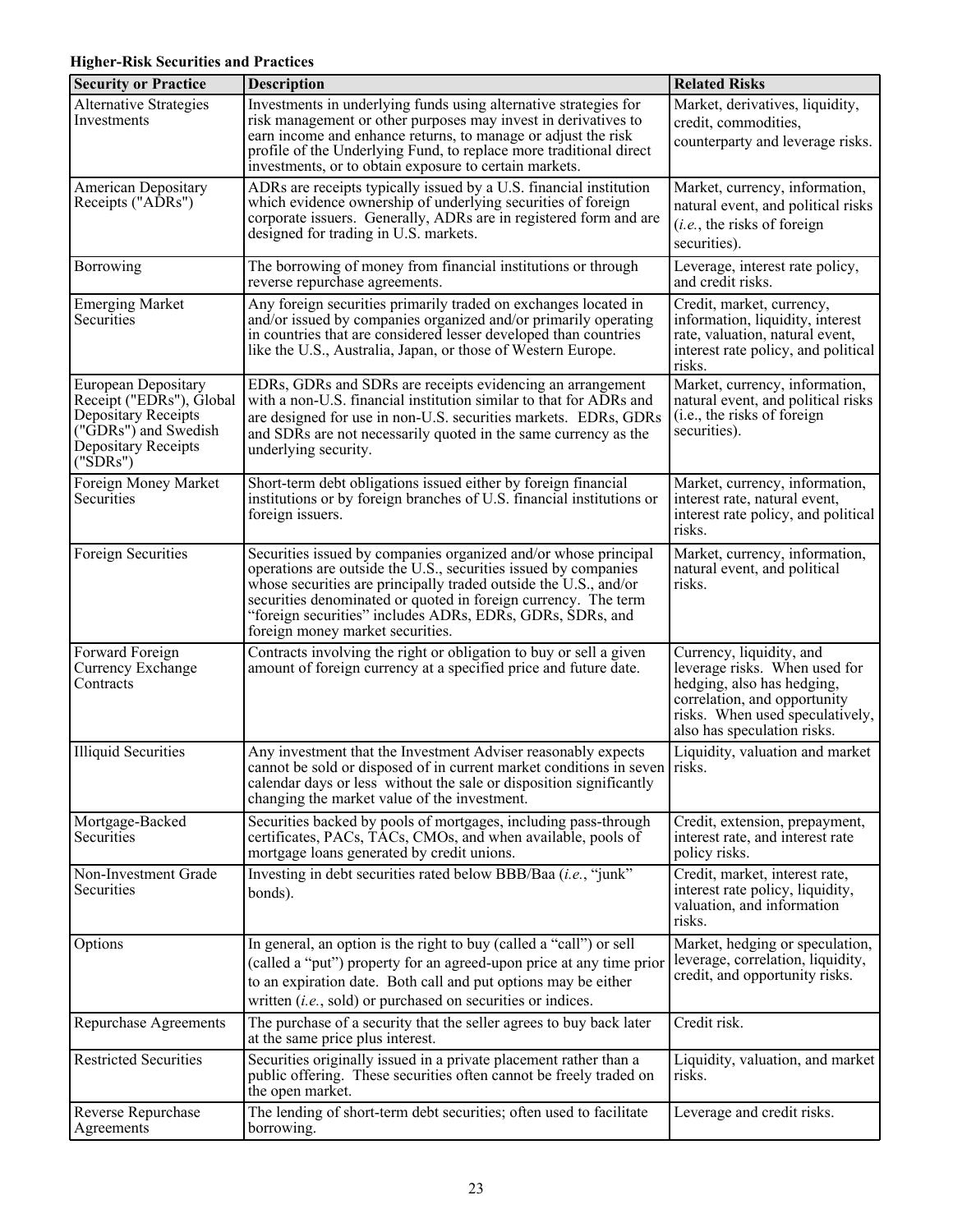# **Higher-Risk Securities and Practices**

| <b>Security or Practice</b>                                                                                                       | <b>Description</b>                                                                                                                                                                                                                                                                                                                                                        | <b>Related Risks</b>                                                                                                                                                                      |
|-----------------------------------------------------------------------------------------------------------------------------------|---------------------------------------------------------------------------------------------------------------------------------------------------------------------------------------------------------------------------------------------------------------------------------------------------------------------------------------------------------------------------|-------------------------------------------------------------------------------------------------------------------------------------------------------------------------------------------|
| <b>Alternative Strategies</b><br>Investments                                                                                      | Investments in underlying funds using alternative strategies for<br>risk management or other purposes may invest in derivatives to<br>earn income and enhance returns, to manage or adjust the risk<br>profile of the Underlying Fund, to replace more traditional direct<br>investments, or to obtain exposure to certain markets.                                       | Market, derivatives, liquidity,<br>credit, commodities,<br>counterparty and leverage risks.                                                                                               |
| American Depositary<br>Receipts ("ADRs")                                                                                          | ADRs are receipts typically issued by a U.S. financial institution<br>which evidence ownership of underlying securities of foreign<br>corporate issuers. Generally, ADRs are in registered form and are<br>designed for trading in U.S. markets.                                                                                                                          | Market, currency, information,<br>natural event, and political risks<br>$(i.e.,$ the risks of foreign<br>securities).                                                                     |
| Borrowing                                                                                                                         | The borrowing of money from financial institutions or through<br>reverse repurchase agreements.                                                                                                                                                                                                                                                                           | Leverage, interest rate policy,<br>and credit risks.                                                                                                                                      |
| <b>Emerging Market</b><br>Securities                                                                                              | Any foreign securities primarily traded on exchanges located in<br>and/or issued by companies organized and/or primarily operating<br>in countries that are considered lesser developed than countries<br>like the U.S., Australia, Japan, or those of Western Europe.                                                                                                    | Credit, market, currency,<br>information, liquidity, interest<br>rate, valuation, natural event,<br>interest rate policy, and political<br>risks.                                         |
| European Depositary<br>Receipt ("EDRs"), Global<br>Depositary Receipts<br>("GDRs") and Swedish<br>Depositary Receipts<br>("SDRs") | EDRs, GDRs and SDRs are receipts evidencing an arrangement<br>with a non-U.S. financial institution similar to that for ADRs and<br>are designed for use in non-U.S. securities markets. EDRs, GDRs<br>and SDRs are not necessarily quoted in the same currency as the<br>underlying security.                                                                            | Market, currency, information,<br>natural event, and political risks<br>(i.e., the risks of foreign<br>securities).                                                                       |
| Foreign Money Market<br>Securities                                                                                                | Short-term debt obligations issued either by foreign financial<br>institutions or by foreign branches of U.S. financial institutions or<br>foreign issuers.                                                                                                                                                                                                               | Market, currency, information,<br>interest rate, natural event,<br>interest rate policy, and political<br>risks.                                                                          |
| Foreign Securities                                                                                                                | Securities issued by companies organized and/or whose principal<br>operations are outside the U.S., securities issued by companies<br>whose securities are principally traded outside the U.S., and/or<br>securities denominated or quoted in foreign currency. The term<br>"foreign securities" includes ADRs, EDRs, GDRs, SDRs, and<br>foreign money market securities. | Market, currency, information,<br>natural event, and political<br>risks.                                                                                                                  |
| Forward Foreign<br>Currency Exchange<br>Contracts                                                                                 | Contracts involving the right or obligation to buy or sell a given<br>amount of foreign currency at a specified price and future date.                                                                                                                                                                                                                                    | Currency, liquidity, and<br>leverage risks. When used for<br>hedging, also has hedging,<br>correlation, and opportunity<br>risks. When used speculatively,<br>also has speculation risks. |
| <b>Illiquid Securities</b>                                                                                                        | Any investment that the Investment Adviser reasonably expects<br>cannot be sold or disposed of in current market conditions in seven risks.<br>calendar days or less without the sale or disposition significantly<br>changing the market value of the investment.                                                                                                        | Liquidity, valuation and market                                                                                                                                                           |
| Mortgage-Backed<br>Securities                                                                                                     | Securities backed by pools of mortgages, including pass-through<br>certificates, PACs, TACs, CMOs, and when available, pools of<br>mortgage loans generated by credit unions.                                                                                                                                                                                             | Credit, extension, prepayment,<br>interest rate, and interest rate<br>policy risks.                                                                                                       |
| Non-Investment Grade<br>Securities                                                                                                | Investing in debt securities rated below BBB/Baa (i.e., "junk"<br>bonds).                                                                                                                                                                                                                                                                                                 | Credit, market, interest rate,<br>interest rate policy, liquidity,<br>valuation, and information<br>risks.                                                                                |
| Options                                                                                                                           | In general, an option is the right to buy (called a "call") or sell<br>(called a "put") property for an agreed-upon price at any time prior<br>to an expiration date. Both call and put options may be either<br>written $(i.e., sold)$ or purchased on securities or indices.                                                                                            | Market, hedging or speculation,<br>leverage, correlation, liquidity,<br>credit, and opportunity risks.                                                                                    |
| Repurchase Agreements                                                                                                             | The purchase of a security that the seller agrees to buy back later<br>at the same price plus interest.                                                                                                                                                                                                                                                                   | Credit risk.                                                                                                                                                                              |
| <b>Restricted Securities</b>                                                                                                      | Securities originally issued in a private placement rather than a<br>public offering. These securities often cannot be freely traded on<br>the open market.                                                                                                                                                                                                               | Liquidity, valuation, and market<br>risks.                                                                                                                                                |
| <b>Reverse Repurchase</b><br>Agreements                                                                                           | The lending of short-term debt securities; often used to facilitate<br>borrowing.                                                                                                                                                                                                                                                                                         | Leverage and credit risks.                                                                                                                                                                |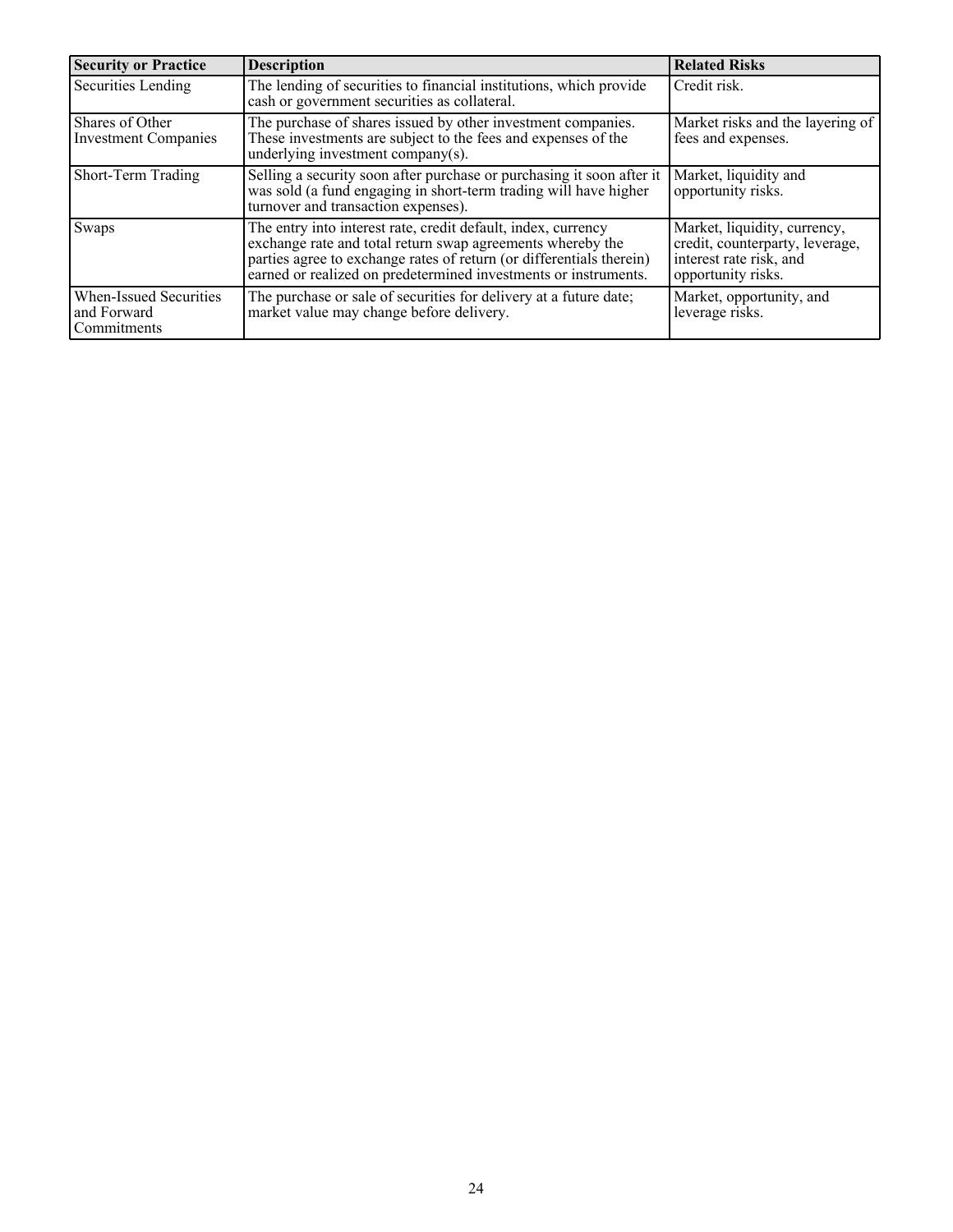| <b>Security or Practice</b>                          | <b>Description</b>                                                                                                                                                                                                                                                  | <b>Related Risks</b>                                                                                             |
|------------------------------------------------------|---------------------------------------------------------------------------------------------------------------------------------------------------------------------------------------------------------------------------------------------------------------------|------------------------------------------------------------------------------------------------------------------|
| Securities Lending                                   | The lending of securities to financial institutions, which provide<br>cash or government securities as collateral.                                                                                                                                                  | Credit risk.                                                                                                     |
| Shares of Other<br><b>Investment Companies</b>       | The purchase of shares issued by other investment companies.<br>These investments are subject to the fees and expenses of the<br>underlying investment company(s).                                                                                                  | Market risks and the layering of<br>fees and expenses.                                                           |
| Short-Term Trading                                   | Selling a security soon after purchase or purchasing it soon after it<br>was sold (a fund engaging in short-term trading will have higher<br>turnover and transaction expenses).                                                                                    | Market, liquidity and<br>opportunity risks.                                                                      |
| Swaps                                                | The entry into interest rate, credit default, index, currency<br>exchange rate and total return swap agreements whereby the<br>parties agree to exchange rates of return (or differentials therein) earned or realized on predetermined investments or instruments. | Market, liquidity, currency,<br>credit, counterparty, leverage,<br>interest rate risk, and<br>opportunity risks. |
| When-Issued Securities<br>and Forward<br>Commitments | The purchase or sale of securities for delivery at a future date;<br>market value may change before delivery.                                                                                                                                                       | Market, opportunity, and<br>leverage risks.                                                                      |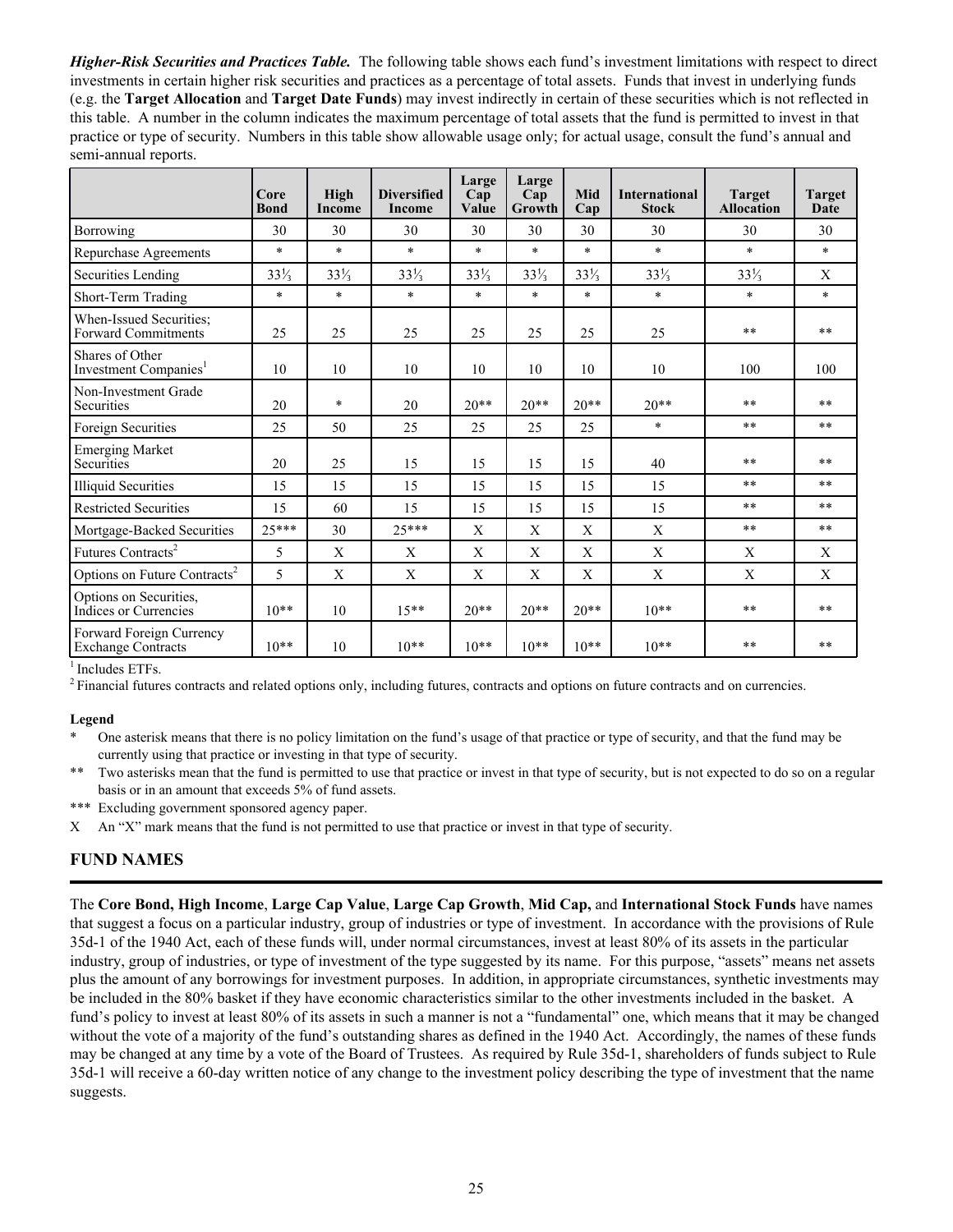<span id="page-28-0"></span>*Higher-Risk Securities and Practices Table.* The following table shows each fund's investment limitations with respect to direct investments in certain higher risk securities and practices as a percentage of total assets. Funds that invest in underlying funds (e.g. the **Target Allocation** and **Target Date Funds**) may invest indirectly in certain of these securities which is not reflected in this table. A number in the column indicates the maximum percentage of total assets that the fund is permitted to invest in that practice or type of security. Numbers in this table show allowable usage only; for actual usage, consult the fund's annual and semi-annual reports.

|                                                       | Core<br><b>Bond</b> | High<br>Income  | <b>Diversified</b><br>Income | Large<br>Cap<br>Value | Large<br>Cap<br>Growth | Mid<br>Cap      | <b>International</b><br><b>Stock</b> | <b>Target</b><br><b>Allocation</b> | <b>Target</b><br>Date |
|-------------------------------------------------------|---------------------|-----------------|------------------------------|-----------------------|------------------------|-----------------|--------------------------------------|------------------------------------|-----------------------|
| Borrowing                                             | 30                  | 30              | 30                           | 30                    | 30                     | 30              | 30                                   | 30                                 | 30                    |
| Repurchase Agreements                                 | $\ast$              | $\ast$          | $\star$                      | $\ast$                | $\ast$                 | $\ast$          | $\ast$                               | $\ast$                             | $\ast$                |
| Securities Lending                                    | $33\frac{1}{3}$     | $33\frac{1}{3}$ | $33\frac{1}{3}$              | $33\frac{1}{3}$       | $33\frac{1}{3}$        | $33\frac{1}{3}$ | $33\frac{1}{3}$                      | $33\frac{1}{3}$                    | X                     |
| Short-Term Trading                                    | $\ast$              | $\ast$          | $\ast$                       | $\ast$                | $\ast$                 | $\ast$          | $\star$                              | $\ast$                             | $\ast$                |
| When-Issued Securities:<br><b>Forward Commitments</b> | 25                  | 25              | 25                           | 25                    | 25                     | 25              | 25                                   | **                                 | $**$                  |
| Shares of Other<br>Investment Companies <sup>1</sup>  | 10                  | 10              | 10                           | 10                    | 10                     | 10              | 10                                   | 100                                | 100                   |
| Non-Investment Grade<br>Securities                    | 20                  | $\ast$          | 20                           | $20**$                | $20**$                 | $20**$          | $20**$                               | $**$                               | $**$                  |
| Foreign Securities                                    | 25                  | 50              | 25                           | 25                    | 25                     | 25              | $\ast$                               | **                                 | $**$                  |
| <b>Emerging Market</b><br>Securities                  | 20                  | 25              | 15                           | 15                    | 15                     | 15              | 40                                   | **                                 | $**$                  |
| <b>Illiquid Securities</b>                            | 15                  | 15              | 15                           | 15                    | 15                     | 15              | 15                                   | **                                 | $**$                  |
| <b>Restricted Securities</b>                          | 15                  | 60              | 15                           | 15                    | 15                     | 15              | 15                                   | **                                 | $**$                  |
| Mortgage-Backed Securities                            | $25***$             | 30              | $25***$                      | X                     | X                      | X               | X                                    | **                                 | $**$                  |
| Futures Contracts <sup>2</sup>                        | 5                   | X               | X                            | X                     | X                      | X               | $\mathbf{X}$                         | X                                  | X                     |
| Options on Future Contracts <sup>2</sup>              | 5                   | X               | X                            | X                     | X                      | X               | X                                    | X                                  | X                     |
| Options on Securities,<br>Indices or Currencies       | $10**$              | 10              | $15**$                       | $20**$                | $20**$                 | $20**$          | $10**$                               | **                                 | $* *$                 |
| Forward Foreign Currency<br><b>Exchange Contracts</b> | $10**$              | 10              | $10**$                       | $10**$                | $10**$                 | $10**$          | $10**$                               | $**$                               | **                    |

 $<sup>1</sup>$  Includes ETFs.</sup>

<sup>2</sup>Financial futures contracts and related options only, including futures, contracts and options on future contracts and on currencies.

#### **Legend**

\* One asterisk means that there is no policy limitation on the fund's usage of that practice or type of security, and that the fund may be currently using that practice or investing in that type of security.

\*\* Two asterisks mean that the fund is permitted to use that practice or invest in that type of security, but is not expected to do so on a regular basis or in an amount that exceeds 5% of fund assets.

\*\*\* Excluding government sponsored agency paper.

X An "X" mark means that the fund is not permitted to use that practice or invest in that type of security.

## **FUND NAMES**

The **Core Bond, High Income**, **Large Cap Value**, **Large Cap Growth**, **Mid Cap,** and **International Stock Funds** have names that suggest a focus on a particular industry, group of industries or type of investment. In accordance with the provisions of Rule 35d-1 of the 1940 Act, each of these funds will, under normal circumstances, invest at least 80% of its assets in the particular industry, group of industries, or type of investment of the type suggested by its name. For this purpose, "assets" means net assets plus the amount of any borrowings for investment purposes. In addition, in appropriate circumstances, synthetic investments may be included in the 80% basket if they have economic characteristics similar to the other investments included in the basket. A fund's policy to invest at least 80% of its assets in such a manner is not a "fundamental" one, which means that it may be changed without the vote of a majority of the fund's outstanding shares as defined in the 1940 Act. Accordingly, the names of these funds may be changed at any time by a vote of the Board of Trustees. As required by Rule 35d-1, shareholders of funds subject to Rule 35d-1 will receive a 60-day written notice of any change to the investment policy describing the type of investment that the name suggests.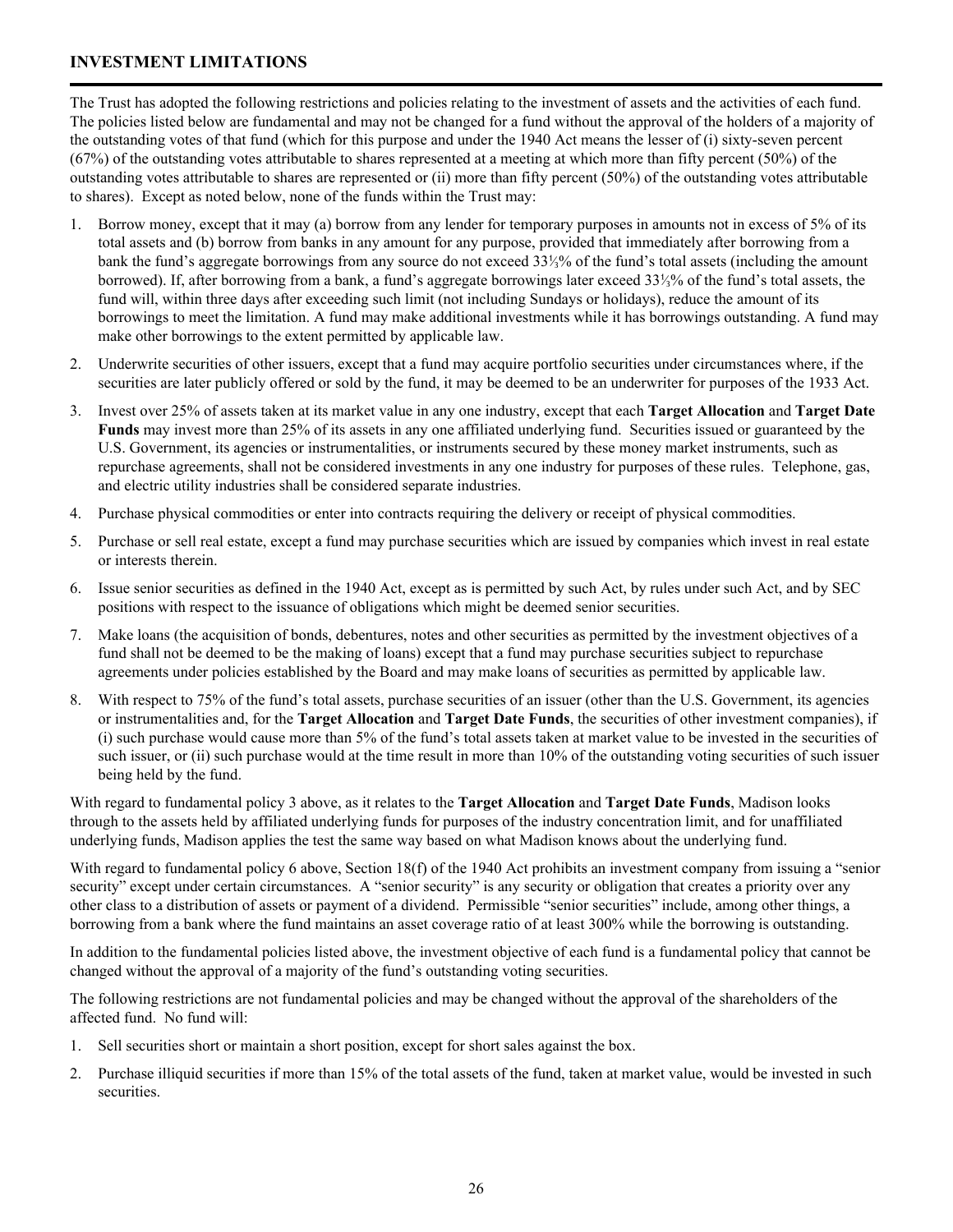## <span id="page-29-0"></span>**INVESTMENT LIMITATIONS**

The Trust has adopted the following restrictions and policies relating to the investment of assets and the activities of each fund. The policies listed below are fundamental and may not be changed for a fund without the approval of the holders of a majority of the outstanding votes of that fund (which for this purpose and under the 1940 Act means the lesser of (i) sixty-seven percent (67%) of the outstanding votes attributable to shares represented at a meeting at which more than fifty percent (50%) of the outstanding votes attributable to shares are represented or (ii) more than fifty percent (50%) of the outstanding votes attributable to shares). Except as noted below, none of the funds within the Trust may:

- 1. Borrow money, except that it may (a) borrow from any lender for temporary purposes in amounts not in excess of 5% of its total assets and (b) borrow from banks in any amount for any purpose, provided that immediately after borrowing from a bank the fund's aggregate borrowings from any source do not exceed 33⅓% of the fund's total assets (including the amount borrowed). If, after borrowing from a bank, a fund's aggregate borrowings later exceed 33⅓% of the fund's total assets, the fund will, within three days after exceeding such limit (not including Sundays or holidays), reduce the amount of its borrowings to meet the limitation. A fund may make additional investments while it has borrowings outstanding. A fund may make other borrowings to the extent permitted by applicable law.
- 2. Underwrite securities of other issuers, except that a fund may acquire portfolio securities under circumstances where, if the securities are later publicly offered or sold by the fund, it may be deemed to be an underwriter for purposes of the 1933 Act.
- 3. Invest over 25% of assets taken at its market value in any one industry, except that each **Target Allocation** and **Target Date Funds** may invest more than 25% of its assets in any one affiliated underlying fund. Securities issued or guaranteed by the U.S. Government, its agencies or instrumentalities, or instruments secured by these money market instruments, such as repurchase agreements, shall not be considered investments in any one industry for purposes of these rules. Telephone, gas, and electric utility industries shall be considered separate industries.
- 4. Purchase physical commodities or enter into contracts requiring the delivery or receipt of physical commodities.
- 5. Purchase or sell real estate, except a fund may purchase securities which are issued by companies which invest in real estate or interests therein.
- 6. Issue senior securities as defined in the 1940 Act, except as is permitted by such Act, by rules under such Act, and by SEC positions with respect to the issuance of obligations which might be deemed senior securities.
- 7. Make loans (the acquisition of bonds, debentures, notes and other securities as permitted by the investment objectives of a fund shall not be deemed to be the making of loans) except that a fund may purchase securities subject to repurchase agreements under policies established by the Board and may make loans of securities as permitted by applicable law.
- 8. With respect to 75% of the fund's total assets, purchase securities of an issuer (other than the U.S. Government, its agencies or instrumentalities and, for the **Target Allocation** and **Target Date Funds**, the securities of other investment companies), if (i) such purchase would cause more than 5% of the fund's total assets taken at market value to be invested in the securities of such issuer, or (ii) such purchase would at the time result in more than 10% of the outstanding voting securities of such issuer being held by the fund.

With regard to fundamental policy 3 above, as it relates to the **Target Allocation** and **Target Date Funds**, Madison looks through to the assets held by affiliated underlying funds for purposes of the industry concentration limit, and for unaffiliated underlying funds, Madison applies the test the same way based on what Madison knows about the underlying fund.

With regard to fundamental policy 6 above, Section 18(f) of the 1940 Act prohibits an investment company from issuing a "senior" security" except under certain circumstances. A "senior security" is any security or obligation that creates a priority over any other class to a distribution of assets or payment of a dividend. Permissible "senior securities" include, among other things, a borrowing from a bank where the fund maintains an asset coverage ratio of at least 300% while the borrowing is outstanding.

In addition to the fundamental policies listed above, the investment objective of each fund is a fundamental policy that cannot be changed without the approval of a majority of the fund's outstanding voting securities.

The following restrictions are not fundamental policies and may be changed without the approval of the shareholders of the affected fund. No fund will:

- 1. Sell securities short or maintain a short position, except for short sales against the box.
- 2. Purchase illiquid securities if more than 15% of the total assets of the fund, taken at market value, would be invested in such securities.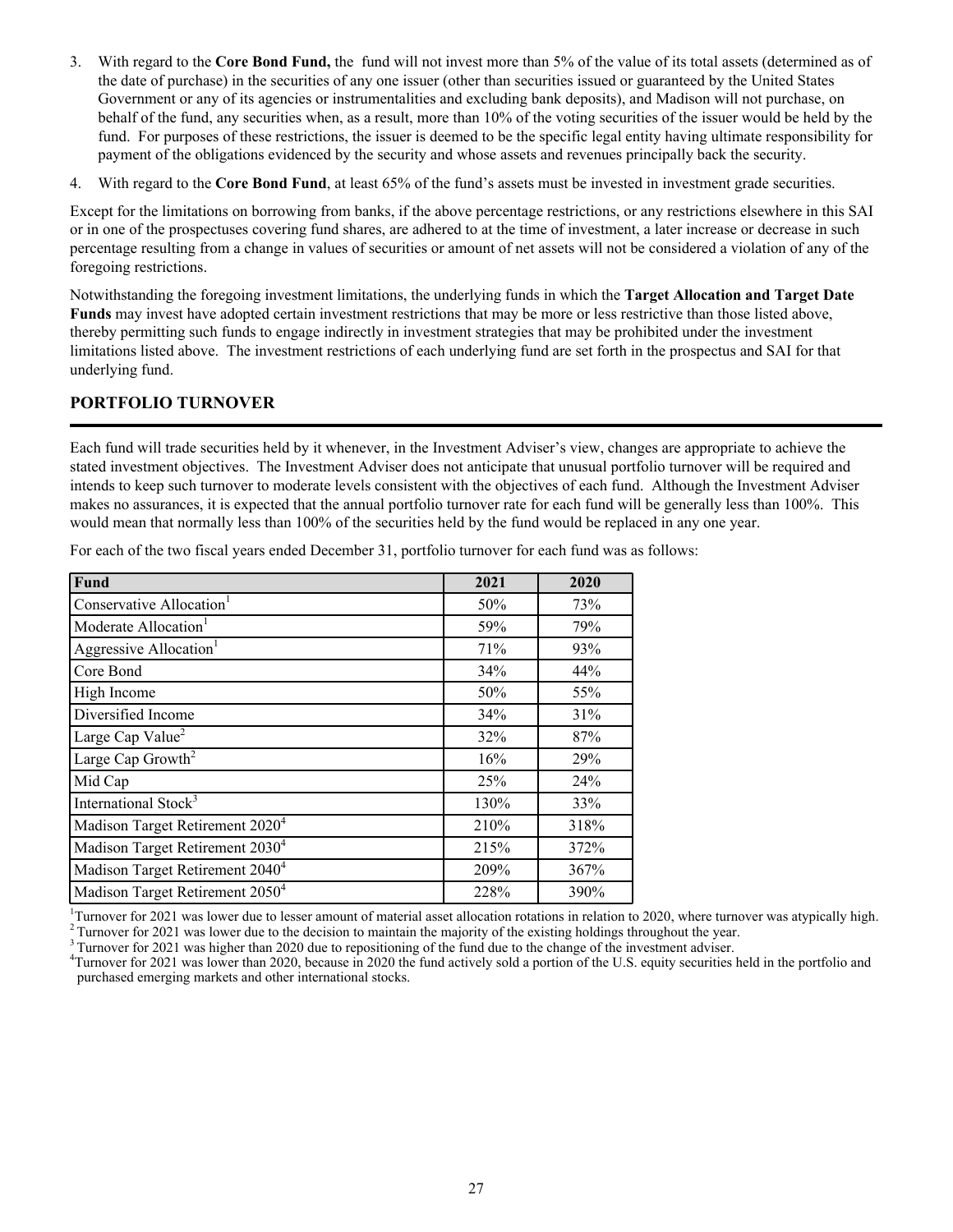- <span id="page-30-0"></span>3. With regard to the **Core Bond Fund,** the fund will not invest more than 5% of the value of its total assets (determined as of the date of purchase) in the securities of any one issuer (other than securities issued or guaranteed by the United States Government or any of its agencies or instrumentalities and excluding bank deposits), and Madison will not purchase, on behalf of the fund, any securities when, as a result, more than 10% of the voting securities of the issuer would be held by the fund. For purposes of these restrictions, the issuer is deemed to be the specific legal entity having ultimate responsibility for payment of the obligations evidenced by the security and whose assets and revenues principally back the security.
- 4. With regard to the **Core Bond Fund**, at least 65% of the fund's assets must be invested in investment grade securities.

Except for the limitations on borrowing from banks, if the above percentage restrictions, or any restrictions elsewhere in this SAI or in one of the prospectuses covering fund shares, are adhered to at the time of investment, a later increase or decrease in such percentage resulting from a change in values of securities or amount of net assets will not be considered a violation of any of the foregoing restrictions.

Notwithstanding the foregoing investment limitations, the underlying funds in which the **Target Allocation and Target Date Funds** may invest have adopted certain investment restrictions that may be more or less restrictive than those listed above, thereby permitting such funds to engage indirectly in investment strategies that may be prohibited under the investment limitations listed above. The investment restrictions of each underlying fund are set forth in the prospectus and SAI for that underlying fund.

# **PORTFOLIO TURNOVER**

Each fund will trade securities held by it whenever, in the Investment Adviser's view, changes are appropriate to achieve the stated investment objectives. The Investment Adviser does not anticipate that unusual portfolio turnover will be required and intends to keep such turnover to moderate levels consistent with the objectives of each fund. Although the Investment Adviser makes no assurances, it is expected that the annual portfolio turnover rate for each fund will be generally less than 100%. This would mean that normally less than 100% of the securities held by the fund would be replaced in any one year.

| <b>Fund</b>                                 | 2021 | 2020 |
|---------------------------------------------|------|------|
| Conservative Allocation <sup>1</sup>        | 50%  | 73%  |
| Moderate Allocation <sup>1</sup>            | 59%  | 79%  |
| Aggressive Allocation <sup>1</sup>          | 71%  | 93%  |
| Core Bond                                   | 34%  | 44%  |
| High Income                                 | 50%  | 55%  |
| Diversified Income                          | 34%  | 31%  |
| Large Cap Value <sup>2</sup>                | 32%  | 87%  |
| Large Cap Growth <sup>2</sup>               | 16%  | 29%  |
| Mid Cap                                     | 25%  | 24%  |
| International Stock <sup>3</sup>            | 130% | 33%  |
| Madison Target Retirement 2020 <sup>4</sup> | 210% | 318% |
| Madison Target Retirement 2030 <sup>4</sup> | 215% | 372% |
| Madison Target Retirement 2040 <sup>4</sup> | 209% | 367% |
| Madison Target Retirement 2050 <sup>4</sup> | 228% | 390% |

For each of the two fiscal years ended December 31, portfolio turnover for each fund was as follows:

<sup>1</sup>Turnover for 2021 was lower due to lesser amount of material asset allocation rotations in relation to 2020, where turnover was atypically high.  $2$ Turnover for 2021 was lower due to the decision to maintain the majority of the existing holdings throughout the year.

<sup>3</sup> Turnover for 2021 was higher than 2020 due to repositioning of the fund due to the change of the investment adviser.

<sup>4</sup>Turnover for 2021 was lower than 2020, because in 2020 the fund actively sold a portion of the U.S. equity securities held in the portfolio and purchased emerging markets and other international stocks.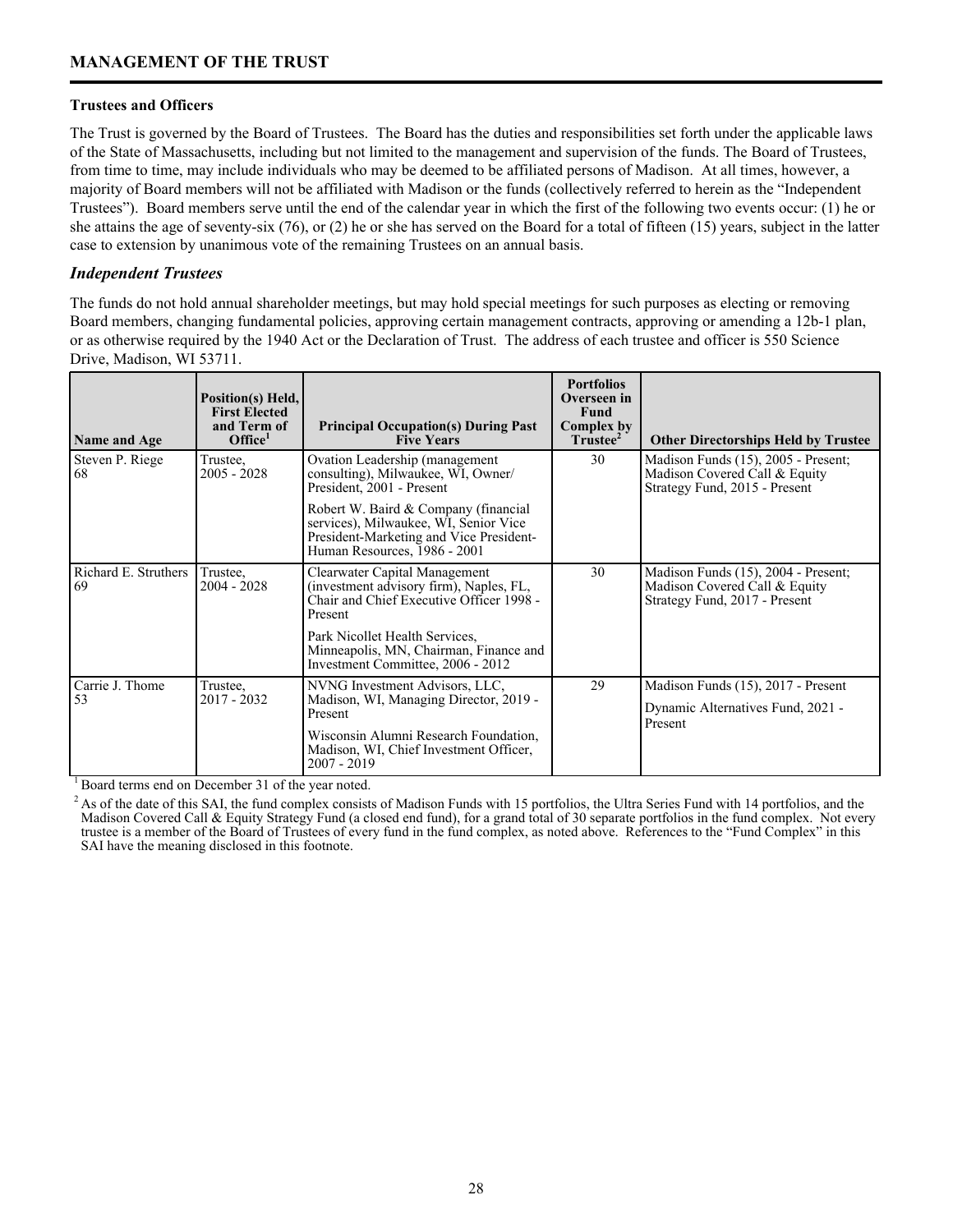### <span id="page-31-0"></span>**Trustees and Officers**

The Trust is governed by the Board of Trustees. The Board has the duties and responsibilities set forth under the applicable laws of the State of Massachusetts, including but not limited to the management and supervision of the funds. The Board of Trustees, from time to time, may include individuals who may be deemed to be affiliated persons of Madison. At all times, however, a majority of Board members will not be affiliated with Madison or the funds (collectively referred to herein as the "Independent Trustees"). Board members serve until the end of the calendar year in which the first of the following two events occur: (1) he or she attains the age of seventy-six (76), or (2) he or she has served on the Board for a total of fifteen (15) years, subject in the latter case to extension by unanimous vote of the remaining Trustees on an annual basis.

## *Independent Trustees*

The funds do not hold annual shareholder meetings, but may hold special meetings for such purposes as electing or removing Board members, changing fundamental policies, approving certain management contracts, approving or amending a 12b-1 plan, or as otherwise required by the 1940 Act or the Declaration of Trust. The address of each trustee and officer is 550 Science Drive, Madison, WI 53711.

| Name and Age               | Position(s) Held,<br><b>First Elected</b><br>and Term of<br>Office <sup>1</sup> | <b>Principal Occupation(s) During Past</b><br><b>Five Years</b>                                                                                          | <b>Portfolios</b><br>Overseen in<br><b>Fund</b><br>Complex by<br>Trustee <sup>2</sup> | <b>Other Directorships Held by Trustee</b>                                                            |
|----------------------------|---------------------------------------------------------------------------------|----------------------------------------------------------------------------------------------------------------------------------------------------------|---------------------------------------------------------------------------------------|-------------------------------------------------------------------------------------------------------|
| Steven P. Riege<br>68      | Trustee,<br>$2005 - 2028$                                                       | Ovation Leadership (management<br>consulting), Milwaukee, WI, Owner/<br>President, 2001 - Present                                                        | 30                                                                                    | Madison Funds (15), 2005 - Present;<br>Madison Covered Call & Equity<br>Strategy Fund, 2015 - Present |
|                            |                                                                                 | Robert W. Baird & Company (financial<br>services), Milwaukee, WI, Senior Vice<br>President-Marketing and Vice President-<br>Human Resources, 1986 - 2001 |                                                                                       |                                                                                                       |
| Richard E. Struthers<br>69 | Trustee,<br>$2004 - 2028$                                                       | Clearwater Capital Management<br>(investment advisory firm), Naples, FL,<br>Chair and Chief Executive Officer 1998 -<br>Present                          | 30                                                                                    | Madison Funds (15), 2004 - Present;<br>Madison Covered Call & Equity<br>Strategy Fund, 2017 - Present |
|                            |                                                                                 | Park Nicollet Health Services.<br>Minneapolis, MN, Chairman, Finance and<br>Investment Committee, 2006 - 2012                                            |                                                                                       |                                                                                                       |
| Carrie J. Thome<br>53      | Trustee.<br>$2017 - 2032$                                                       | NVNG Investment Advisors, LLC,                                                                                                                           | 29                                                                                    | Madison Funds (15), 2017 - Present                                                                    |
|                            |                                                                                 | Madison, WI, Managing Director, 2019 -<br>Present                                                                                                        |                                                                                       | Dynamic Alternatives Fund, 2021 -<br>Present                                                          |
|                            |                                                                                 | Wisconsin Alumni Research Foundation,<br>Madison, WI, Chief Investment Officer,<br>$2007 - 2019$                                                         |                                                                                       |                                                                                                       |

<sup>1</sup> Board terms end on December 31 of the year noted.

<sup>2</sup> As of the date of this SAI, the fund complex consists of Madison Funds with 15 portfolios, the Ultra Series Fund with 14 portfolios, and the Madison Covered Call & Equity Strategy Fund (a closed end fund), for a grand total of 30 separate portfolios in the fund complex. Not every trustee is a member of the Board of Trustees of every fund in the fund complex, as noted above. References to the "Fund Complex" in this SAI have the meaning disclosed in this footnote.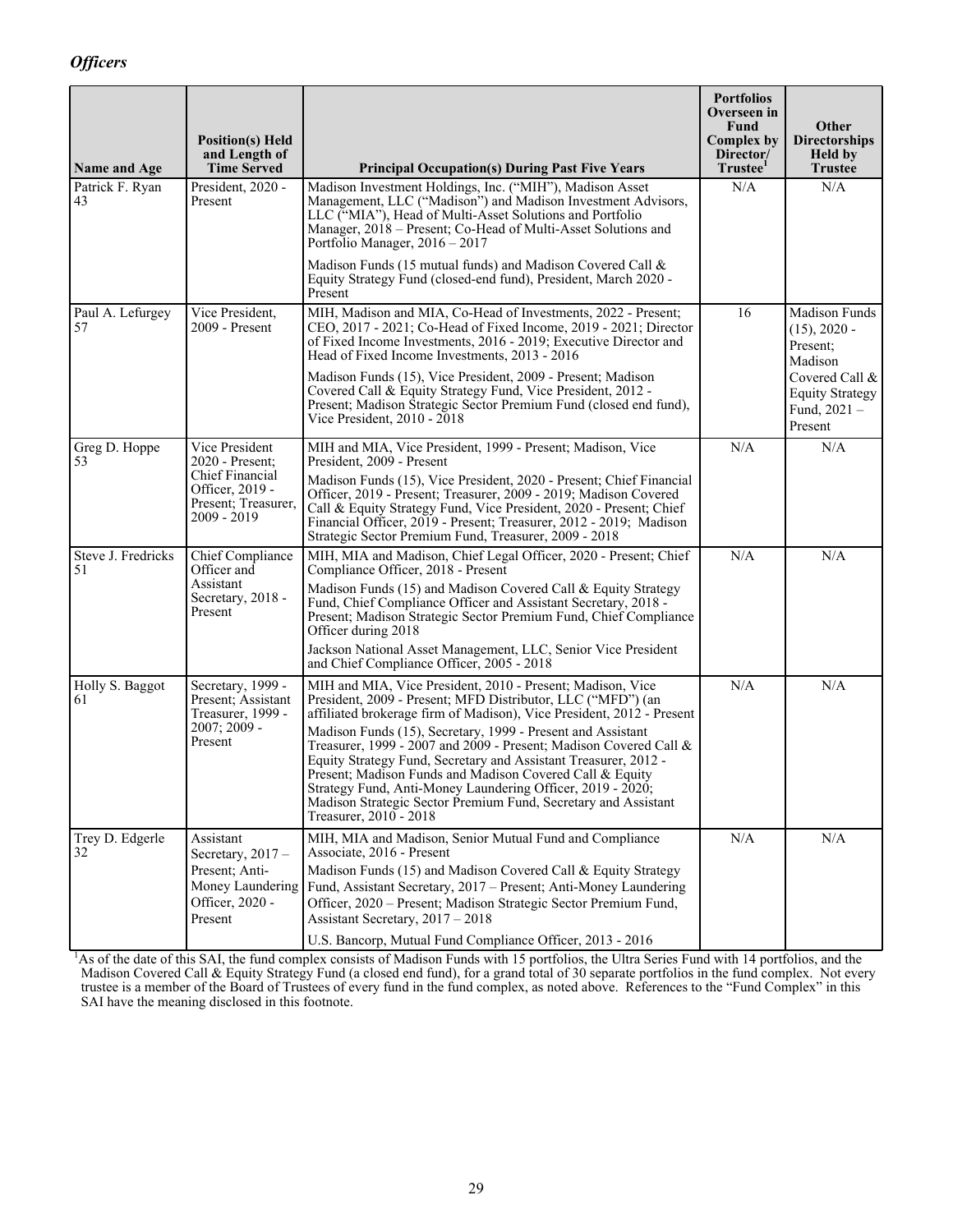<span id="page-32-0"></span>

| Name and Age             | <b>Position(s)</b> Held<br>and Length of<br><b>Time Served</b>             | <b>Principal Occupation(s) During Past Five Years</b>                                                                                                                                                                                                                                                                                                                                                                        | <b>Portfolios</b><br>Overseen in<br>Fund<br><b>Complex by</b><br>Director/<br>Trustee <sup>1</sup> | Other<br><b>Directorships</b><br><b>Held by</b><br><b>Trustee</b>     |
|--------------------------|----------------------------------------------------------------------------|------------------------------------------------------------------------------------------------------------------------------------------------------------------------------------------------------------------------------------------------------------------------------------------------------------------------------------------------------------------------------------------------------------------------------|----------------------------------------------------------------------------------------------------|-----------------------------------------------------------------------|
| Patrick F. Ryan<br>43    | President, 2020 -<br>Present                                               | Madison Investment Holdings, Inc. ("MIH"), Madison Asset<br>Management, LLC ("Madison") and Madison Investment Advisors,<br>LLC ("MIA"), Head of Multi-Asset Solutions and Portfolio<br>Manager, 2018 - Present; Co-Head of Multi-Asset Solutions and<br>Portfolio Manager, $2016 - 2017$                                                                                                                                    | N/A                                                                                                | N/A                                                                   |
|                          |                                                                            | Madison Funds (15 mutual funds) and Madison Covered Call &<br>Equity Strategy Fund (closed-end fund), President, March 2020 -<br>Present                                                                                                                                                                                                                                                                                     |                                                                                                    |                                                                       |
| Paul A. Lefurgey<br>57   | Vice President,<br>2009 - Present                                          | MIH, Madison and MIA, Co-Head of Investments, 2022 - Present;<br>CEO, 2017 - 2021; Co-Head of Fixed Income, 2019 - 2021; Director<br>of Fixed Income Investments, 2016 - 2019; Executive Director and<br>Head of Fixed Income Investments, 2013 - 2016                                                                                                                                                                       | 16                                                                                                 | Madison Funds<br>$(15), 2020 -$<br>Present:<br>Madison                |
|                          |                                                                            | Madison Funds (15), Vice President, 2009 - Present; Madison<br>Covered Call & Equity Strategy Fund, Vice President, 2012 -<br>Present; Madison Strategic Sector Premium Fund (closed end fund),<br>Vice President, 2010 - 2018                                                                                                                                                                                               |                                                                                                    | Covered Call &<br><b>Equity Strategy</b><br>Fund, $2021 -$<br>Present |
| Greg D. Hoppe<br>53      | Vice President<br>2020 - Present:                                          | MIH and MIA, Vice President, 1999 - Present; Madison, Vice<br>President, 2009 - Present                                                                                                                                                                                                                                                                                                                                      | N/A                                                                                                | N/A                                                                   |
|                          | Chief Financial<br>Officer, 2019 -<br>Present; Treasurer,<br>$2009 - 2019$ | Madison Funds (15), Vice President, 2020 - Present; Chief Financial<br>Officer, 2019 - Present; Treasurer, 2009 - 2019; Madison Covered<br>Call & Equity Strategy Fund, Vice President, 2020 - Present; Chief<br>Financial Officer, 2019 - Present; Treasurer, 2012 - 2019; Madison<br>Strategic Sector Premium Fund, Treasurer, 2009 - 2018                                                                                 |                                                                                                    |                                                                       |
| Steve J. Fredricks<br>51 | Chief Compliance<br>Officer and                                            | MIH, MIA and Madison, Chief Legal Officer, 2020 - Present; Chief<br>Compliance Officer, 2018 - Present                                                                                                                                                                                                                                                                                                                       | N/A                                                                                                | N/A                                                                   |
|                          | Assistant<br>Secretary, 2018 -<br>Present                                  | Madison Funds (15) and Madison Covered Call & Equity Strategy<br>Fund, Chief Compliance Officer and Assistant Secretary, 2018 -<br>Present; Madison Strategic Sector Premium Fund, Chief Compliance<br>Officer during 2018                                                                                                                                                                                                   |                                                                                                    |                                                                       |
|                          |                                                                            | Jackson National Asset Management, LLC, Senior Vice President<br>and Chief Compliance Officer, 2005 - 2018                                                                                                                                                                                                                                                                                                                   |                                                                                                    |                                                                       |
| Holly S. Baggot<br>61    | Secretary, 1999 -<br>Present; Assistant<br>Treasurer, 1999 -               | MIH and MIA, Vice President, 2010 - Present; Madison, Vice<br>President, 2009 - Present; MFD Distributor, LLC ("MFD") (an<br>affiliated brokerage firm of Madison), Vice President, 2012 - Present                                                                                                                                                                                                                           | N/A                                                                                                | N/A                                                                   |
|                          | $2007; 2009 -$<br>Present                                                  | Madison Funds (15), Secretary, 1999 - Present and Assistant<br>Treasurer, 1999 - 2007 and 2009 - Present; Madison Covered Call $\&$<br>Equity Strategy Fund, Secretary and Assistant Treasurer, 2012 -<br>Present; Madison Funds and Madison Covered Call & Equity<br>Strategy Fund, Anti-Money Laundering Officer, 2019 - 2020;<br>Madison Strategic Sector Premium Fund, Secretary and Assistant<br>Treasurer, 2010 - 2018 |                                                                                                    |                                                                       |
| Trey D. Edgerle<br>32    | Assistant<br>Secretary, $2017 -$                                           | MIH, MIA and Madison, Senior Mutual Fund and Compliance<br>Associate, 2016 - Present                                                                                                                                                                                                                                                                                                                                         | N/A                                                                                                | N/A                                                                   |
|                          | Present; Anti-<br>Money Laundering<br>Officer, 2020 -<br>Present           | Madison Funds (15) and Madison Covered Call & Equity Strategy<br>Fund, Assistant Secretary, 2017 - Present; Anti-Money Laundering<br>Officer, 2020 - Present; Madison Strategic Sector Premium Fund,<br>Assistant Secretary, 2017 - 2018                                                                                                                                                                                     |                                                                                                    |                                                                       |
|                          |                                                                            | U.S. Bancorp, Mutual Fund Compliance Officer, 2013 - 2016                                                                                                                                                                                                                                                                                                                                                                    |                                                                                                    |                                                                       |

<sup>1</sup>As of the date of this SAI, the fund complex consists of Madison Funds with 15 portfolios, the Ultra Series Fund with 14 portfolios, and the Madison Covered Call & Equity Strategy Fund (a closed end fund), for a grand total of 30 separate portfolios in the fund complex. Not every trustee is a member of the Board of Trustees of every fund in the fund complex, as noted above. References to the "Fund Complex" in this SAI have the meaning disclosed in this footnote.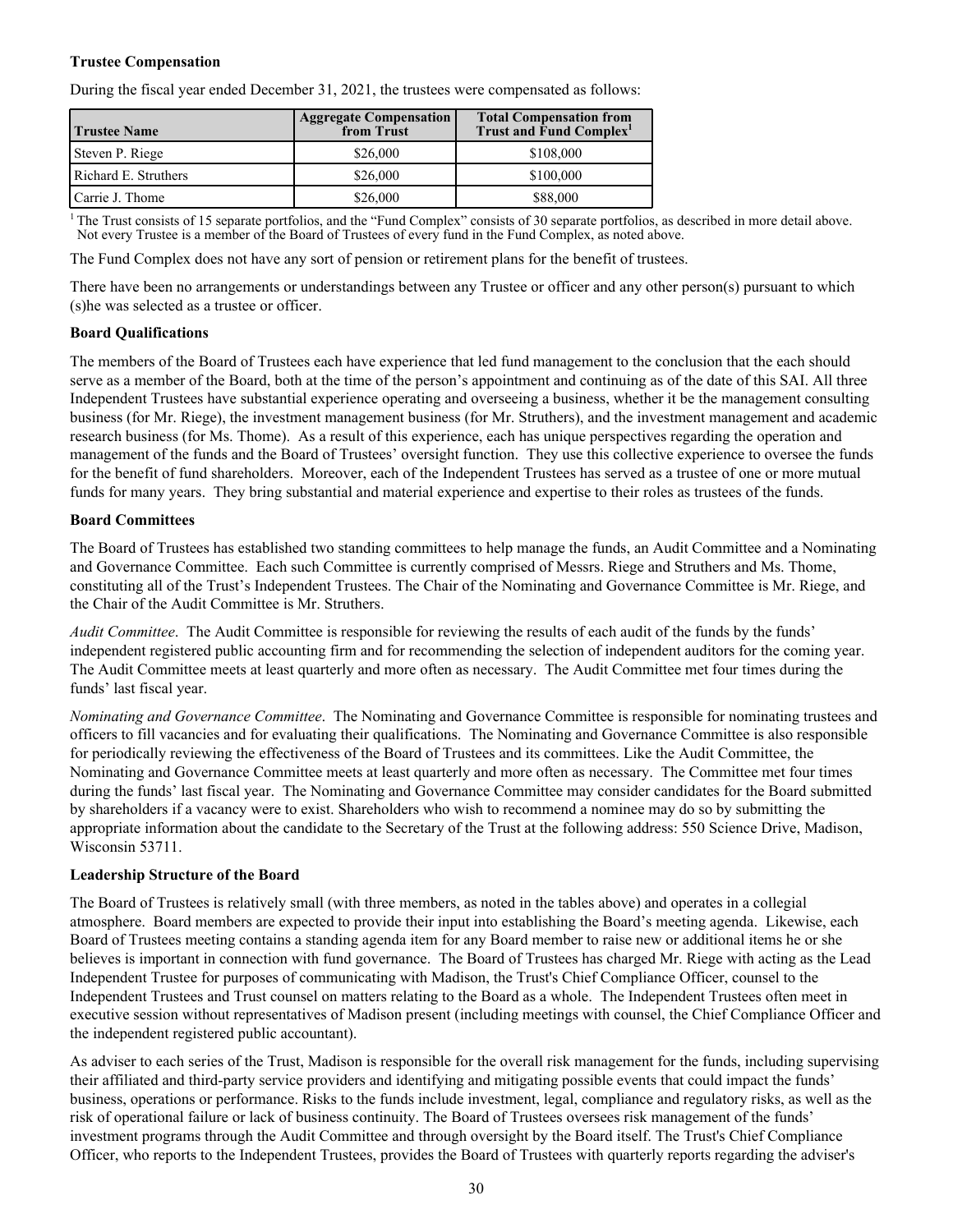#### <span id="page-33-0"></span>**Trustee Compensation**

During the fiscal year ended December 31, 2021, the trustees were compensated as follows:

| <b>Trustee Name</b>  | <b>Aggregate Compensation</b><br>from Trust | <b>Total Compensation from</b><br>Trust and Fund Complex <sup>1</sup> |
|----------------------|---------------------------------------------|-----------------------------------------------------------------------|
| Steven P. Riege      | \$26,000                                    | \$108,000                                                             |
| Richard E. Struthers | \$26,000                                    | \$100,000                                                             |
| Carrie J. Thome      | \$26,000                                    | \$88,000                                                              |

<sup>1</sup>The Trust consists of 15 separate portfolios, and the "Fund Complex" consists of 30 separate portfolios, as described in more detail above. Not every Trustee is a member of the Board of Trustees of every fund in the Fund Complex, as noted above.

The Fund Complex does not have any sort of pension or retirement plans for the benefit of trustees.

There have been no arrangements or understandings between any Trustee or officer and any other person(s) pursuant to which (s)he was selected as a trustee or officer.

#### **Board Qualifications**

The members of the Board of Trustees each have experience that led fund management to the conclusion that the each should serve as a member of the Board, both at the time of the person's appointment and continuing as of the date of this SAI. All three Independent Trustees have substantial experience operating and overseeing a business, whether it be the management consulting business (for Mr. Riege), the investment management business (for Mr. Struthers), and the investment management and academic research business (for Ms. Thome). As a result of this experience, each has unique perspectives regarding the operation and management of the funds and the Board of Trustees' oversight function. They use this collective experience to oversee the funds for the benefit of fund shareholders. Moreover, each of the Independent Trustees has served as a trustee of one or more mutual funds for many years. They bring substantial and material experience and expertise to their roles as trustees of the funds.

#### **Board Committees**

The Board of Trustees has established two standing committees to help manage the funds, an Audit Committee and a Nominating and Governance Committee. Each such Committee is currently comprised of Messrs. Riege and Struthers and Ms. Thome, constituting all of the Trust's Independent Trustees. The Chair of the Nominating and Governance Committee is Mr. Riege, and the Chair of the Audit Committee is Mr. Struthers.

*Audit Committee*. The Audit Committee is responsible for reviewing the results of each audit of the funds by the funds' independent registered public accounting firm and for recommending the selection of independent auditors for the coming year. The Audit Committee meets at least quarterly and more often as necessary. The Audit Committee met four times during the funds' last fiscal year.

*Nominating and Governance Committee*. The Nominating and Governance Committee is responsible for nominating trustees and officers to fill vacancies and for evaluating their qualifications. The Nominating and Governance Committee is also responsible for periodically reviewing the effectiveness of the Board of Trustees and its committees. Like the Audit Committee, the Nominating and Governance Committee meets at least quarterly and more often as necessary. The Committee met four times during the funds' last fiscal year. The Nominating and Governance Committee may consider candidates for the Board submitted by shareholders if a vacancy were to exist. Shareholders who wish to recommend a nominee may do so by submitting the appropriate information about the candidate to the Secretary of the Trust at the following address: 550 Science Drive, Madison, Wisconsin 53711.

#### **Leadership Structure of the Board**

The Board of Trustees is relatively small (with three members, as noted in the tables above) and operates in a collegial atmosphere. Board members are expected to provide their input into establishing the Board's meeting agenda. Likewise, each Board of Trustees meeting contains a standing agenda item for any Board member to raise new or additional items he or she believes is important in connection with fund governance. The Board of Trustees has charged Mr. Riege with acting as the Lead Independent Trustee for purposes of communicating with Madison, the Trust's Chief Compliance Officer, counsel to the Independent Trustees and Trust counsel on matters relating to the Board as a whole. The Independent Trustees often meet in executive session without representatives of Madison present (including meetings with counsel, the Chief Compliance Officer and the independent registered public accountant).

As adviser to each series of the Trust, Madison is responsible for the overall risk management for the funds, including supervising their affiliated and third-party service providers and identifying and mitigating possible events that could impact the funds' business, operations or performance. Risks to the funds include investment, legal, compliance and regulatory risks, as well as the risk of operational failure or lack of business continuity. The Board of Trustees oversees risk management of the funds' investment programs through the Audit Committee and through oversight by the Board itself. The Trust's Chief Compliance Officer, who reports to the Independent Trustees, provides the Board of Trustees with quarterly reports regarding the adviser's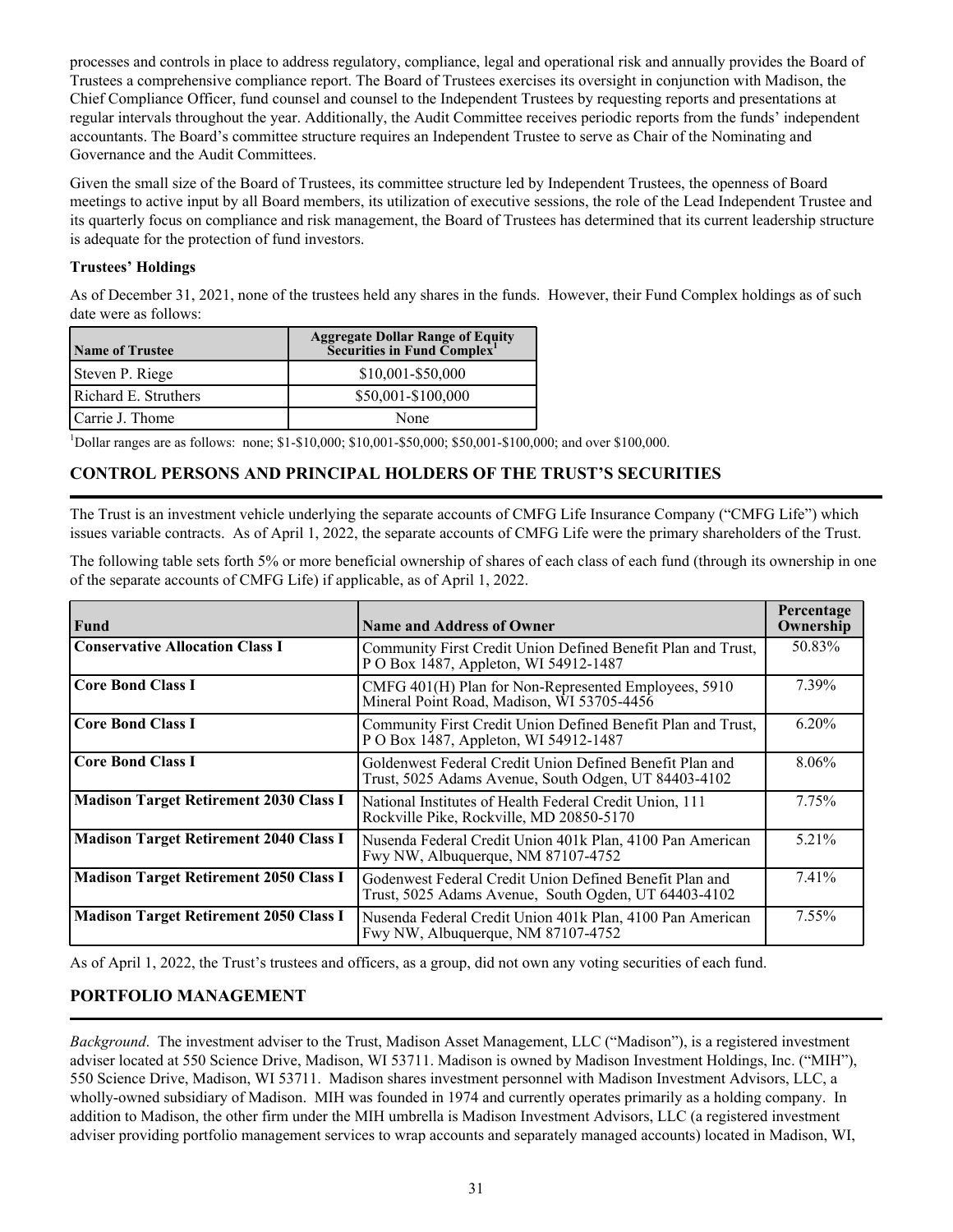<span id="page-34-0"></span>processes and controls in place to address regulatory, compliance, legal and operational risk and annually provides the Board of Trustees a comprehensive compliance report. The Board of Trustees exercises its oversight in conjunction with Madison, the Chief Compliance Officer, fund counsel and counsel to the Independent Trustees by requesting reports and presentations at regular intervals throughout the year. Additionally, the Audit Committee receives periodic reports from the funds' independent accountants. The Board's committee structure requires an Independent Trustee to serve as Chair of the Nominating and Governance and the Audit Committees.

Given the small size of the Board of Trustees, its committee structure led by Independent Trustees, the openness of Board meetings to active input by all Board members, its utilization of executive sessions, the role of the Lead Independent Trustee and its quarterly focus on compliance and risk management, the Board of Trustees has determined that its current leadership structure is adequate for the protection of fund investors.

### **Trustees' Holdings**

As of December 31, 2021, none of the trustees held any shares in the funds. However, their Fund Complex holdings as of such date were as follows:

| <b>Name of Trustee</b> | <b>Aggregate Dollar Range of Equity</b><br>Securities in Fund Complex <sup>1</sup> |
|------------------------|------------------------------------------------------------------------------------|
| Steven P. Riege        | $$10,001 - $50,000$                                                                |
| Richard E. Struthers   | \$50,001-\$100,000                                                                 |
| Carrie J. Thome        | None                                                                               |

<sup>1</sup>Dollar ranges are as follows: none; \$1-\$10,000; \$10,001-\$50,000; \$50,001-\$100,000; and over \$100,000.

## **CONTROL PERSONS AND PRINCIPAL HOLDERS OF THE TRUST'S SECURITIES**

The Trust is an investment vehicle underlying the separate accounts of CMFG Life Insurance Company ("CMFG Life") which issues variable contracts. As of April 1, 2022, the separate accounts of CMFG Life were the primary shareholders of the Trust.

The following table sets forth 5% or more beneficial ownership of shares of each class of each fund (through its ownership in one of the separate accounts of CMFG Life) if applicable, as of April 1, 2022.

| <b>Fund</b>                                   | <b>Name and Address of Owner</b>                                                                                 | Percentage<br>Ownership |
|-----------------------------------------------|------------------------------------------------------------------------------------------------------------------|-------------------------|
| <b>Conservative Allocation Class I</b>        | Community First Credit Union Defined Benefit Plan and Trust,<br>P O Box 1487, Appleton, WI 54912-1487            | 50.83%                  |
| <b>Core Bond Class I</b>                      | CMFG 401(H) Plan for Non-Represented Employees, 5910<br>Mineral Point Road, Madison, WI 53705-4456               | 7.39%                   |
| <b>Core Bond Class I</b>                      | Community First Credit Union Defined Benefit Plan and Trust,<br>P O Box 1487, Appleton, WI 54912-1487            | $6.20\%$                |
| <b>Core Bond Class I</b>                      | Goldenwest Federal Credit Union Defined Benefit Plan and<br>Trust, 5025 Adams Avenue, South Odgen, UT 84403-4102 | $8.06\%$                |
| <b>Madison Target Retirement 2030 Class I</b> | National Institutes of Health Federal Credit Union, 111<br>Rockville Pike, Rockville, MD 20850-5170              | 7.75%                   |
| <b>Madison Target Retirement 2040 Class I</b> | Nusenda Federal Credit Union 401k Plan, 4100 Pan American<br>Fwy NW, Albuquerque, NM 87107-4752                  | 5.21%                   |
| <b>Madison Target Retirement 2050 Class I</b> | Godenwest Federal Credit Union Defined Benefit Plan and<br>Trust, 5025 Adams Avenue, South Ogden, UT 64403-4102  | 7.41%                   |
| <b>Madison Target Retirement 2050 Class I</b> | Nusenda Federal Credit Union 401k Plan, 4100 Pan American<br>Fwy NW, Albuquerque, NM 87107-4752                  | $7.55\%$                |

As of April 1, 2022, the Trust's trustees and officers, as a group, did not own any voting securities of each fund.

## **PORTFOLIO MANAGEMENT**

*Background*. The investment adviser to the Trust, Madison Asset Management, LLC ("Madison"), is a registered investment adviser located at 550 Science Drive, Madison, WI 53711. Madison is owned by Madison Investment Holdings, Inc. ("MIH"), 550 Science Drive, Madison, WI 53711. Madison shares investment personnel with Madison Investment Advisors, LLC, a wholly-owned subsidiary of Madison. MIH was founded in 1974 and currently operates primarily as a holding company. In addition to Madison, the other firm under the MIH umbrella is Madison Investment Advisors, LLC (a registered investment adviser providing portfolio management services to wrap accounts and separately managed accounts) located in Madison, WI,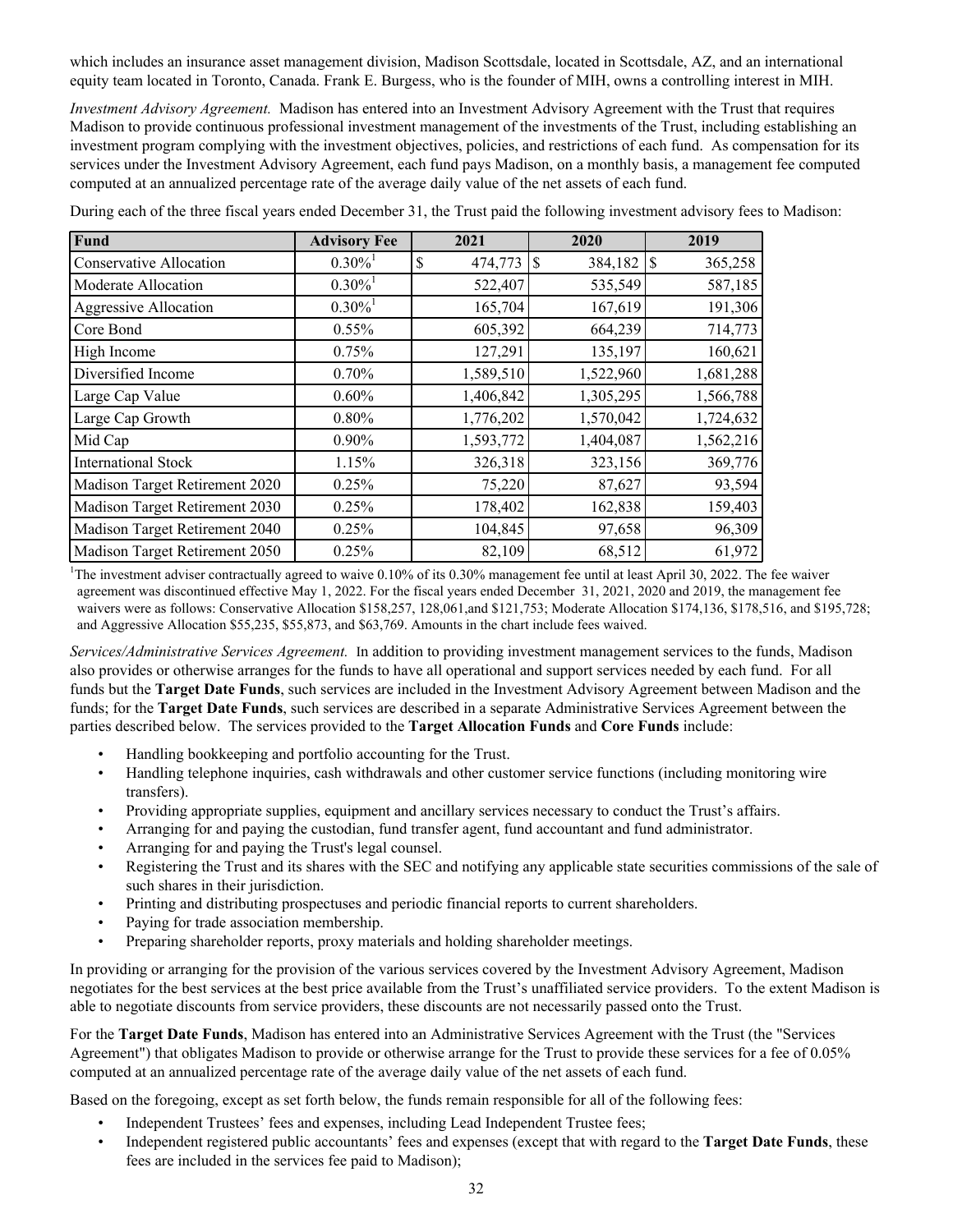which includes an insurance asset management division, Madison Scottsdale, located in Scottsdale, AZ, and an international equity team located in Toronto, Canada. Frank E. Burgess, who is the founder of MIH, owns a controlling interest in MIH.

*Investment Advisory Agreement.* Madison has entered into an Investment Advisory Agreement with the Trust that requires Madison to provide continuous professional investment management of the investments of the Trust, including establishing an investment program complying with the investment objectives, policies, and restrictions of each fund. As compensation for its services under the Investment Advisory Agreement, each fund pays Madison, on a monthly basis, a management fee computed computed at an annualized percentage rate of the average daily value of the net assets of each fund.

| Fund                           | <b>Advisory Fee</b>   | 2021          | 2020         | 2019      |
|--------------------------------|-----------------------|---------------|--------------|-----------|
| <b>Conservative Allocation</b> | $0.30\%$ <sup>1</sup> | \$<br>474,773 | 384,182<br>S | 365,258   |
| Moderate Allocation            | $0.30\%$ <sup>1</sup> | 522,407       | 535,549      | 587,185   |
| <b>Aggressive Allocation</b>   | $0.30\%$ <sup>1</sup> | 165,704       | 167,619      | 191,306   |
| Core Bond                      | 0.55%                 | 605,392       | 664,239      | 714,773   |
| High Income                    | 0.75%                 | 127,291       | 135,197      | 160,621   |
| Diversified Income             | 0.70%                 | 1,589,510     | 1,522,960    | 1,681,288 |
| Large Cap Value                | 0.60%                 | 1,406,842     | 1,305,295    | 1,566,788 |
| Large Cap Growth               | 0.80%                 | 1,776,202     | 1,570,042    | 1,724,632 |
| Mid Cap                        | $0.90\%$              | 1,593,772     | 1,404,087    | 1,562,216 |
| <b>International Stock</b>     | 1.15%                 | 326,318       | 323,156      | 369,776   |
| Madison Target Retirement 2020 | 0.25%                 | 75,220        | 87,627       | 93,594    |
| Madison Target Retirement 2030 | 0.25%                 | 178,402       | 162,838      | 159,403   |
| Madison Target Retirement 2040 | 0.25%                 | 104,845       | 97,658       | 96,309    |
| Madison Target Retirement 2050 | 0.25%                 | 82,109        | 68,512       | 61,972    |

During each of the three fiscal years ended December 31, the Trust paid the following investment advisory fees to Madison:

<sup>1</sup>The investment adviser contractually agreed to waive  $0.10\%$  of its  $0.30\%$  management fee until at least April 30, 2022. The fee waiver agreement was discontinued effective May 1, 2022. For the fiscal years ended December 31, 2021, 2020 and 2019, the management fee waivers were as follows: Conservative Allocation \$158,257, 128,061,and \$121,753; Moderate Allocation \$174,136, \$178,516, and \$195,728; and Aggressive Allocation \$55,235, \$55,873, and \$63,769. Amounts in the chart include fees waived.

*Services/Administrative Services Agreement.* In addition to providing investment management services to the funds, Madison also provides or otherwise arranges for the funds to have all operational and support services needed by each fund. For all funds but the **Target Date Funds**, such services are included in the Investment Advisory Agreement between Madison and the funds; for the **Target Date Funds**, such services are described in a separate Administrative Services Agreement between the parties described below. The services provided to the **Target Allocation Funds** and **Core Funds** include:

- Handling bookkeeping and portfolio accounting for the Trust.
- Handling telephone inquiries, cash withdrawals and other customer service functions (including monitoring wire transfers).
- Providing appropriate supplies, equipment and ancillary services necessary to conduct the Trust's affairs.
- Arranging for and paying the custodian, fund transfer agent, fund accountant and fund administrator.
- Arranging for and paying the Trust's legal counsel.
- Registering the Trust and its shares with the SEC and notifying any applicable state securities commissions of the sale of such shares in their jurisdiction.
- Printing and distributing prospectuses and periodic financial reports to current shareholders.
- Paying for trade association membership.
- Preparing shareholder reports, proxy materials and holding shareholder meetings.

In providing or arranging for the provision of the various services covered by the Investment Advisory Agreement, Madison negotiates for the best services at the best price available from the Trust's unaffiliated service providers. To the extent Madison is able to negotiate discounts from service providers, these discounts are not necessarily passed onto the Trust.

For the **Target Date Funds**, Madison has entered into an Administrative Services Agreement with the Trust (the "Services Agreement") that obligates Madison to provide or otherwise arrange for the Trust to provide these services for a fee of 0.05% computed at an annualized percentage rate of the average daily value of the net assets of each fund.

Based on the foregoing, except as set forth below, the funds remain responsible for all of the following fees:

- Independent Trustees' fees and expenses, including Lead Independent Trustee fees;
- Independent registered public accountants' fees and expenses (except that with regard to the **Target Date Funds**, these fees are included in the services fee paid to Madison);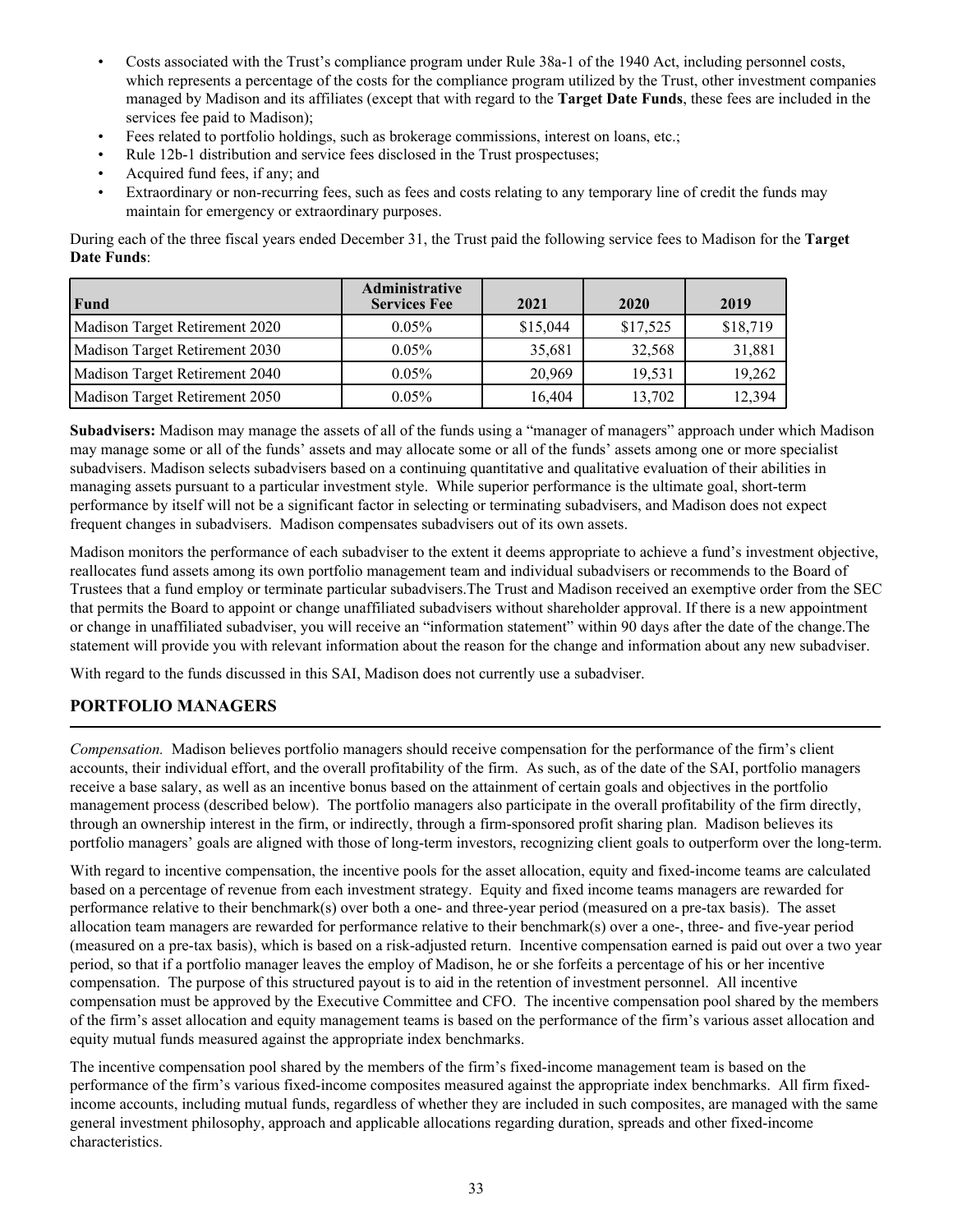- <span id="page-36-0"></span>• Costs associated with the Trust's compliance program under Rule 38a-1 of the 1940 Act, including personnel costs, which represents a percentage of the costs for the compliance program utilized by the Trust, other investment companies managed by Madison and its affiliates (except that with regard to the **Target Date Funds**, these fees are included in the services fee paid to Madison);
- Fees related to portfolio holdings, such as brokerage commissions, interest on loans, etc.;
- Rule 12b-1 distribution and service fees disclosed in the Trust prospectuses;
- Acquired fund fees, if any; and
- Extraordinary or non-recurring fees, such as fees and costs relating to any temporary line of credit the funds may maintain for emergency or extraordinary purposes.

During each of the three fiscal years ended December 31, the Trust paid the following service fees to Madison for the **Target Date Funds**:

| Fund                           | <b>Administrative</b><br><b>Services Fee</b> | 2021     | 2020     | 2019     |
|--------------------------------|----------------------------------------------|----------|----------|----------|
| Madison Target Retirement 2020 | $0.05\%$                                     | \$15,044 | \$17,525 | \$18,719 |
| Madison Target Retirement 2030 | $0.05\%$                                     | 35,681   | 32,568   | 31,881   |
| Madison Target Retirement 2040 | $0.05\%$                                     | 20,969   | 19.531   | 19,262   |
| Madison Target Retirement 2050 | $0.05\%$                                     | 16,404   | 13,702   | 12,394   |

**Subadvisers:** Madison may manage the assets of all of the funds using a "manager of managers" approach under which Madison may manage some or all of the funds' assets and may allocate some or all of the funds' assets among one or more specialist subadvisers. Madison selects subadvisers based on a continuing quantitative and qualitative evaluation of their abilities in managing assets pursuant to a particular investment style. While superior performance is the ultimate goal, short-term performance by itself will not be a significant factor in selecting or terminating subadvisers, and Madison does not expect frequent changes in subadvisers. Madison compensates subadvisers out of its own assets.

Madison monitors the performance of each subadviser to the extent it deems appropriate to achieve a fund's investment objective, reallocates fund assets among its own portfolio management team and individual subadvisers or recommends to the Board of Trustees that a fund employ or terminate particular subadvisers.The Trust and Madison received an exemptive order from the SEC that permits the Board to appoint or change unaffiliated subadvisers without shareholder approval. If there is a new appointment or change in unaffiliated subadviser, you will receive an "information statement" within 90 days after the date of the change.The statement will provide you with relevant information about the reason for the change and information about any new subadviser.

With regard to the funds discussed in this SAI, Madison does not currently use a subadviser.

# **PORTFOLIO MANAGERS**

*Compensation.* Madison believes portfolio managers should receive compensation for the performance of the firm's client accounts, their individual effort, and the overall profitability of the firm. As such, as of the date of the SAI, portfolio managers receive a base salary, as well as an incentive bonus based on the attainment of certain goals and objectives in the portfolio management process (described below). The portfolio managers also participate in the overall profitability of the firm directly, through an ownership interest in the firm, or indirectly, through a firm-sponsored profit sharing plan. Madison believes its portfolio managers' goals are aligned with those of long-term investors, recognizing client goals to outperform over the long-term.

With regard to incentive compensation, the incentive pools for the asset allocation, equity and fixed-income teams are calculated based on a percentage of revenue from each investment strategy. Equity and fixed income teams managers are rewarded for performance relative to their benchmark(s) over both a one- and three-year period (measured on a pre-tax basis). The asset allocation team managers are rewarded for performance relative to their benchmark(s) over a one-, three- and five-year period (measured on a pre-tax basis), which is based on a risk-adjusted return. Incentive compensation earned is paid out over a two year period, so that if a portfolio manager leaves the employ of Madison, he or she forfeits a percentage of his or her incentive compensation. The purpose of this structured payout is to aid in the retention of investment personnel. All incentive compensation must be approved by the Executive Committee and CFO. The incentive compensation pool shared by the members of the firm's asset allocation and equity management teams is based on the performance of the firm's various asset allocation and equity mutual funds measured against the appropriate index benchmarks.

The incentive compensation pool shared by the members of the firm's fixed-income management team is based on the performance of the firm's various fixed-income composites measured against the appropriate index benchmarks. All firm fixedincome accounts, including mutual funds, regardless of whether they are included in such composites, are managed with the same general investment philosophy, approach and applicable allocations regarding duration, spreads and other fixed-income characteristics.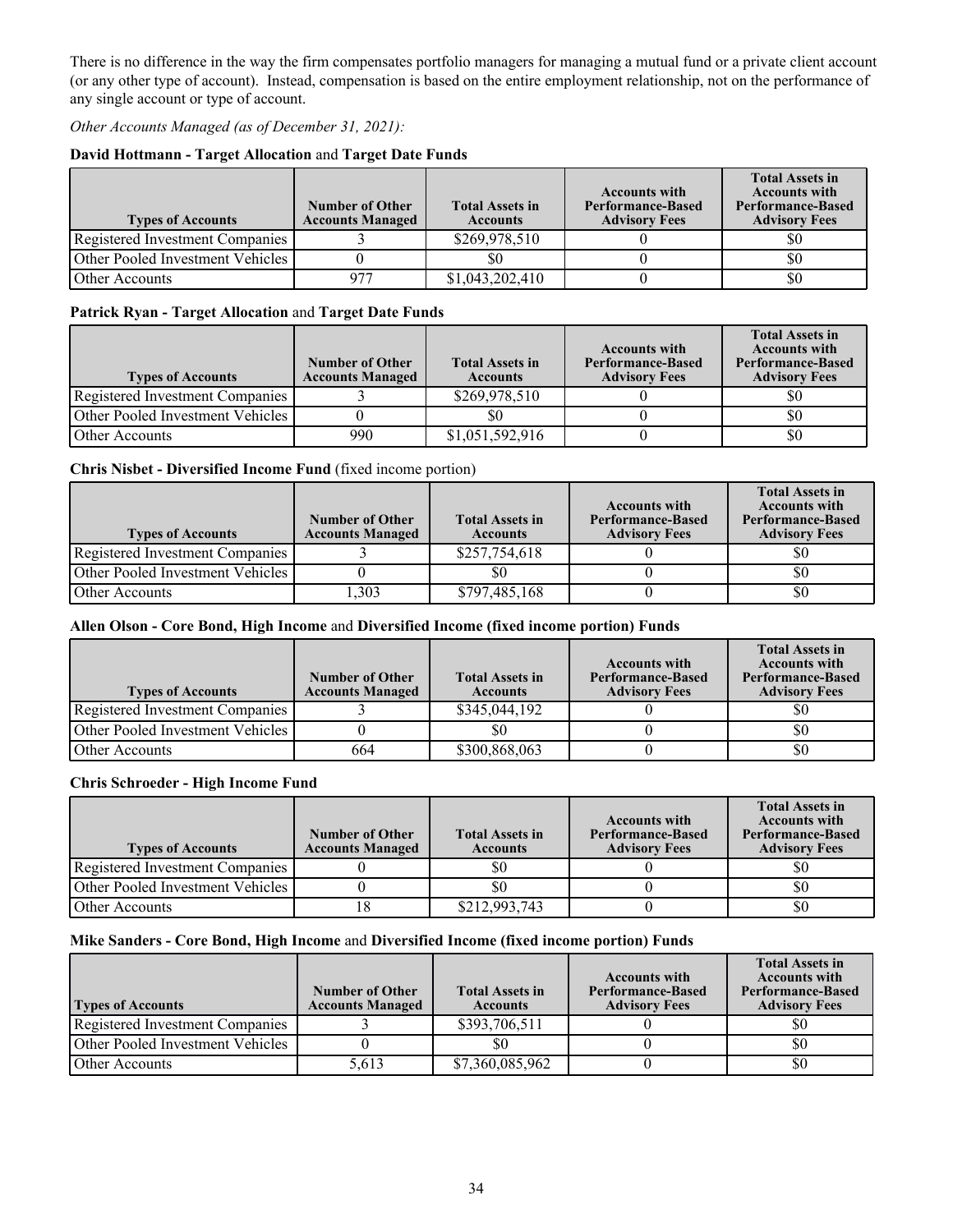There is no difference in the way the firm compensates portfolio managers for managing a mutual fund or a private client account (or any other type of account). Instead, compensation is based on the entire employment relationship, not on the performance of any single account or type of account.

*Other Accounts Managed (as of December 31, 2021):* 

### **David Hottmann - Target Allocation** and **Target Date Funds**

| <b>Types of Accounts</b>           | <b>Number of Other</b><br><b>Accounts Managed</b> | <b>Total Assets in</b><br><b>Accounts</b> | <b>Accounts with</b><br><b>Performance-Based</b><br><b>Advisory Fees</b> | <b>Total Assets in</b><br><b>Accounts with</b><br><b>Performance-Based</b><br><b>Advisory Fees</b> |
|------------------------------------|---------------------------------------------------|-------------------------------------------|--------------------------------------------------------------------------|----------------------------------------------------------------------------------------------------|
| Registered Investment Companies    |                                                   | \$269,978,510                             |                                                                          | \$0                                                                                                |
| Other Pooled Investment Vehicles I |                                                   | \$0                                       |                                                                          | \$0                                                                                                |
| <b>Other Accounts</b>              | 977                                               | \$1,043,202,410                           |                                                                          | \$0                                                                                                |

### **Patrick Ryan - Target Allocation** and **Target Date Funds**

| <b>Types of Accounts</b>         | <b>Number of Other</b><br><b>Accounts Managed</b> | <b>Total Assets in</b><br><b>Accounts</b> | <b>Accounts with</b><br><b>Performance-Based</b><br><b>Advisory Fees</b> | <b>Total Assets in</b><br><b>Accounts with</b><br><b>Performance-Based</b><br><b>Advisory Fees</b> |
|----------------------------------|---------------------------------------------------|-------------------------------------------|--------------------------------------------------------------------------|----------------------------------------------------------------------------------------------------|
| Registered Investment Companies  |                                                   | \$269,978,510                             |                                                                          | 50                                                                                                 |
| Other Pooled Investment Vehicles |                                                   |                                           |                                                                          | \$0                                                                                                |
| <b>Other Accounts</b>            | 990                                               | \$1,051,592,916                           |                                                                          | \$0                                                                                                |

#### **Chris Nisbet - Diversified Income Fund** (fixed income portion)

| <b>Types of Accounts</b>         | <b>Number of Other</b><br><b>Accounts Managed</b> | <b>Total Assets in</b><br><b>Accounts</b> | <b>Accounts with</b><br><b>Performance-Based</b><br><b>Advisory Fees</b> | <b>Total Assets in</b><br><b>Accounts with</b><br><b>Performance-Based</b><br><b>Advisory Fees</b> |
|----------------------------------|---------------------------------------------------|-------------------------------------------|--------------------------------------------------------------------------|----------------------------------------------------------------------------------------------------|
| Registered Investment Companies  |                                                   | \$257,754,618                             |                                                                          | \$0                                                                                                |
| Other Pooled Investment Vehicles |                                                   | \$0                                       |                                                                          | \$0                                                                                                |
| Other Accounts                   | .303                                              | \$797,485,168                             |                                                                          | \$0                                                                                                |

#### **Allen Olson - Core Bond, High Income** and **Diversified Income (fixed income portion) Funds**

| <b>Types of Accounts</b>         | <b>Number of Other</b><br><b>Accounts Managed</b> | <b>Total Assets in</b><br><b>Accounts</b> | <b>Accounts with</b><br><b>Performance-Based</b><br><b>Advisory Fees</b> | <b>Total Assets in</b><br><b>Accounts with</b><br><b>Performance-Based</b><br><b>Advisory Fees</b> |
|----------------------------------|---------------------------------------------------|-------------------------------------------|--------------------------------------------------------------------------|----------------------------------------------------------------------------------------------------|
| Registered Investment Companies  |                                                   | \$345,044,192                             |                                                                          | \$0                                                                                                |
| Other Pooled Investment Vehicles |                                                   | \$0                                       |                                                                          | \$0                                                                                                |
| Other Accounts                   | 664                                               | \$300,868,063                             |                                                                          | \$0                                                                                                |

#### **Chris Schroeder - High Income Fund**

| <b>Types of Accounts</b>         | <b>Number of Other</b><br><b>Accounts Managed</b> | <b>Total Assets in</b><br><b>Accounts</b> | <b>Accounts with</b><br><b>Performance-Based</b><br><b>Advisory Fees</b> | <b>Total Assets in</b><br><b>Accounts with</b><br><b>Performance-Based</b><br><b>Advisory Fees</b> |
|----------------------------------|---------------------------------------------------|-------------------------------------------|--------------------------------------------------------------------------|----------------------------------------------------------------------------------------------------|
| Registered Investment Companies  |                                                   | \$0                                       |                                                                          | \$0                                                                                                |
| Other Pooled Investment Vehicles |                                                   | S0                                        |                                                                          | \$0                                                                                                |
| Other Accounts                   |                                                   | \$212,993,743                             |                                                                          | \$0                                                                                                |

#### **Mike Sanders - Core Bond, High Income** and **Diversified Income (fixed income portion) Funds**

| <b>Types of Accounts</b>         | <b>Number of Other</b><br><b>Accounts Managed</b> | <b>Total Assets in</b><br><b>Accounts</b> | <b>Accounts with</b><br><b>Performance-Based</b><br><b>Advisory Fees</b> | <b>Total Assets in</b><br><b>Accounts with</b><br><b>Performance-Based</b><br><b>Advisory Fees</b> |
|----------------------------------|---------------------------------------------------|-------------------------------------------|--------------------------------------------------------------------------|----------------------------------------------------------------------------------------------------|
| Registered Investment Companies  |                                                   | \$393,706,511                             |                                                                          |                                                                                                    |
| Other Pooled Investment Vehicles |                                                   |                                           |                                                                          | \$0                                                                                                |
| Other Accounts                   | 5,613                                             | \$7,360,085,962                           |                                                                          | \$0                                                                                                |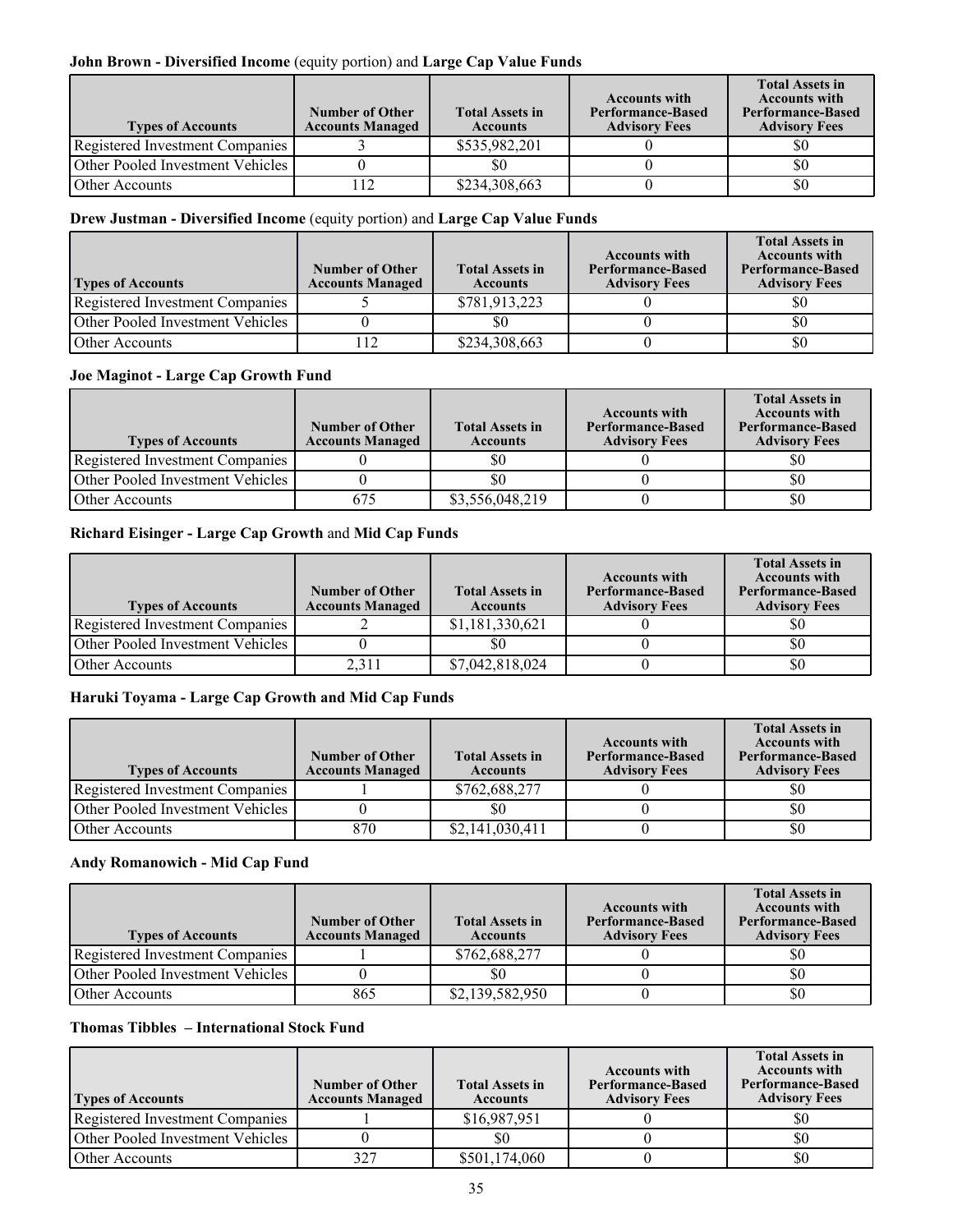### **John Brown - Diversified Income** (equity portion) and **Large Cap Value Funds**

| <b>Types of Accounts</b>                  | <b>Number of Other</b><br><b>Accounts Managed</b> | <b>Total Assets in</b><br><b>Accounts</b> | <b>Accounts with</b><br><b>Performance-Based</b><br><b>Advisory Fees</b> | <b>Total Assets in</b><br><b>Accounts with</b><br><b>Performance-Based</b><br><b>Advisory Fees</b> |
|-------------------------------------------|---------------------------------------------------|-------------------------------------------|--------------------------------------------------------------------------|----------------------------------------------------------------------------------------------------|
| Registered Investment Companies           |                                                   | \$535,982,201                             |                                                                          | \$0                                                                                                |
| <b>Other Pooled Investment Vehicles I</b> |                                                   |                                           |                                                                          | \$0                                                                                                |
| Other Accounts                            |                                                   | \$234,308,663                             |                                                                          | \$0                                                                                                |

### **Drew Justman - Diversified Income** (equity portion) and **Large Cap Value Funds**

| <b>Types of Accounts</b>               | Number of Other<br><b>Accounts Managed</b> | <b>Total Assets in</b><br><b>Accounts</b> | <b>Accounts with</b><br><b>Performance-Based</b><br><b>Advisory Fees</b> | <b>Total Assets in</b><br><b>Accounts with</b><br><b>Performance-Based</b><br><b>Advisory Fees</b> |
|----------------------------------------|--------------------------------------------|-------------------------------------------|--------------------------------------------------------------------------|----------------------------------------------------------------------------------------------------|
| <b>Registered Investment Companies</b> |                                            | \$781,913,223                             |                                                                          | \$0                                                                                                |
| Other Pooled Investment Vehicles       |                                            | 80                                        |                                                                          | \$0                                                                                                |
| Dther Accounts                         | 12                                         | \$234,308,663                             |                                                                          | \$0                                                                                                |

#### **Joe Maginot - Large Cap Growth Fund**

| <b>Types of Accounts</b>         | Number of Other<br><b>Accounts Managed</b> | <b>Total Assets in</b><br><b>Accounts</b> | <b>Accounts with</b><br>Performance-Based<br><b>Advisory Fees</b> | <b>Total Assets in</b><br><b>Accounts with</b><br><b>Performance-Based</b><br><b>Advisory Fees</b> |
|----------------------------------|--------------------------------------------|-------------------------------------------|-------------------------------------------------------------------|----------------------------------------------------------------------------------------------------|
| Registered Investment Companies  |                                            | \$0                                       |                                                                   | S0                                                                                                 |
| Other Pooled Investment Vehicles |                                            | \$0                                       |                                                                   | \$0                                                                                                |
| Other Accounts                   | 675                                        | \$3,556,048,219                           |                                                                   | \$0                                                                                                |

## **Richard Eisinger - Large Cap Growth** and **Mid Cap Funds**

| <b>Types of Accounts</b>         | <b>Number of Other</b><br><b>Accounts Managed</b> | <b>Total Assets in</b><br><b>Accounts</b> | <b>Accounts with</b><br><b>Performance-Based</b><br><b>Advisory Fees</b> | <b>Total Assets in</b><br><b>Accounts with</b><br><b>Performance-Based</b><br><b>Advisory Fees</b> |
|----------------------------------|---------------------------------------------------|-------------------------------------------|--------------------------------------------------------------------------|----------------------------------------------------------------------------------------------------|
| Registered Investment Companies  |                                                   | \$1,181,330,621                           |                                                                          | \$0                                                                                                |
| Other Pooled Investment Vehicles |                                                   |                                           |                                                                          | \$0                                                                                                |
| Other Accounts                   | 2.311                                             | \$7,042,818,024                           |                                                                          | \$0                                                                                                |

#### **Haruki Toyama - Large Cap Growth and Mid Cap Funds**

| <b>Types of Accounts</b>               | <b>Number of Other</b><br><b>Accounts Managed</b> | <b>Total Assets in</b><br><b>Accounts</b> | <b>Accounts with</b><br><b>Performance-Based</b><br><b>Advisory Fees</b> | <b>Total Assets in</b><br><b>Accounts with</b><br><b>Performance-Based</b><br><b>Advisory Fees</b> |
|----------------------------------------|---------------------------------------------------|-------------------------------------------|--------------------------------------------------------------------------|----------------------------------------------------------------------------------------------------|
| <b>Registered Investment Companies</b> |                                                   | \$762,688,277                             |                                                                          | S0                                                                                                 |
| Other Pooled Investment Vehicles       |                                                   | S0                                        |                                                                          | \$0                                                                                                |
| Other Accounts                         | 870                                               | \$2,141,030,411                           |                                                                          | \$0                                                                                                |

#### **Andy Romanowich - Mid Cap Fund**

| <b>Types of Accounts</b>         | <b>Number of Other</b><br><b>Accounts Managed</b> | <b>Total Assets in</b><br><b>Accounts</b> | <b>Accounts with</b><br><b>Performance-Based</b><br><b>Advisory Fees</b> | <b>Total Assets in</b><br><b>Accounts with</b><br><b>Performance-Based</b><br><b>Advisory Fees</b> |
|----------------------------------|---------------------------------------------------|-------------------------------------------|--------------------------------------------------------------------------|----------------------------------------------------------------------------------------------------|
| Registered Investment Companies  |                                                   | \$762,688,277                             |                                                                          | \$0                                                                                                |
| Other Pooled Investment Vehicles |                                                   | \$0                                       |                                                                          | \$0                                                                                                |
| Other Accounts                   | 865                                               | \$2,139,582,950                           |                                                                          | \$0                                                                                                |

## **Thomas Tibbles – International Stock Fund**

| <b>Types of Accounts</b>         | <b>Number of Other</b><br><b>Accounts Managed</b> | <b>Total Assets in</b><br><b>Accounts</b> | <b>Accounts with</b><br><b>Performance-Based</b><br><b>Advisory Fees</b> | <b>Total Assets in</b><br><b>Accounts with</b><br><b>Performance-Based</b><br><b>Advisory Fees</b> |
|----------------------------------|---------------------------------------------------|-------------------------------------------|--------------------------------------------------------------------------|----------------------------------------------------------------------------------------------------|
| Registered Investment Companies  |                                                   | \$16,987,951                              |                                                                          | \$0                                                                                                |
| Other Pooled Investment Vehicles |                                                   | S0                                        |                                                                          | \$0                                                                                                |
| Other Accounts                   | 327                                               | \$501,174,060                             |                                                                          | \$0                                                                                                |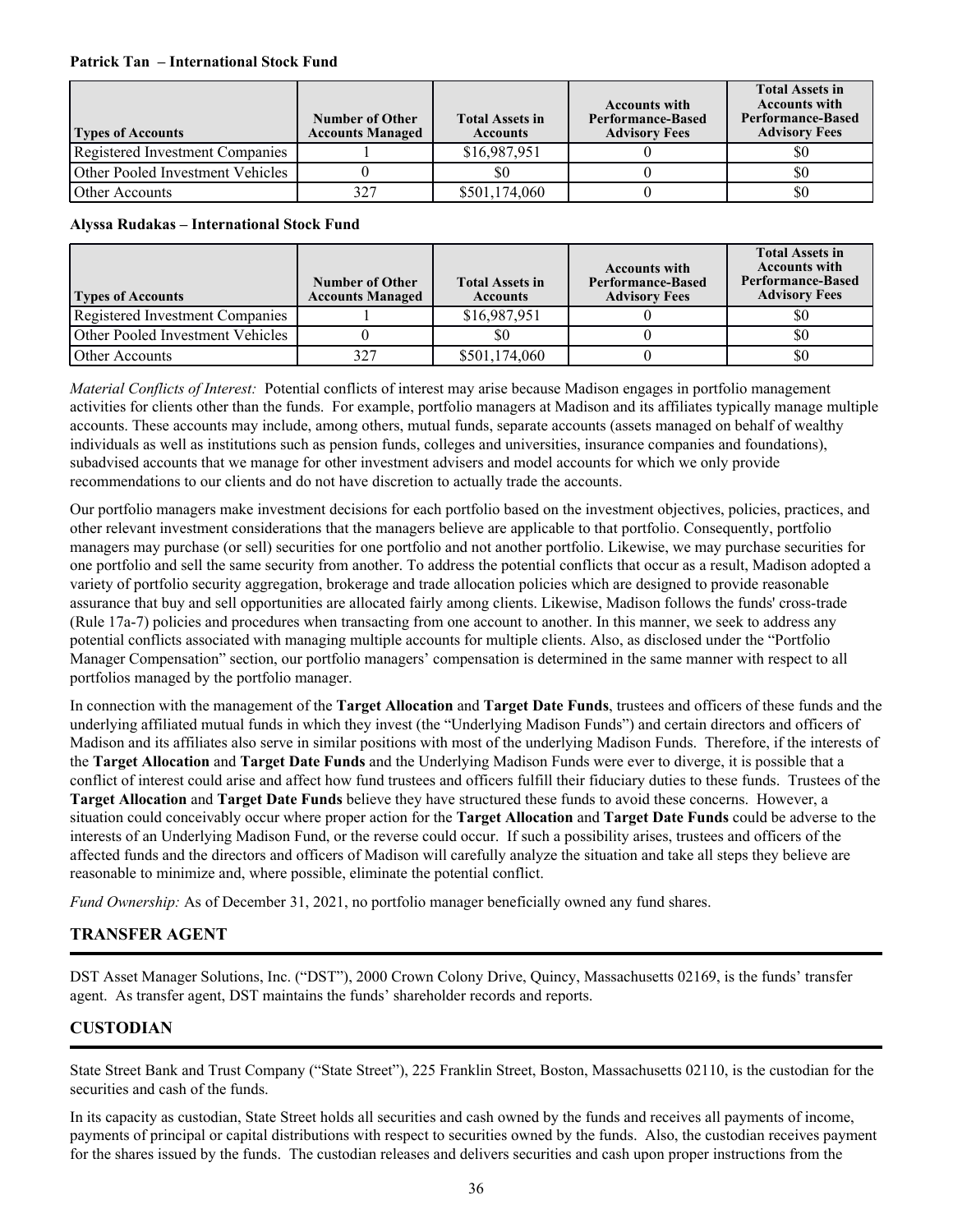#### <span id="page-39-0"></span>**Patrick Tan – International Stock Fund**

| <b>Types of Accounts</b>         | <b>Number of Other</b><br><b>Accounts Managed</b> | <b>Total Assets in</b><br><b>Accounts</b> | <b>Accounts with</b><br><b>Performance-Based</b><br><b>Advisory Fees</b> | <b>Total Assets in</b><br><b>Accounts with</b><br><b>Performance-Based</b><br><b>Advisory Fees</b> |
|----------------------------------|---------------------------------------------------|-------------------------------------------|--------------------------------------------------------------------------|----------------------------------------------------------------------------------------------------|
| Registered Investment Companies  |                                                   | \$16,987,951                              |                                                                          | \$0                                                                                                |
| Other Pooled Investment Vehicles |                                                   | SO.                                       |                                                                          | \$0                                                                                                |
| Other Accounts                   | 327                                               | \$501,174,060                             |                                                                          | \$0                                                                                                |

#### **Alyssa Rudakas – International Stock Fund**

| <b>Types of Accounts</b>         | Number of Other<br><b>Accounts Managed</b> | <b>Total Assets in</b><br><b>Accounts</b> | <b>Accounts with</b><br><b>Performance-Based</b><br><b>Advisory Fees</b> | <b>Total Assets in</b><br><b>Accounts with</b><br><b>Performance-Based</b><br><b>Advisory Fees</b> |
|----------------------------------|--------------------------------------------|-------------------------------------------|--------------------------------------------------------------------------|----------------------------------------------------------------------------------------------------|
| Registered Investment Companies  |                                            | \$16,987,951                              |                                                                          | \$0                                                                                                |
| Other Pooled Investment Vehicles |                                            | \$0                                       |                                                                          | \$0                                                                                                |
| Other Accounts                   | 327                                        | \$501,174,060                             |                                                                          | \$0                                                                                                |

*Material Conflicts of Interest:* Potential conflicts of interest may arise because Madison engages in portfolio management activities for clients other than the funds. For example, portfolio managers at Madison and its affiliates typically manage multiple accounts. These accounts may include, among others, mutual funds, separate accounts (assets managed on behalf of wealthy individuals as well as institutions such as pension funds, colleges and universities, insurance companies and foundations), subadvised accounts that we manage for other investment advisers and model accounts for which we only provide recommendations to our clients and do not have discretion to actually trade the accounts.

Our portfolio managers make investment decisions for each portfolio based on the investment objectives, policies, practices, and other relevant investment considerations that the managers believe are applicable to that portfolio. Consequently, portfolio managers may purchase (or sell) securities for one portfolio and not another portfolio. Likewise, we may purchase securities for one portfolio and sell the same security from another. To address the potential conflicts that occur as a result, Madison adopted a variety of portfolio security aggregation, brokerage and trade allocation policies which are designed to provide reasonable assurance that buy and sell opportunities are allocated fairly among clients. Likewise, Madison follows the funds' cross-trade (Rule 17a-7) policies and procedures when transacting from one account to another. In this manner, we seek to address any potential conflicts associated with managing multiple accounts for multiple clients. Also, as disclosed under the "Portfolio Manager Compensation" section, our portfolio managers' compensation is determined in the same manner with respect to all portfolios managed by the portfolio manager.

In connection with the management of the **Target Allocation** and **Target Date Funds**, trustees and officers of these funds and the underlying affiliated mutual funds in which they invest (the "Underlying Madison Funds") and certain directors and officers of Madison and its affiliates also serve in similar positions with most of the underlying Madison Funds. Therefore, if the interests of the **Target Allocation** and **Target Date Funds** and the Underlying Madison Funds were ever to diverge, it is possible that a conflict of interest could arise and affect how fund trustees and officers fulfill their fiduciary duties to these funds. Trustees of the **Target Allocation** and **Target Date Funds** believe they have structured these funds to avoid these concerns. However, a situation could conceivably occur where proper action for the **Target Allocation** and **Target Date Funds** could be adverse to the interests of an Underlying Madison Fund, or the reverse could occur. If such a possibility arises, trustees and officers of the affected funds and the directors and officers of Madison will carefully analyze the situation and take all steps they believe are reasonable to minimize and, where possible, eliminate the potential conflict.

*Fund Ownership:* As of December 31, 2021, no portfolio manager beneficially owned any fund shares.

# **TRANSFER AGENT**

DST Asset Manager Solutions, Inc. ("DST"), 2000 Crown Colony Drive, Quincy, Massachusetts 02169, is the funds' transfer agent. As transfer agent, DST maintains the funds' shareholder records and reports.

## **CUSTODIAN**

State Street Bank and Trust Company ("State Street"), 225 Franklin Street, Boston, Massachusetts 02110, is the custodian for the securities and cash of the funds.

In its capacity as custodian, State Street holds all securities and cash owned by the funds and receives all payments of income, payments of principal or capital distributions with respect to securities owned by the funds. Also, the custodian receives payment for the shares issued by the funds. The custodian releases and delivers securities and cash upon proper instructions from the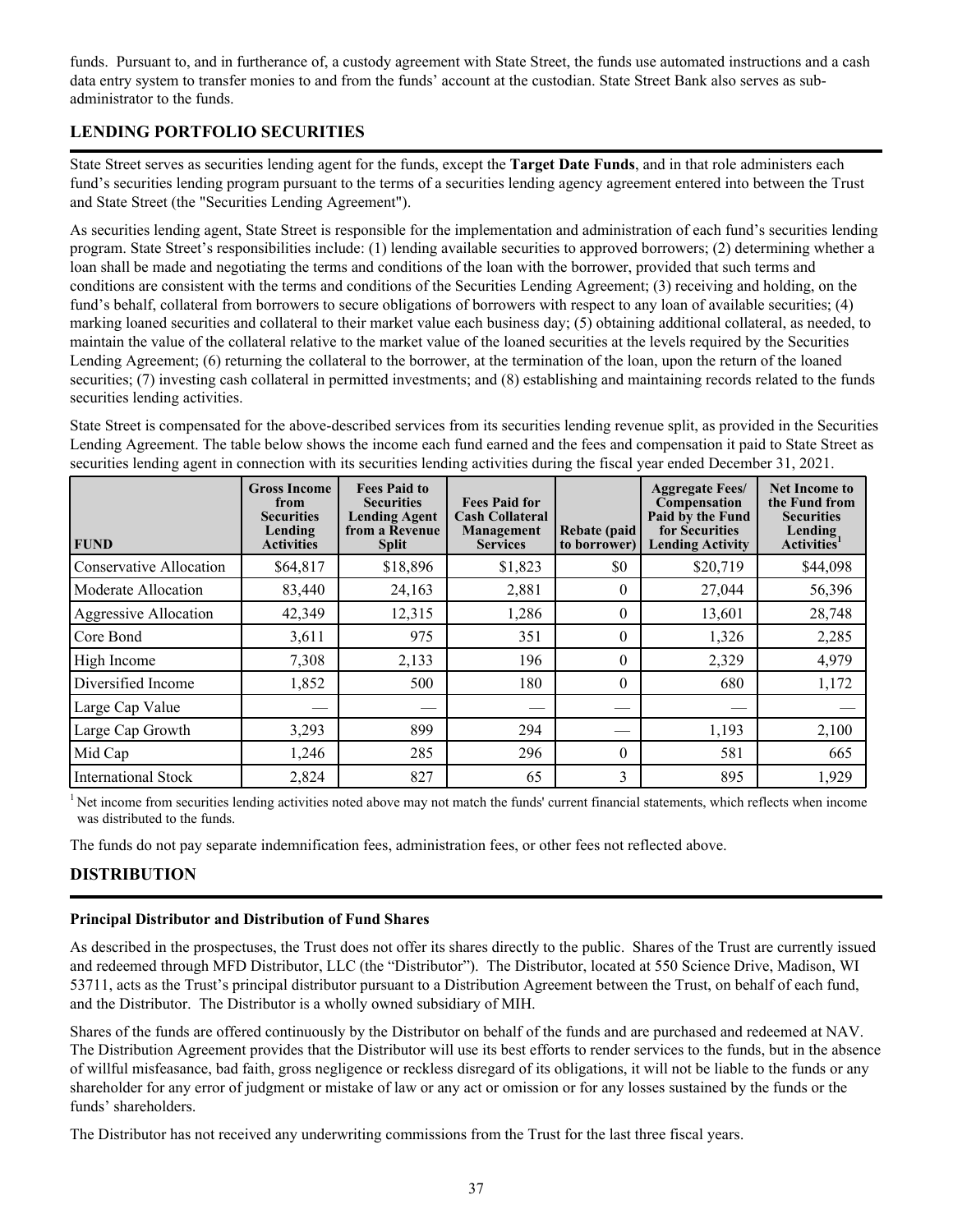<span id="page-40-0"></span>funds. Pursuant to, and in furtherance of, a custody agreement with State Street, the funds use automated instructions and a cash data entry system to transfer monies to and from the funds' account at the custodian. State Street Bank also serves as subadministrator to the funds.

# **LENDING PORTFOLIO SECURITIES**

State Street serves as securities lending agent for the funds, except the **Target Date Funds**, and in that role administers each fund's securities lending program pursuant to the terms of a securities lending agency agreement entered into between the Trust and State Street (the "Securities Lending Agreement").

As securities lending agent, State Street is responsible for the implementation and administration of each fund's securities lending program. State Street's responsibilities include: (1) lending available securities to approved borrowers; (2) determining whether a loan shall be made and negotiating the terms and conditions of the loan with the borrower, provided that such terms and conditions are consistent with the terms and conditions of the Securities Lending Agreement; (3) receiving and holding, on the fund's behalf, collateral from borrowers to secure obligations of borrowers with respect to any loan of available securities; (4) marking loaned securities and collateral to their market value each business day; (5) obtaining additional collateral, as needed, to maintain the value of the collateral relative to the market value of the loaned securities at the levels required by the Securities Lending Agreement; (6) returning the collateral to the borrower, at the termination of the loan, upon the return of the loaned securities; (7) investing cash collateral in permitted investments; and (8) establishing and maintaining records related to the funds securities lending activities.

State Street is compensated for the above-described services from its securities lending revenue split, as provided in the Securities Lending Agreement. The table below shows the income each fund earned and the fees and compensation it paid to State Street as securities lending agent in connection with its securities lending activities during the fiscal year ended December 31, 2021.

| <b>FUND</b>                  | <b>Gross Income</b><br>from<br><b>Securities</b><br>Lending<br><b>Activities</b> | <b>Fees Paid to</b><br><b>Securities</b><br><b>Lending Agent</b><br>from a Revenue<br><b>Split</b> | <b>Fees Paid for</b><br><b>Cash Collateral</b><br>Management<br><b>Services</b> | <b>Rebate</b> (paid<br>to borrower) | <b>Aggregate Fees/</b><br>Compensation<br>Paid by the Fund<br>for Securities<br><b>Lending Activity</b> | <b>Net Income to</b><br>the Fund from<br><b>Securities</b><br>Lending<br>Activities <sup>1</sup> |
|------------------------------|----------------------------------------------------------------------------------|----------------------------------------------------------------------------------------------------|---------------------------------------------------------------------------------|-------------------------------------|---------------------------------------------------------------------------------------------------------|--------------------------------------------------------------------------------------------------|
| Conservative Allocation      | \$64,817                                                                         | \$18,896                                                                                           | \$1,823                                                                         | \$0                                 | \$20,719                                                                                                | \$44,098                                                                                         |
| Moderate Allocation          | 83,440                                                                           | 24,163                                                                                             | 2,881                                                                           | $\mathbf{0}$                        | 27,044                                                                                                  | 56,396                                                                                           |
| <b>Aggressive Allocation</b> | 42,349                                                                           | 12,315                                                                                             | 1,286                                                                           | $\theta$                            | 13,601                                                                                                  | 28,748                                                                                           |
| Core Bond                    | 3,611                                                                            | 975                                                                                                | 351                                                                             | $\theta$                            | 1,326                                                                                                   | 2,285                                                                                            |
| High Income                  | 7,308                                                                            | 2,133                                                                                              | 196                                                                             | $\theta$                            | 2,329                                                                                                   | 4,979                                                                                            |
| Diversified Income           | 1,852                                                                            | 500                                                                                                | 180                                                                             | $\theta$                            | 680                                                                                                     | 1,172                                                                                            |
| Large Cap Value              |                                                                                  |                                                                                                    |                                                                                 |                                     |                                                                                                         |                                                                                                  |
| Large Cap Growth             | 3,293                                                                            | 899                                                                                                | 294                                                                             |                                     | 1,193                                                                                                   | 2,100                                                                                            |
| Mid Cap                      | 1,246                                                                            | 285                                                                                                | 296                                                                             | $\theta$                            | 581                                                                                                     | 665                                                                                              |
| International Stock          | 2,824                                                                            | 827                                                                                                | 65                                                                              | 3                                   | 895                                                                                                     | 1,929                                                                                            |

<sup>1</sup>Net income from securities lending activities noted above may not match the funds' current financial statements, which reflects when income was distributed to the funds.

The funds do not pay separate indemnification fees, administration fees, or other fees not reflected above.

# **DISTRIBUTION**

#### **Principal Distributor and Distribution of Fund Shares**

As described in the prospectuses, the Trust does not offer its shares directly to the public. Shares of the Trust are currently issued and redeemed through MFD Distributor, LLC (the "Distributor"). The Distributor, located at 550 Science Drive, Madison, WI 53711, acts as the Trust's principal distributor pursuant to a Distribution Agreement between the Trust, on behalf of each fund, and the Distributor. The Distributor is a wholly owned subsidiary of MIH.

Shares of the funds are offered continuously by the Distributor on behalf of the funds and are purchased and redeemed at NAV. The Distribution Agreement provides that the Distributor will use its best efforts to render services to the funds, but in the absence of willful misfeasance, bad faith, gross negligence or reckless disregard of its obligations, it will not be liable to the funds or any shareholder for any error of judgment or mistake of law or any act or omission or for any losses sustained by the funds or the funds' shareholders.

The Distributor has not received any underwriting commissions from the Trust for the last three fiscal years.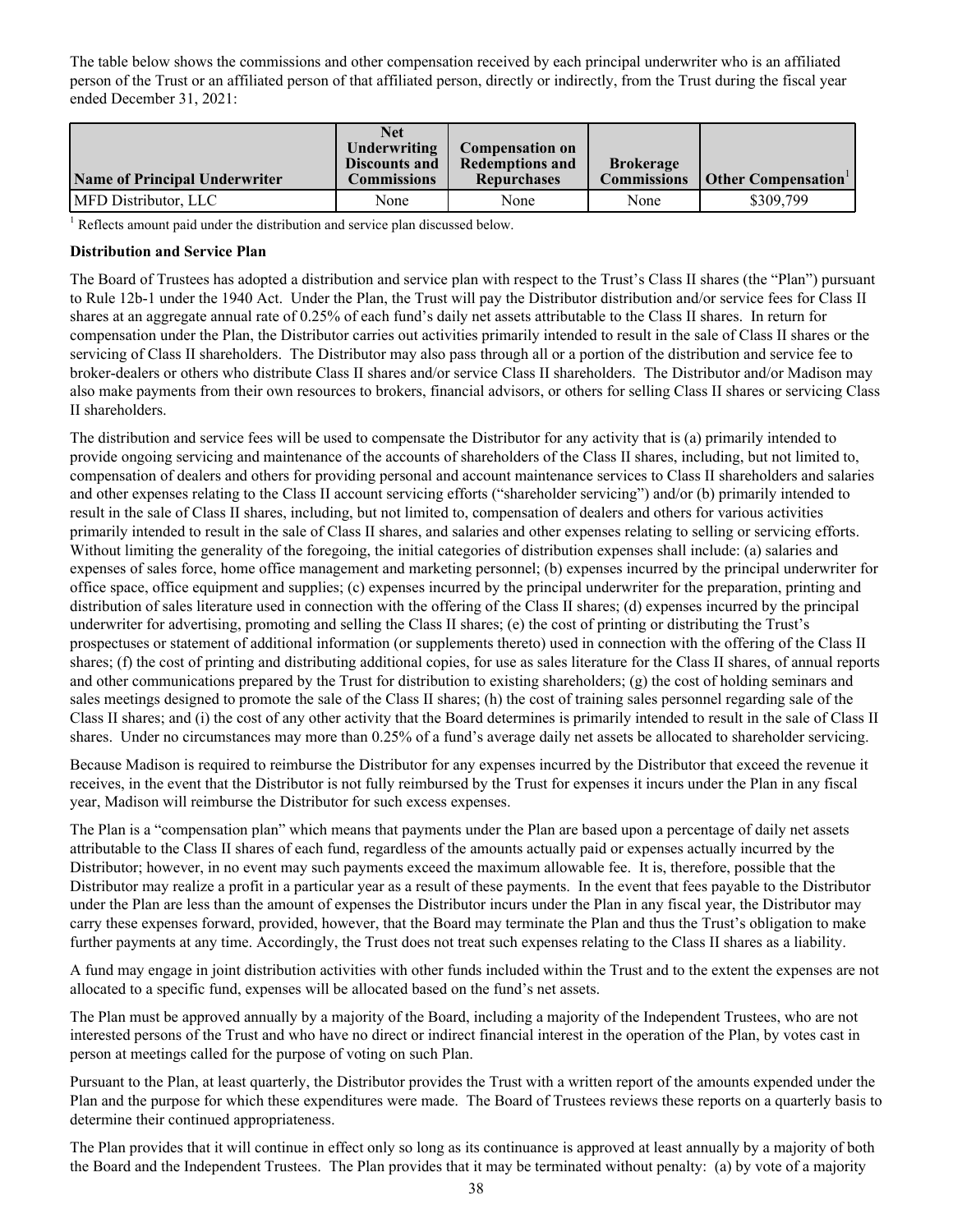<span id="page-41-0"></span>The table below shows the commissions and other compensation received by each principal underwriter who is an affiliated person of the Trust or an affiliated person of that affiliated person, directly or indirectly, from the Trust during the fiscal year ended December 31, 2021:

| <b>Name of Principal Underwriter</b> | Net<br>Underwriting<br>Discounts and<br><b>Commissions</b> | <b>Compensation on</b><br><b>Redemptions and</b><br><b>Repurchases</b> | <b>Brokerage</b><br><b>Commissions</b> | Other Compensation |
|--------------------------------------|------------------------------------------------------------|------------------------------------------------------------------------|----------------------------------------|--------------------|
| MFD Distributor, LLC                 | None                                                       | None                                                                   | None                                   | \$309.799          |

 $1$  Reflects amount paid under the distribution and service plan discussed below.

#### **Distribution and Service Plan**

The Board of Trustees has adopted a distribution and service plan with respect to the Trust's Class II shares (the "Plan") pursuant to Rule 12b-1 under the 1940 Act. Under the Plan, the Trust will pay the Distributor distribution and/or service fees for Class II shares at an aggregate annual rate of 0.25% of each fund's daily net assets attributable to the Class II shares. In return for compensation under the Plan, the Distributor carries out activities primarily intended to result in the sale of Class II shares or the servicing of Class II shareholders. The Distributor may also pass through all or a portion of the distribution and service fee to broker-dealers or others who distribute Class II shares and/or service Class II shareholders. The Distributor and/or Madison may also make payments from their own resources to brokers, financial advisors, or others for selling Class II shares or servicing Class II shareholders.

The distribution and service fees will be used to compensate the Distributor for any activity that is (a) primarily intended to provide ongoing servicing and maintenance of the accounts of shareholders of the Class II shares, including, but not limited to, compensation of dealers and others for providing personal and account maintenance services to Class II shareholders and salaries and other expenses relating to the Class II account servicing efforts ("shareholder servicing") and/or (b) primarily intended to result in the sale of Class II shares, including, but not limited to, compensation of dealers and others for various activities primarily intended to result in the sale of Class II shares, and salaries and other expenses relating to selling or servicing efforts. Without limiting the generality of the foregoing, the initial categories of distribution expenses shall include: (a) salaries and expenses of sales force, home office management and marketing personnel; (b) expenses incurred by the principal underwriter for office space, office equipment and supplies; (c) expenses incurred by the principal underwriter for the preparation, printing and distribution of sales literature used in connection with the offering of the Class II shares; (d) expenses incurred by the principal underwriter for advertising, promoting and selling the Class II shares; (e) the cost of printing or distributing the Trust's prospectuses or statement of additional information (or supplements thereto) used in connection with the offering of the Class II shares; (f) the cost of printing and distributing additional copies, for use as sales literature for the Class II shares, of annual reports and other communications prepared by the Trust for distribution to existing shareholders; (g) the cost of holding seminars and sales meetings designed to promote the sale of the Class II shares; (h) the cost of training sales personnel regarding sale of the Class II shares; and (i) the cost of any other activity that the Board determines is primarily intended to result in the sale of Class II shares. Under no circumstances may more than 0.25% of a fund's average daily net assets be allocated to shareholder servicing.

Because Madison is required to reimburse the Distributor for any expenses incurred by the Distributor that exceed the revenue it receives, in the event that the Distributor is not fully reimbursed by the Trust for expenses it incurs under the Plan in any fiscal year, Madison will reimburse the Distributor for such excess expenses.

The Plan is a "compensation plan" which means that payments under the Plan are based upon a percentage of daily net assets attributable to the Class II shares of each fund, regardless of the amounts actually paid or expenses actually incurred by the Distributor; however, in no event may such payments exceed the maximum allowable fee. It is, therefore, possible that the Distributor may realize a profit in a particular year as a result of these payments. In the event that fees payable to the Distributor under the Plan are less than the amount of expenses the Distributor incurs under the Plan in any fiscal year, the Distributor may carry these expenses forward, provided, however, that the Board may terminate the Plan and thus the Trust's obligation to make further payments at any time. Accordingly, the Trust does not treat such expenses relating to the Class II shares as a liability.

A fund may engage in joint distribution activities with other funds included within the Trust and to the extent the expenses are not allocated to a specific fund, expenses will be allocated based on the fund's net assets.

The Plan must be approved annually by a majority of the Board, including a majority of the Independent Trustees, who are not interested persons of the Trust and who have no direct or indirect financial interest in the operation of the Plan, by votes cast in person at meetings called for the purpose of voting on such Plan.

Pursuant to the Plan, at least quarterly, the Distributor provides the Trust with a written report of the amounts expended under the Plan and the purpose for which these expenditures were made. The Board of Trustees reviews these reports on a quarterly basis to determine their continued appropriateness.

The Plan provides that it will continue in effect only so long as its continuance is approved at least annually by a majority of both the Board and the Independent Trustees. The Plan provides that it may be terminated without penalty: (a) by vote of a majority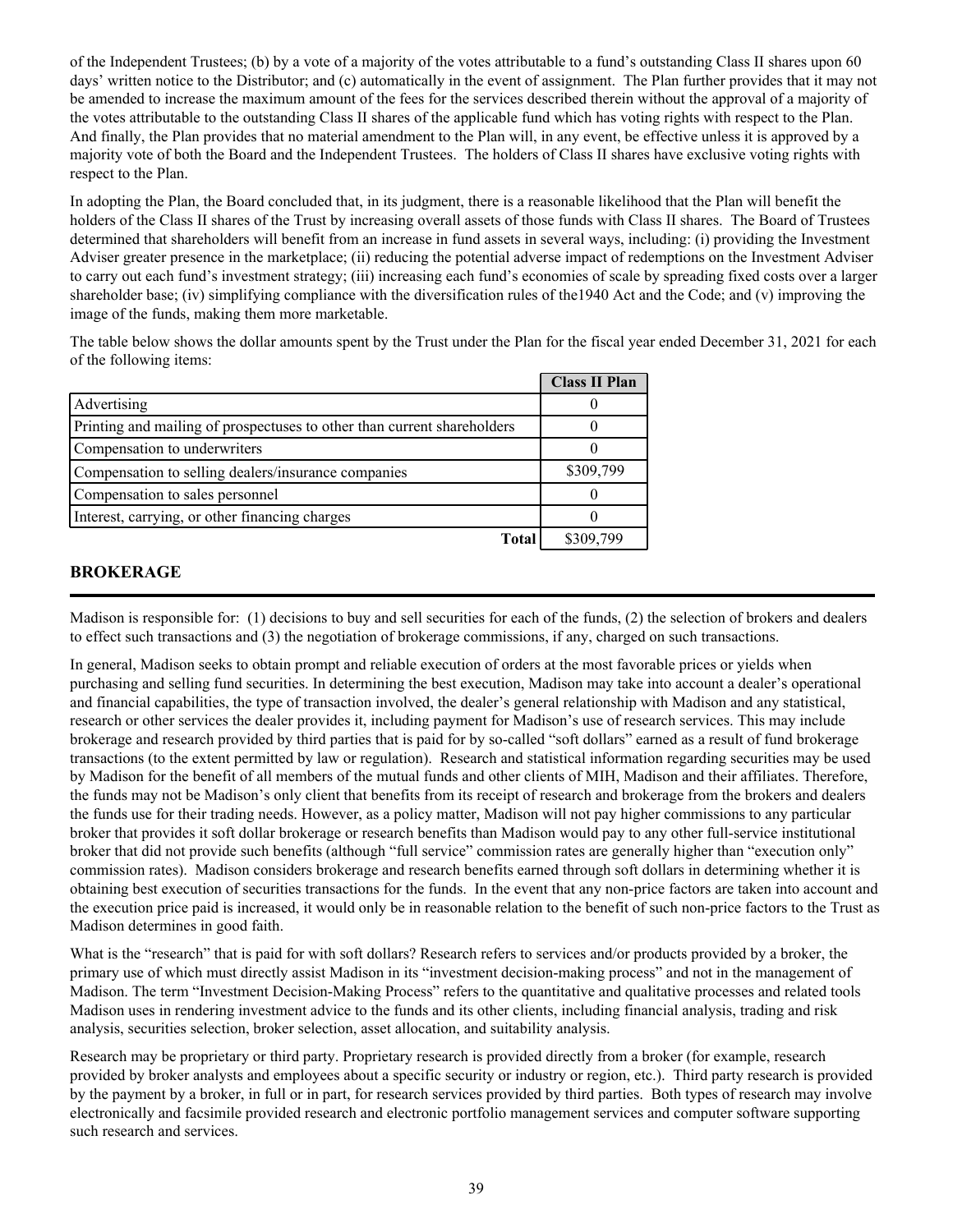<span id="page-42-0"></span>of the Independent Trustees; (b) by a vote of a majority of the votes attributable to a fund's outstanding Class II shares upon 60 days' written notice to the Distributor; and (c) automatically in the event of assignment. The Plan further provides that it may not be amended to increase the maximum amount of the fees for the services described therein without the approval of a majority of the votes attributable to the outstanding Class II shares of the applicable fund which has voting rights with respect to the Plan. And finally, the Plan provides that no material amendment to the Plan will, in any event, be effective unless it is approved by a majority vote of both the Board and the Independent Trustees. The holders of Class II shares have exclusive voting rights with respect to the Plan.

In adopting the Plan, the Board concluded that, in its judgment, there is a reasonable likelihood that the Plan will benefit the holders of the Class II shares of the Trust by increasing overall assets of those funds with Class II shares. The Board of Trustees determined that shareholders will benefit from an increase in fund assets in several ways, including: (i) providing the Investment Adviser greater presence in the marketplace; (ii) reducing the potential adverse impact of redemptions on the Investment Adviser to carry out each fund's investment strategy; (iii) increasing each fund's economies of scale by spreading fixed costs over a larger shareholder base; (iv) simplifying compliance with the diversification rules of the1940 Act and the Code; and (v) improving the image of the funds, making them more marketable.

The table below shows the dollar amounts spent by the Trust under the Plan for the fiscal year ended December 31, 2021 for each of the following items:

|                                                                         | <b>Class II Plan</b> |
|-------------------------------------------------------------------------|----------------------|
| Advertising                                                             |                      |
| Printing and mailing of prospectuses to other than current shareholders |                      |
| Compensation to underwriters                                            |                      |
| Compensation to selling dealers/insurance companies                     | \$309,799            |
| Compensation to sales personnel                                         |                      |
| Interest, carrying, or other financing charges                          |                      |
| <b>Total</b>                                                            | \$309,799            |

## **BROKERAGE**

Madison is responsible for: (1) decisions to buy and sell securities for each of the funds, (2) the selection of brokers and dealers to effect such transactions and (3) the negotiation of brokerage commissions, if any, charged on such transactions.

In general, Madison seeks to obtain prompt and reliable execution of orders at the most favorable prices or yields when purchasing and selling fund securities. In determining the best execution, Madison may take into account a dealer's operational and financial capabilities, the type of transaction involved, the dealer's general relationship with Madison and any statistical, research or other services the dealer provides it, including payment for Madison's use of research services. This may include brokerage and research provided by third parties that is paid for by so-called "soft dollars" earned as a result of fund brokerage transactions (to the extent permitted by law or regulation). Research and statistical information regarding securities may be used by Madison for the benefit of all members of the mutual funds and other clients of MIH, Madison and their affiliates. Therefore, the funds may not be Madison's only client that benefits from its receipt of research and brokerage from the brokers and dealers the funds use for their trading needs. However, as a policy matter, Madison will not pay higher commissions to any particular broker that provides it soft dollar brokerage or research benefits than Madison would pay to any other full-service institutional broker that did not provide such benefits (although "full service" commission rates are generally higher than "execution only" commission rates). Madison considers brokerage and research benefits earned through soft dollars in determining whether it is obtaining best execution of securities transactions for the funds. In the event that any non-price factors are taken into account and the execution price paid is increased, it would only be in reasonable relation to the benefit of such non-price factors to the Trust as Madison determines in good faith.

What is the "research" that is paid for with soft dollars? Research refers to services and/or products provided by a broker, the primary use of which must directly assist Madison in its "investment decision-making process" and not in the management of Madison. The term "Investment Decision-Making Process" refers to the quantitative and qualitative processes and related tools Madison uses in rendering investment advice to the funds and its other clients, including financial analysis, trading and risk analysis, securities selection, broker selection, asset allocation, and suitability analysis.

Research may be proprietary or third party. Proprietary research is provided directly from a broker (for example, research provided by broker analysts and employees about a specific security or industry or region, etc.). Third party research is provided by the payment by a broker, in full or in part, for research services provided by third parties. Both types of research may involve electronically and facsimile provided research and electronic portfolio management services and computer software supporting such research and services.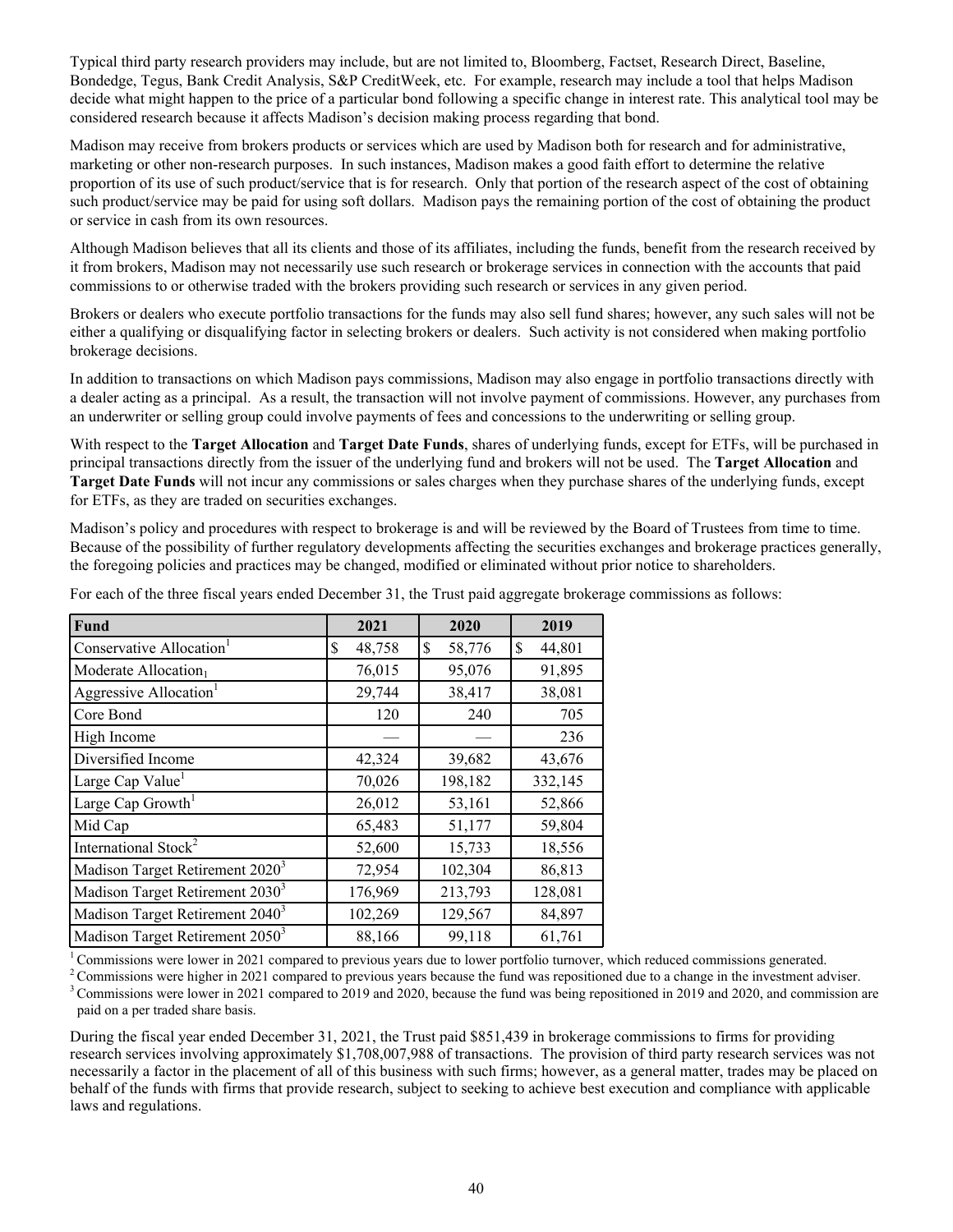Typical third party research providers may include, but are not limited to, Bloomberg, Factset, Research Direct, Baseline, Bondedge, Tegus, Bank Credit Analysis, S&P CreditWeek, etc. For example, research may include a tool that helps Madison decide what might happen to the price of a particular bond following a specific change in interest rate. This analytical tool may be considered research because it affects Madison's decision making process regarding that bond.

Madison may receive from brokers products or services which are used by Madison both for research and for administrative, marketing or other non-research purposes. In such instances, Madison makes a good faith effort to determine the relative proportion of its use of such product/service that is for research. Only that portion of the research aspect of the cost of obtaining such product/service may be paid for using soft dollars. Madison pays the remaining portion of the cost of obtaining the product or service in cash from its own resources.

Although Madison believes that all its clients and those of its affiliates, including the funds, benefit from the research received by it from brokers, Madison may not necessarily use such research or brokerage services in connection with the accounts that paid commissions to or otherwise traded with the brokers providing such research or services in any given period.

Brokers or dealers who execute portfolio transactions for the funds may also sell fund shares; however, any such sales will not be either a qualifying or disqualifying factor in selecting brokers or dealers. Such activity is not considered when making portfolio brokerage decisions.

In addition to transactions on which Madison pays commissions, Madison may also engage in portfolio transactions directly with a dealer acting as a principal. As a result, the transaction will not involve payment of commissions. However, any purchases from an underwriter or selling group could involve payments of fees and concessions to the underwriting or selling group.

With respect to the **Target Allocation** and **Target Date Funds**, shares of underlying funds, except for ETFs, will be purchased in principal transactions directly from the issuer of the underlying fund and brokers will not be used. The **Target Allocation** and **Target Date Funds** will not incur any commissions or sales charges when they purchase shares of the underlying funds, except for ETFs, as they are traded on securities exchanges.

Madison's policy and procedures with respect to brokerage is and will be reviewed by the Board of Trustees from time to time. Because of the possibility of further regulatory developments affecting the securities exchanges and brokerage practices generally, the foregoing policies and practices may be changed, modified or eliminated without prior notice to shareholders.

| Fund                                        | 2021         | 2020         | 2019         |
|---------------------------------------------|--------------|--------------|--------------|
| Conservative Allocation <sup>1</sup>        | 48,758<br>\$ | \$<br>58,776 | \$<br>44,801 |
| Moderate Allocation1                        | 76,015       | 95,076       | 91,895       |
| Aggressive Allocation <sup>1</sup>          | 29,744       | 38,417       | 38,081       |
| Core Bond                                   | 120          | 240          | 705          |
| High Income                                 |              |              | 236          |
| Diversified Income                          | 42,324       | 39,682       | 43,676       |
| Large Cap Value <sup>1</sup>                | 70,026       | 198,182      | 332,145      |
| Large Cap Growth <sup>1</sup>               | 26,012       | 53,161       | 52,866       |
| Mid Cap                                     | 65,483       | 51,177       | 59,804       |
| International Stock <sup>2</sup>            | 52,600       | 15,733       | 18,556       |
| Madison Target Retirement 2020 <sup>3</sup> | 72,954       | 102,304      | 86,813       |
| Madison Target Retirement 2030 <sup>3</sup> | 176,969      | 213,793      | 128,081      |
| Madison Target Retirement 2040 <sup>3</sup> | 102,269      | 129,567      | 84,897       |
| Madison Target Retirement 2050 <sup>3</sup> | 88,166       | 99,118       | 61,761       |

For each of the three fiscal years ended December 31, the Trust paid aggregate brokerage commissions as follows:

<sup>1</sup> Commissions were lower in 2021 compared to previous years due to lower portfolio turnover, which reduced commissions generated.

 $2^{\circ}$ Commissions were higher in 2021 compared to previous years because the fund was repositioned due to a change in the investment adviser.

<sup>3</sup> Commissions were lower in 2021 compared to 2019 and 2020, because the fund was being repositioned in 2019 and 2020, and commission are paid on a per traded share basis.

During the fiscal year ended December 31, 2021, the Trust paid \$851,439 in brokerage commissions to firms for providing research services involving approximately \$1,708,007,988 of transactions. The provision of third party research services was not necessarily a factor in the placement of all of this business with such firms; however, as a general matter, trades may be placed on behalf of the funds with firms that provide research, subject to seeking to achieve best execution and compliance with applicable laws and regulations.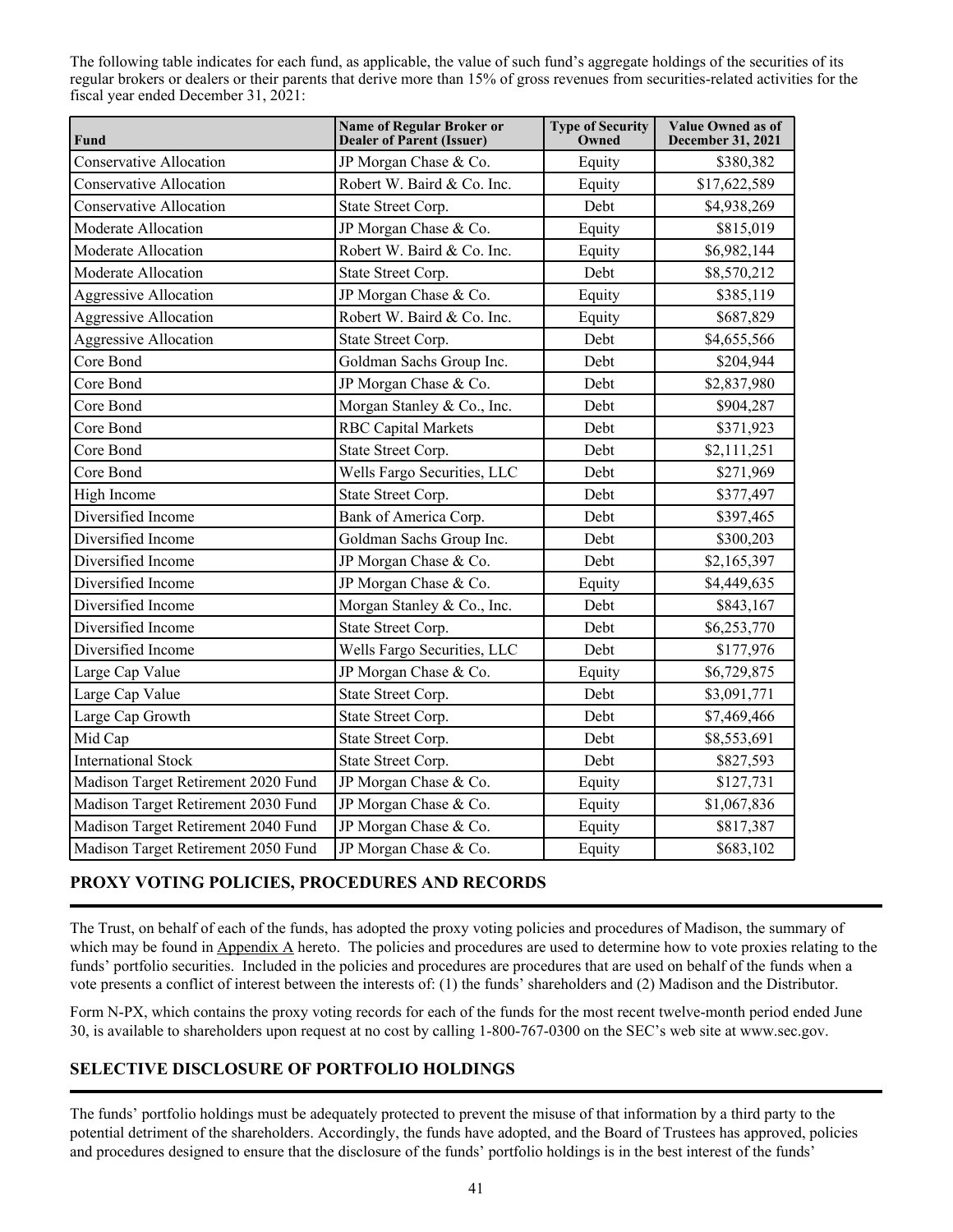<span id="page-44-0"></span>The following table indicates for each fund, as applicable, the value of such fund's aggregate holdings of the securities of its regular brokers or dealers or their parents that derive more than 15% of gross revenues from securities-related activities for the fiscal year ended December 31, 2021:

| Fund                                | Name of Regular Broker or<br><b>Dealer of Parent (Issuer)</b> | <b>Type of Security</b><br>Owned | Value Owned as of<br>December 31, 2021 |
|-------------------------------------|---------------------------------------------------------------|----------------------------------|----------------------------------------|
| <b>Conservative Allocation</b>      | JP Morgan Chase & Co.                                         | Equity                           | \$380,382                              |
| <b>Conservative Allocation</b>      | Robert W. Baird & Co. Inc.                                    | Equity                           | \$17,622,589                           |
| <b>Conservative Allocation</b>      | State Street Corp.                                            | Debt                             | \$4,938,269                            |
| Moderate Allocation                 | JP Morgan Chase & Co.                                         | Equity                           | \$815,019                              |
| Moderate Allocation                 | Robert W. Baird & Co. Inc.                                    | Equity                           | \$6,982,144                            |
| Moderate Allocation                 | State Street Corp.                                            | Debt                             | \$8,570,212                            |
| <b>Aggressive Allocation</b>        | JP Morgan Chase & Co.                                         | Equity                           | \$385,119                              |
| <b>Aggressive Allocation</b>        | Robert W. Baird & Co. Inc.                                    | Equity                           | \$687,829                              |
| <b>Aggressive Allocation</b>        | State Street Corp.                                            | Debt                             | \$4,655,566                            |
| Core Bond                           | Goldman Sachs Group Inc.                                      | Debt                             | \$204,944                              |
| Core Bond                           | JP Morgan Chase & Co.                                         | Debt                             | \$2,837,980                            |
| Core Bond                           | Morgan Stanley & Co., Inc.                                    | Debt                             | \$904,287                              |
| Core Bond                           | <b>RBC</b> Capital Markets                                    | Debt                             | \$371,923                              |
| Core Bond                           | State Street Corp.                                            | Debt                             | \$2,111,251                            |
| Core Bond                           | Wells Fargo Securities, LLC                                   | Debt                             | \$271,969                              |
| High Income                         | State Street Corp.                                            | Debt                             | \$377,497                              |
| Diversified Income                  | Bank of America Corp.                                         | Debt                             | \$397,465                              |
| Diversified Income                  | Goldman Sachs Group Inc.                                      | Debt                             | \$300,203                              |
| Diversified Income                  | JP Morgan Chase & Co.                                         | Debt                             | \$2,165,397                            |
| Diversified Income                  | JP Morgan Chase & Co.                                         | Equity                           | \$4,449,635                            |
| Diversified Income                  | Morgan Stanley & Co., Inc.                                    | Debt                             | \$843,167                              |
| Diversified Income                  | State Street Corp.                                            | Debt                             | \$6,253,770                            |
| Diversified Income                  | Wells Fargo Securities, LLC                                   | Debt                             | \$177,976                              |
| Large Cap Value                     | JP Morgan Chase & Co.                                         | Equity                           | \$6,729,875                            |
| Large Cap Value                     | State Street Corp.                                            | Debt                             | \$3,091,771                            |
| Large Cap Growth                    | State Street Corp.                                            | Debt                             | \$7,469,466                            |
| Mid Cap                             | State Street Corp.                                            | Debt                             | \$8,553,691                            |
| <b>International Stock</b>          | State Street Corp.                                            | Debt                             | \$827,593                              |
| Madison Target Retirement 2020 Fund | JP Morgan Chase & Co.                                         | Equity                           | \$127,731                              |
| Madison Target Retirement 2030 Fund | JP Morgan Chase & Co.                                         | Equity                           | \$1,067,836                            |
| Madison Target Retirement 2040 Fund | JP Morgan Chase & Co.                                         | Equity                           | \$817,387                              |
| Madison Target Retirement 2050 Fund | JP Morgan Chase & Co.                                         | Equity                           | \$683,102                              |

# **PROXY VOTING POLICIES, PROCEDURES AND RECORDS**

The Trust, on behalf of each of the funds, has adopted the proxy voting policies and procedures of Madison, the summary of which may be found in  $\Delta$  hereto. The policies and procedures are used to determine how to vote proxies relating to the funds' portfolio securities. Included in the policies and procedures are procedures that are used on behalf of the funds when a vote presents a conflict of interest between the interests of: (1) the funds' shareholders and (2) Madison and the Distributor.

Form N-PX, which contains the proxy voting records for each of the funds for the most recent twelve-month period ended June 30, is available to shareholders upon request at no cost by calling 1-800-767-0300 on the SEC's web site at www.sec.gov.

# **SELECTIVE DISCLOSURE OF PORTFOLIO HOLDINGS**

The funds' portfolio holdings must be adequately protected to prevent the misuse of that information by a third party to the potential detriment of the shareholders. Accordingly, the funds have adopted, and the Board of Trustees has approved, policies and procedures designed to ensure that the disclosure of the funds' portfolio holdings is in the best interest of the funds'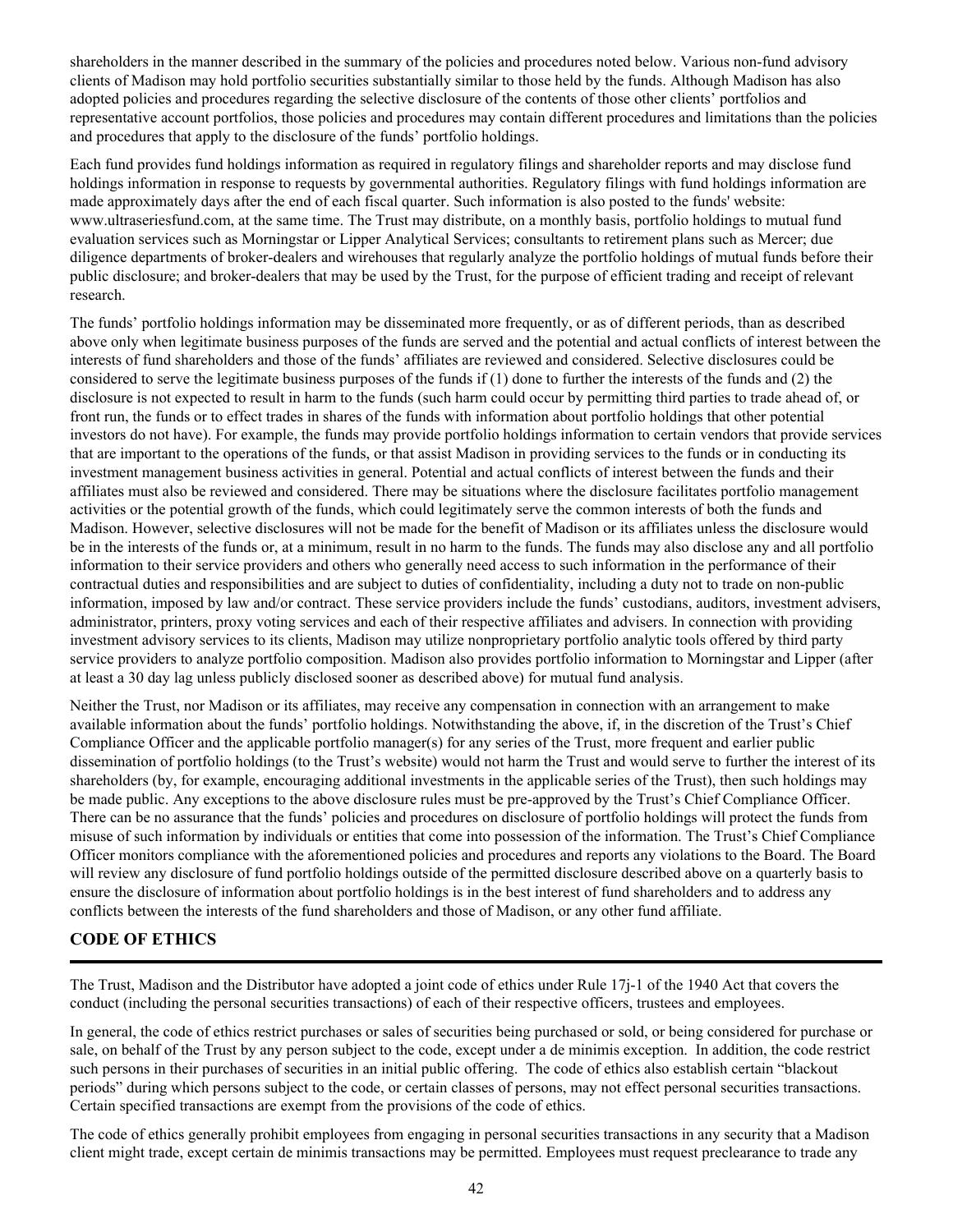<span id="page-45-0"></span>shareholders in the manner described in the summary of the policies and procedures noted below. Various non-fund advisory clients of Madison may hold portfolio securities substantially similar to those held by the funds. Although Madison has also adopted policies and procedures regarding the selective disclosure of the contents of those other clients' portfolios and representative account portfolios, those policies and procedures may contain different procedures and limitations than the policies and procedures that apply to the disclosure of the funds' portfolio holdings.

Each fund provides fund holdings information as required in regulatory filings and shareholder reports and may disclose fund holdings information in response to requests by governmental authorities. Regulatory filings with fund holdings information are made approximately days after the end of each fiscal quarter. Such information is also posted to the funds' website: www.ultraseriesfund.com, at the same time. The Trust may distribute, on a monthly basis, portfolio holdings to mutual fund evaluation services such as Morningstar or Lipper Analytical Services; consultants to retirement plans such as Mercer; due diligence departments of broker-dealers and wirehouses that regularly analyze the portfolio holdings of mutual funds before their public disclosure; and broker-dealers that may be used by the Trust, for the purpose of efficient trading and receipt of relevant research.

The funds' portfolio holdings information may be disseminated more frequently, or as of different periods, than as described above only when legitimate business purposes of the funds are served and the potential and actual conflicts of interest between the interests of fund shareholders and those of the funds' affiliates are reviewed and considered. Selective disclosures could be considered to serve the legitimate business purposes of the funds if (1) done to further the interests of the funds and (2) the disclosure is not expected to result in harm to the funds (such harm could occur by permitting third parties to trade ahead of, or front run, the funds or to effect trades in shares of the funds with information about portfolio holdings that other potential investors do not have). For example, the funds may provide portfolio holdings information to certain vendors that provide services that are important to the operations of the funds, or that assist Madison in providing services to the funds or in conducting its investment management business activities in general. Potential and actual conflicts of interest between the funds and their affiliates must also be reviewed and considered. There may be situations where the disclosure facilitates portfolio management activities or the potential growth of the funds, which could legitimately serve the common interests of both the funds and Madison. However, selective disclosures will not be made for the benefit of Madison or its affiliates unless the disclosure would be in the interests of the funds or, at a minimum, result in no harm to the funds. The funds may also disclose any and all portfolio information to their service providers and others who generally need access to such information in the performance of their contractual duties and responsibilities and are subject to duties of confidentiality, including a duty not to trade on non-public information, imposed by law and/or contract. These service providers include the funds' custodians, auditors, investment advisers, administrator, printers, proxy voting services and each of their respective affiliates and advisers. In connection with providing investment advisory services to its clients, Madison may utilize nonproprietary portfolio analytic tools offered by third party service providers to analyze portfolio composition. Madison also provides portfolio information to Morningstar and Lipper (after at least a 30 day lag unless publicly disclosed sooner as described above) for mutual fund analysis.

Neither the Trust, nor Madison or its affiliates, may receive any compensation in connection with an arrangement to make available information about the funds' portfolio holdings. Notwithstanding the above, if, in the discretion of the Trust's Chief Compliance Officer and the applicable portfolio manager(s) for any series of the Trust, more frequent and earlier public dissemination of portfolio holdings (to the Trust's website) would not harm the Trust and would serve to further the interest of its shareholders (by, for example, encouraging additional investments in the applicable series of the Trust), then such holdings may be made public. Any exceptions to the above disclosure rules must be pre-approved by the Trust's Chief Compliance Officer. There can be no assurance that the funds' policies and procedures on disclosure of portfolio holdings will protect the funds from misuse of such information by individuals or entities that come into possession of the information. The Trust's Chief Compliance Officer monitors compliance with the aforementioned policies and procedures and reports any violations to the Board. The Board will review any disclosure of fund portfolio holdings outside of the permitted disclosure described above on a quarterly basis to ensure the disclosure of information about portfolio holdings is in the best interest of fund shareholders and to address any conflicts between the interests of the fund shareholders and those of Madison, or any other fund affiliate.

## **CODE OF ETHICS**

The Trust, Madison and the Distributor have adopted a joint code of ethics under Rule 17j-1 of the 1940 Act that covers the conduct (including the personal securities transactions) of each of their respective officers, trustees and employees.

In general, the code of ethics restrict purchases or sales of securities being purchased or sold, or being considered for purchase or sale, on behalf of the Trust by any person subject to the code, except under a de minimis exception. In addition, the code restrict such persons in their purchases of securities in an initial public offering. The code of ethics also establish certain "blackout periods" during which persons subject to the code, or certain classes of persons, may not effect personal securities transactions. Certain specified transactions are exempt from the provisions of the code of ethics.

The code of ethics generally prohibit employees from engaging in personal securities transactions in any security that a Madison client might trade, except certain de minimis transactions may be permitted. Employees must request preclearance to trade any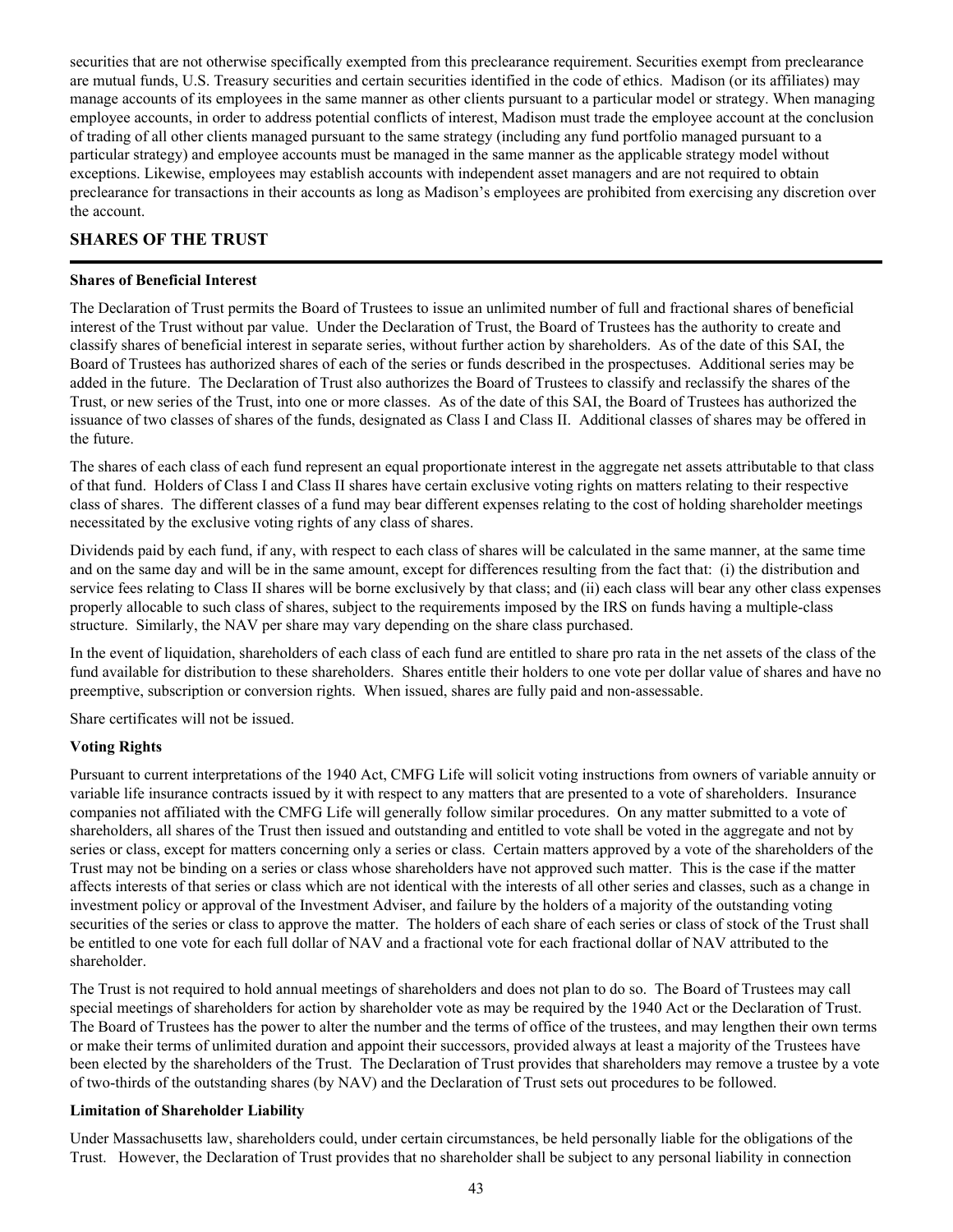<span id="page-46-0"></span>securities that are not otherwise specifically exempted from this preclearance requirement. Securities exempt from preclearance are mutual funds, U.S. Treasury securities and certain securities identified in the code of ethics. Madison (or its affiliates) may manage accounts of its employees in the same manner as other clients pursuant to a particular model or strategy. When managing employee accounts, in order to address potential conflicts of interest, Madison must trade the employee account at the conclusion of trading of all other clients managed pursuant to the same strategy (including any fund portfolio managed pursuant to a particular strategy) and employee accounts must be managed in the same manner as the applicable strategy model without exceptions. Likewise, employees may establish accounts with independent asset managers and are not required to obtain preclearance for transactions in their accounts as long as Madison's employees are prohibited from exercising any discretion over the account.

# **SHARES OF THE TRUST**

#### **Shares of Beneficial Interest**

The Declaration of Trust permits the Board of Trustees to issue an unlimited number of full and fractional shares of beneficial interest of the Trust without par value. Under the Declaration of Trust, the Board of Trustees has the authority to create and classify shares of beneficial interest in separate series, without further action by shareholders. As of the date of this SAI, the Board of Trustees has authorized shares of each of the series or funds described in the prospectuses. Additional series may be added in the future. The Declaration of Trust also authorizes the Board of Trustees to classify and reclassify the shares of the Trust, or new series of the Trust, into one or more classes. As of the date of this SAI, the Board of Trustees has authorized the issuance of two classes of shares of the funds, designated as Class I and Class II. Additional classes of shares may be offered in the future.

The shares of each class of each fund represent an equal proportionate interest in the aggregate net assets attributable to that class of that fund. Holders of Class I and Class II shares have certain exclusive voting rights on matters relating to their respective class of shares. The different classes of a fund may bear different expenses relating to the cost of holding shareholder meetings necessitated by the exclusive voting rights of any class of shares.

Dividends paid by each fund, if any, with respect to each class of shares will be calculated in the same manner, at the same time and on the same day and will be in the same amount, except for differences resulting from the fact that: (i) the distribution and service fees relating to Class II shares will be borne exclusively by that class; and (ii) each class will bear any other class expenses properly allocable to such class of shares, subject to the requirements imposed by the IRS on funds having a multiple-class structure. Similarly, the NAV per share may vary depending on the share class purchased.

In the event of liquidation, shareholders of each class of each fund are entitled to share pro rata in the net assets of the class of the fund available for distribution to these shareholders. Shares entitle their holders to one vote per dollar value of shares and have no preemptive, subscription or conversion rights. When issued, shares are fully paid and non-assessable.

Share certificates will not be issued.

## **Voting Rights**

Pursuant to current interpretations of the 1940 Act, CMFG Life will solicit voting instructions from owners of variable annuity or variable life insurance contracts issued by it with respect to any matters that are presented to a vote of shareholders. Insurance companies not affiliated with the CMFG Life will generally follow similar procedures. On any matter submitted to a vote of shareholders, all shares of the Trust then issued and outstanding and entitled to vote shall be voted in the aggregate and not by series or class, except for matters concerning only a series or class. Certain matters approved by a vote of the shareholders of the Trust may not be binding on a series or class whose shareholders have not approved such matter. This is the case if the matter affects interests of that series or class which are not identical with the interests of all other series and classes, such as a change in investment policy or approval of the Investment Adviser, and failure by the holders of a majority of the outstanding voting securities of the series or class to approve the matter. The holders of each share of each series or class of stock of the Trust shall be entitled to one vote for each full dollar of NAV and a fractional vote for each fractional dollar of NAV attributed to the shareholder.

The Trust is not required to hold annual meetings of shareholders and does not plan to do so. The Board of Trustees may call special meetings of shareholders for action by shareholder vote as may be required by the 1940 Act or the Declaration of Trust. The Board of Trustees has the power to alter the number and the terms of office of the trustees, and may lengthen their own terms or make their terms of unlimited duration and appoint their successors, provided always at least a majority of the Trustees have been elected by the shareholders of the Trust. The Declaration of Trust provides that shareholders may remove a trustee by a vote of two-thirds of the outstanding shares (by NAV) and the Declaration of Trust sets out procedures to be followed.

#### **Limitation of Shareholder Liability**

Under Massachusetts law, shareholders could, under certain circumstances, be held personally liable for the obligations of the Trust. However, the Declaration of Trust provides that no shareholder shall be subject to any personal liability in connection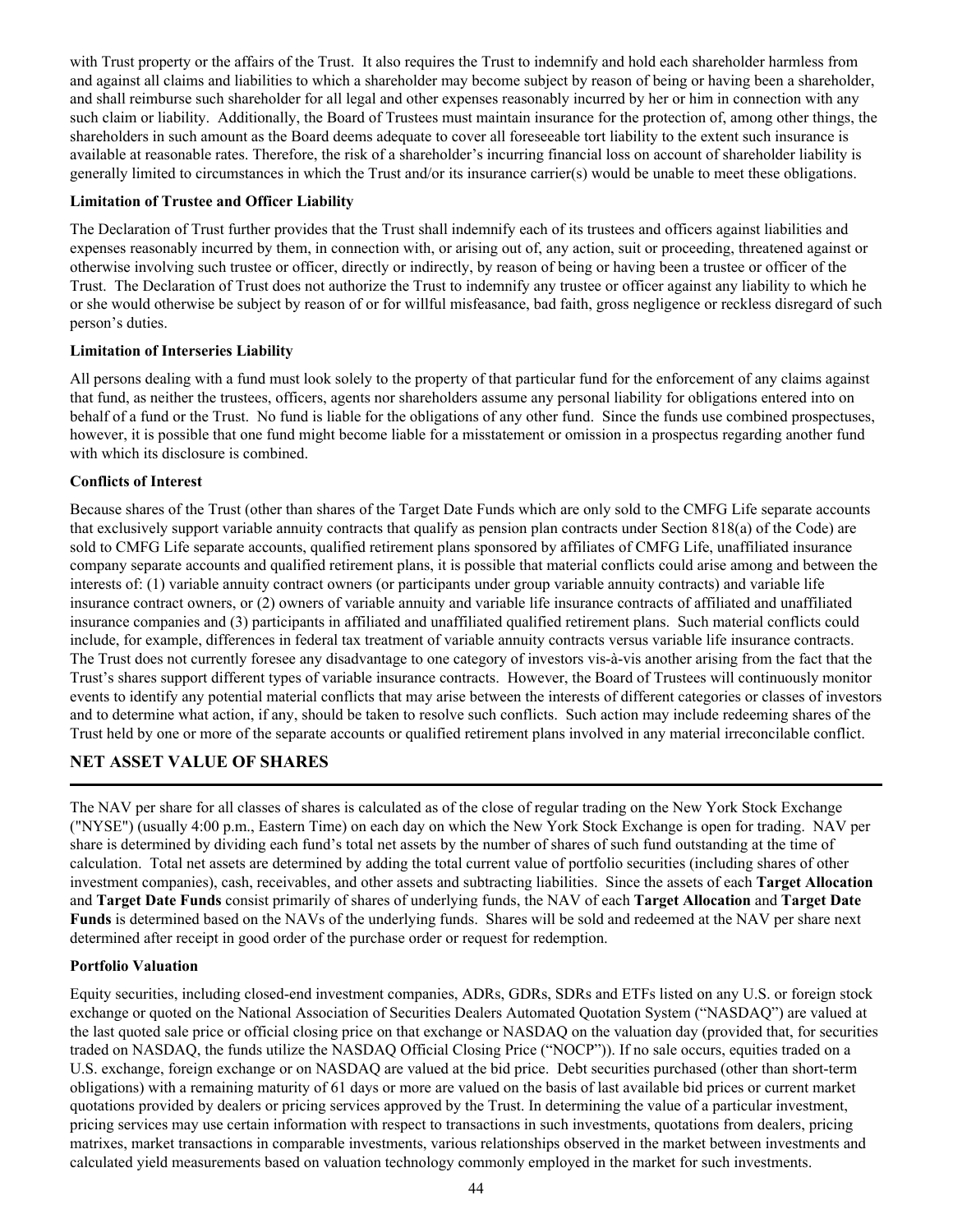<span id="page-47-0"></span>with Trust property or the affairs of the Trust. It also requires the Trust to indemnify and hold each shareholder harmless from and against all claims and liabilities to which a shareholder may become subject by reason of being or having been a shareholder, and shall reimburse such shareholder for all legal and other expenses reasonably incurred by her or him in connection with any such claim or liability. Additionally, the Board of Trustees must maintain insurance for the protection of, among other things, the shareholders in such amount as the Board deems adequate to cover all foreseeable tort liability to the extent such insurance is available at reasonable rates. Therefore, the risk of a shareholder's incurring financial loss on account of shareholder liability is generally limited to circumstances in which the Trust and/or its insurance carrier(s) would be unable to meet these obligations.

### **Limitation of Trustee and Officer Liability**

The Declaration of Trust further provides that the Trust shall indemnify each of its trustees and officers against liabilities and expenses reasonably incurred by them, in connection with, or arising out of, any action, suit or proceeding, threatened against or otherwise involving such trustee or officer, directly or indirectly, by reason of being or having been a trustee or officer of the Trust. The Declaration of Trust does not authorize the Trust to indemnify any trustee or officer against any liability to which he or she would otherwise be subject by reason of or for willful misfeasance, bad faith, gross negligence or reckless disregard of such person's duties.

### **Limitation of Interseries Liability**

All persons dealing with a fund must look solely to the property of that particular fund for the enforcement of any claims against that fund, as neither the trustees, officers, agents nor shareholders assume any personal liability for obligations entered into on behalf of a fund or the Trust. No fund is liable for the obligations of any other fund. Since the funds use combined prospectuses, however, it is possible that one fund might become liable for a misstatement or omission in a prospectus regarding another fund with which its disclosure is combined.

### **Conflicts of Interest**

Because shares of the Trust (other than shares of the Target Date Funds which are only sold to the CMFG Life separate accounts that exclusively support variable annuity contracts that qualify as pension plan contracts under Section 818(a) of the Code) are sold to CMFG Life separate accounts, qualified retirement plans sponsored by affiliates of CMFG Life, unaffiliated insurance company separate accounts and qualified retirement plans, it is possible that material conflicts could arise among and between the interests of: (1) variable annuity contract owners (or participants under group variable annuity contracts) and variable life insurance contract owners, or (2) owners of variable annuity and variable life insurance contracts of affiliated and unaffiliated insurance companies and (3) participants in affiliated and unaffiliated qualified retirement plans. Such material conflicts could include, for example, differences in federal tax treatment of variable annuity contracts versus variable life insurance contracts. The Trust does not currently foresee any disadvantage to one category of investors vis-à-vis another arising from the fact that the Trust's shares support different types of variable insurance contracts. However, the Board of Trustees will continuously monitor events to identify any potential material conflicts that may arise between the interests of different categories or classes of investors and to determine what action, if any, should be taken to resolve such conflicts. Such action may include redeeming shares of the Trust held by one or more of the separate accounts or qualified retirement plans involved in any material irreconcilable conflict.

# **NET ASSET VALUE OF SHARES**

The NAV per share for all classes of shares is calculated as of the close of regular trading on the New York Stock Exchange ("NYSE") (usually 4:00 p.m., Eastern Time) on each day on which the New York Stock Exchange is open for trading. NAV per share is determined by dividing each fund's total net assets by the number of shares of such fund outstanding at the time of calculation. Total net assets are determined by adding the total current value of portfolio securities (including shares of other investment companies), cash, receivables, and other assets and subtracting liabilities. Since the assets of each **Target Allocation**  and **Target Date Funds** consist primarily of shares of underlying funds, the NAV of each **Target Allocation** and **Target Date Funds** is determined based on the NAVs of the underlying funds. Shares will be sold and redeemed at the NAV per share next determined after receipt in good order of the purchase order or request for redemption.

#### **Portfolio Valuation**

Equity securities, including closed-end investment companies, ADRs, GDRs, SDRs and ETFs listed on any U.S. or foreign stock exchange or quoted on the National Association of Securities Dealers Automated Quotation System ("NASDAQ") are valued at the last quoted sale price or official closing price on that exchange or NASDAQ on the valuation day (provided that, for securities traded on NASDAQ, the funds utilize the NASDAQ Official Closing Price ("NOCP")). If no sale occurs, equities traded on a U.S. exchange, foreign exchange or on NASDAQ are valued at the bid price. Debt securities purchased (other than short-term obligations) with a remaining maturity of 61 days or more are valued on the basis of last available bid prices or current market quotations provided by dealers or pricing services approved by the Trust. In determining the value of a particular investment, pricing services may use certain information with respect to transactions in such investments, quotations from dealers, pricing matrixes, market transactions in comparable investments, various relationships observed in the market between investments and calculated yield measurements based on valuation technology commonly employed in the market for such investments.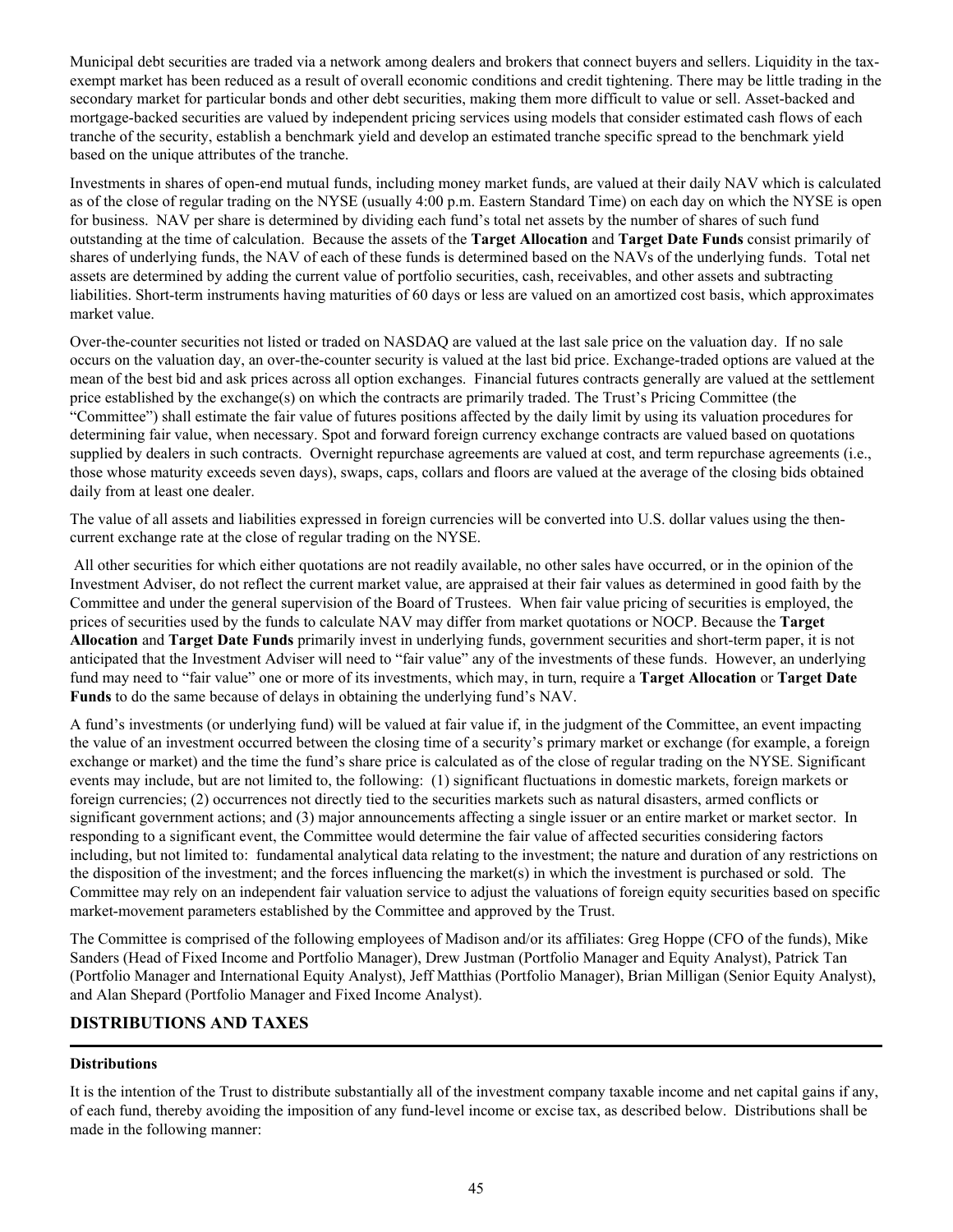<span id="page-48-0"></span>Municipal debt securities are traded via a network among dealers and brokers that connect buyers and sellers. Liquidity in the taxexempt market has been reduced as a result of overall economic conditions and credit tightening. There may be little trading in the secondary market for particular bonds and other debt securities, making them more difficult to value or sell. Asset-backed and mortgage-backed securities are valued by independent pricing services using models that consider estimated cash flows of each tranche of the security, establish a benchmark yield and develop an estimated tranche specific spread to the benchmark yield based on the unique attributes of the tranche.

Investments in shares of open-end mutual funds, including money market funds, are valued at their daily NAV which is calculated as of the close of regular trading on the NYSE (usually 4:00 p.m. Eastern Standard Time) on each day on which the NYSE is open for business. NAV per share is determined by dividing each fund's total net assets by the number of shares of such fund outstanding at the time of calculation. Because the assets of the **Target Allocation** and **Target Date Funds** consist primarily of shares of underlying funds, the NAV of each of these funds is determined based on the NAVs of the underlying funds. Total net assets are determined by adding the current value of portfolio securities, cash, receivables, and other assets and subtracting liabilities. Short-term instruments having maturities of 60 days or less are valued on an amortized cost basis, which approximates market value.

Over-the-counter securities not listed or traded on NASDAQ are valued at the last sale price on the valuation day. If no sale occurs on the valuation day, an over-the-counter security is valued at the last bid price. Exchange-traded options are valued at the mean of the best bid and ask prices across all option exchanges. Financial futures contracts generally are valued at the settlement price established by the exchange(s) on which the contracts are primarily traded. The Trust's Pricing Committee (the "Committee") shall estimate the fair value of futures positions affected by the daily limit by using its valuation procedures for determining fair value, when necessary. Spot and forward foreign currency exchange contracts are valued based on quotations supplied by dealers in such contracts. Overnight repurchase agreements are valued at cost, and term repurchase agreements (i.e., those whose maturity exceeds seven days), swaps, caps, collars and floors are valued at the average of the closing bids obtained daily from at least one dealer.

The value of all assets and liabilities expressed in foreign currencies will be converted into U.S. dollar values using the thencurrent exchange rate at the close of regular trading on the NYSE.

 All other securities for which either quotations are not readily available, no other sales have occurred, or in the opinion of the Investment Adviser, do not reflect the current market value, are appraised at their fair values as determined in good faith by the Committee and under the general supervision of the Board of Trustees. When fair value pricing of securities is employed, the prices of securities used by the funds to calculate NAV may differ from market quotations or NOCP. Because the **Target Allocation** and **Target Date Funds** primarily invest in underlying funds, government securities and short-term paper, it is not anticipated that the Investment Adviser will need to "fair value" any of the investments of these funds. However, an underlying fund may need to "fair value" one or more of its investments, which may, in turn, require a **Target Allocation** or **Target Date Funds** to do the same because of delays in obtaining the underlying fund's NAV.

A fund's investments (or underlying fund) will be valued at fair value if, in the judgment of the Committee, an event impacting the value of an investment occurred between the closing time of a security's primary market or exchange (for example, a foreign exchange or market) and the time the fund's share price is calculated as of the close of regular trading on the NYSE. Significant events may include, but are not limited to, the following: (1) significant fluctuations in domestic markets, foreign markets or foreign currencies; (2) occurrences not directly tied to the securities markets such as natural disasters, armed conflicts or significant government actions; and (3) major announcements affecting a single issuer or an entire market or market sector. In responding to a significant event, the Committee would determine the fair value of affected securities considering factors including, but not limited to: fundamental analytical data relating to the investment; the nature and duration of any restrictions on the disposition of the investment; and the forces influencing the market(s) in which the investment is purchased or sold. The Committee may rely on an independent fair valuation service to adjust the valuations of foreign equity securities based on specific market-movement parameters established by the Committee and approved by the Trust.

The Committee is comprised of the following employees of Madison and/or its affiliates: Greg Hoppe (CFO of the funds), Mike Sanders (Head of Fixed Income and Portfolio Manager), Drew Justman (Portfolio Manager and Equity Analyst), Patrick Tan (Portfolio Manager and International Equity Analyst), Jeff Matthias (Portfolio Manager), Brian Milligan (Senior Equity Analyst), and Alan Shepard (Portfolio Manager and Fixed Income Analyst).

## **DISTRIBUTIONS AND TAXES**

#### **Distributions**

It is the intention of the Trust to distribute substantially all of the investment company taxable income and net capital gains if any, of each fund, thereby avoiding the imposition of any fund-level income or excise tax, as described below. Distributions shall be made in the following manner: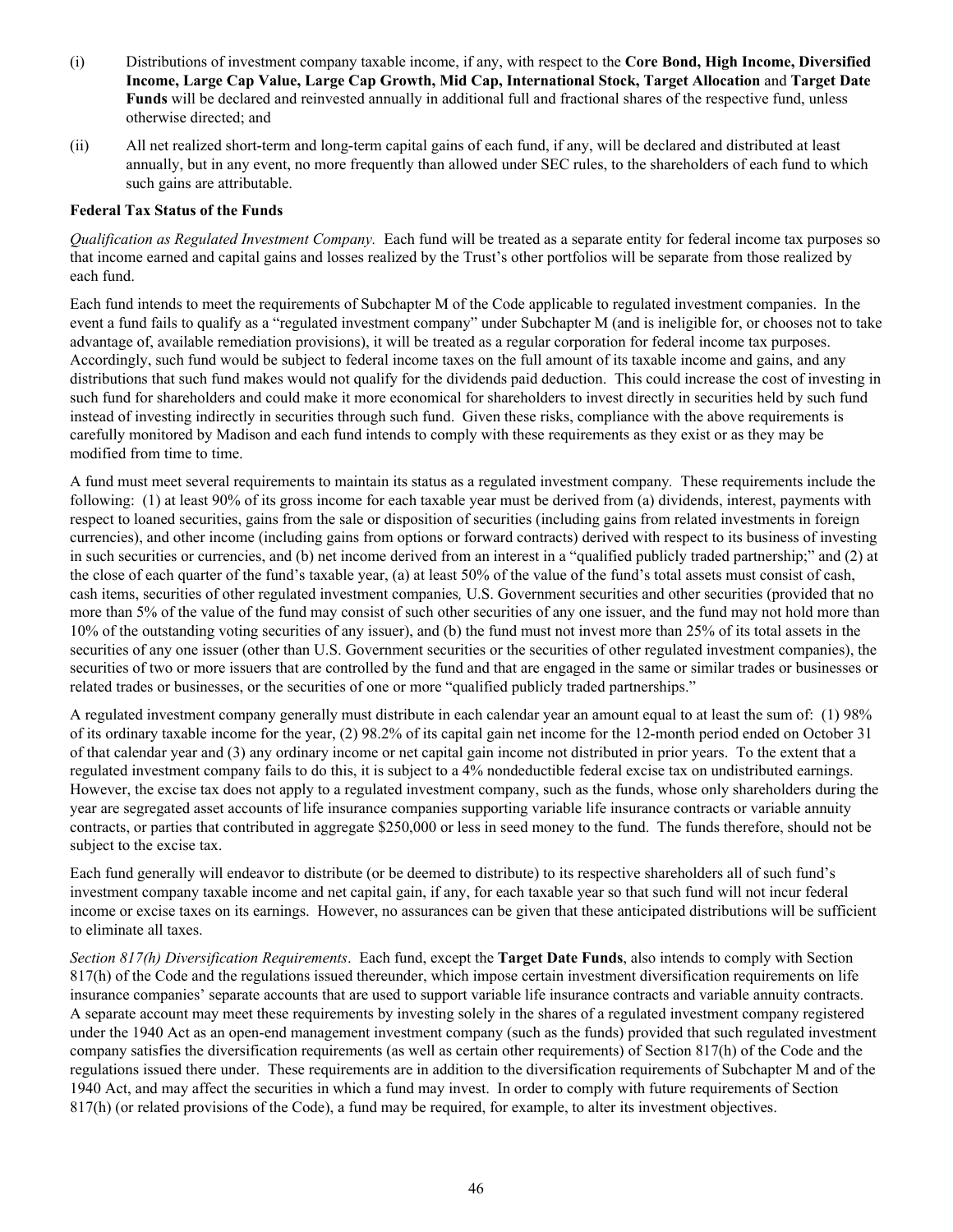- <span id="page-49-0"></span>(i) Distributions of investment company taxable income, if any, with respect to the **Core Bond, High Income, Diversified Income, Large Cap Value, Large Cap Growth, Mid Cap, International Stock, Target Allocation** and **Target Date Funds** will be declared and reinvested annually in additional full and fractional shares of the respective fund, unless otherwise directed; and
- (ii) All net realized short-term and long-term capital gains of each fund, if any, will be declared and distributed at least annually, but in any event, no more frequently than allowed under SEC rules, to the shareholders of each fund to which such gains are attributable.

### **Federal Tax Status of the Funds**

*Qualification as Regulated Investment Company.* Each fund will be treated as a separate entity for federal income tax purposes so that income earned and capital gains and losses realized by the Trust's other portfolios will be separate from those realized by each fund.

Each fund intends to meet the requirements of Subchapter M of the Code applicable to regulated investment companies. In the event a fund fails to qualify as a "regulated investment company" under Subchapter M (and is ineligible for, or chooses not to take advantage of, available remediation provisions), it will be treated as a regular corporation for federal income tax purposes. Accordingly, such fund would be subject to federal income taxes on the full amount of its taxable income and gains, and any distributions that such fund makes would not qualify for the dividends paid deduction. This could increase the cost of investing in such fund for shareholders and could make it more economical for shareholders to invest directly in securities held by such fund instead of investing indirectly in securities through such fund. Given these risks, compliance with the above requirements is carefully monitored by Madison and each fund intends to comply with these requirements as they exist or as they may be modified from time to time.

A fund must meet several requirements to maintain its status as a regulated investment company*.* These requirements include the following: (1) at least 90% of its gross income for each taxable year must be derived from (a) dividends, interest, payments with respect to loaned securities, gains from the sale or disposition of securities (including gains from related investments in foreign currencies), and other income (including gains from options or forward contracts) derived with respect to its business of investing in such securities or currencies, and (b) net income derived from an interest in a "qualified publicly traded partnership;" and (2) at the close of each quarter of the fund's taxable year, (a) at least 50% of the value of the fund's total assets must consist of cash, cash items, securities of other regulated investment companies*,* U.S. Government securities and other securities (provided that no more than 5% of the value of the fund may consist of such other securities of any one issuer, and the fund may not hold more than 10% of the outstanding voting securities of any issuer), and (b) the fund must not invest more than 25% of its total assets in the securities of any one issuer (other than U.S. Government securities or the securities of other regulated investment companies), the securities of two or more issuers that are controlled by the fund and that are engaged in the same or similar trades or businesses or related trades or businesses, or the securities of one or more "qualified publicly traded partnerships."

A regulated investment company generally must distribute in each calendar year an amount equal to at least the sum of: (1) 98% of its ordinary taxable income for the year, (2) 98.2% of its capital gain net income for the 12-month period ended on October 31 of that calendar year and (3) any ordinary income or net capital gain income not distributed in prior years. To the extent that a regulated investment company fails to do this, it is subject to a 4% nondeductible federal excise tax on undistributed earnings. However, the excise tax does not apply to a regulated investment company, such as the funds, whose only shareholders during the year are segregated asset accounts of life insurance companies supporting variable life insurance contracts or variable annuity contracts, or parties that contributed in aggregate \$250,000 or less in seed money to the fund. The funds therefore, should not be subject to the excise tax.

Each fund generally will endeavor to distribute (or be deemed to distribute) to its respective shareholders all of such fund's investment company taxable income and net capital gain, if any, for each taxable year so that such fund will not incur federal income or excise taxes on its earnings. However, no assurances can be given that these anticipated distributions will be sufficient to eliminate all taxes.

*Section 817(h) Diversification Requirements*. Each fund, except the **Target Date Funds**, also intends to comply with Section 817(h) of the Code and the regulations issued thereunder, which impose certain investment diversification requirements on life insurance companies' separate accounts that are used to support variable life insurance contracts and variable annuity contracts. A separate account may meet these requirements by investing solely in the shares of a regulated investment company registered under the 1940 Act as an open-end management investment company (such as the funds) provided that such regulated investment company satisfies the diversification requirements (as well as certain other requirements) of Section 817(h) of the Code and the regulations issued there under. These requirements are in addition to the diversification requirements of Subchapter M and of the 1940 Act, and may affect the securities in which a fund may invest. In order to comply with future requirements of Section 817(h) (or related provisions of the Code), a fund may be required, for example, to alter its investment objectives.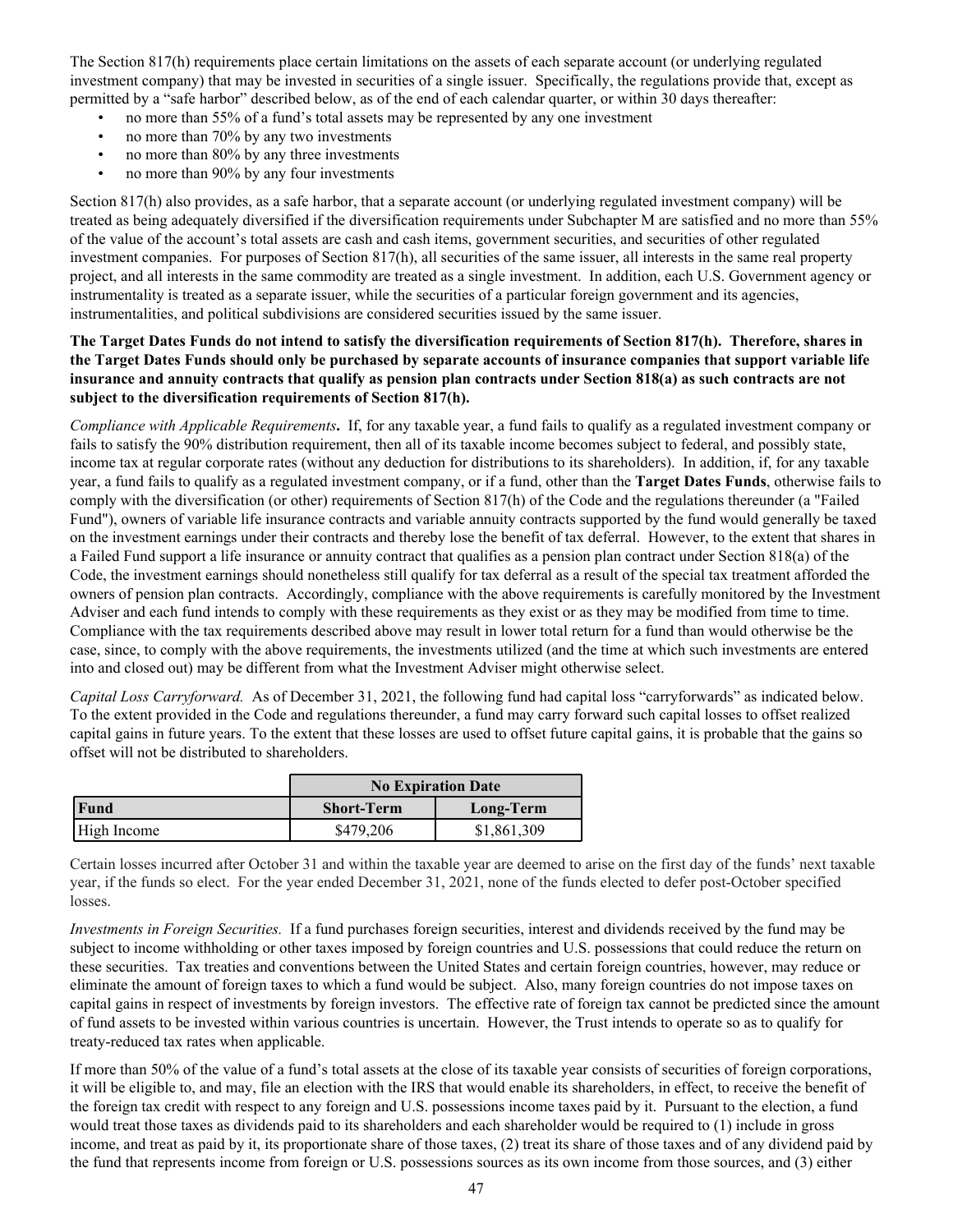The Section 817(h) requirements place certain limitations on the assets of each separate account (or underlying regulated investment company) that may be invested in securities of a single issuer. Specifically, the regulations provide that, except as permitted by a "safe harbor" described below, as of the end of each calendar quarter, or within 30 days thereafter:

- no more than 55% of a fund's total assets may be represented by any one investment
- no more than 70% by any two investments
- no more than 80% by any three investments
- no more than 90% by any four investments

Section 817(h) also provides, as a safe harbor, that a separate account (or underlying regulated investment company) will be treated as being adequately diversified if the diversification requirements under Subchapter M are satisfied and no more than 55% of the value of the account's total assets are cash and cash items, government securities, and securities of other regulated investment companies. For purposes of Section 817(h), all securities of the same issuer, all interests in the same real property project, and all interests in the same commodity are treated as a single investment. In addition, each U.S. Government agency or instrumentality is treated as a separate issuer, while the securities of a particular foreign government and its agencies, instrumentalities, and political subdivisions are considered securities issued by the same issuer.

### **The Target Dates Funds do not intend to satisfy the diversification requirements of Section 817(h). Therefore, shares in the Target Dates Funds should only be purchased by separate accounts of insurance companies that support variable life insurance and annuity contracts that qualify as pension plan contracts under Section 818(a) as such contracts are not subject to the diversification requirements of Section 817(h).**

*Compliance with Applicable Requirements***.** If, for any taxable year, a fund fails to qualify as a regulated investment company or fails to satisfy the 90% distribution requirement, then all of its taxable income becomes subject to federal, and possibly state, income tax at regular corporate rates (without any deduction for distributions to its shareholders). In addition, if, for any taxable year, a fund fails to qualify as a regulated investment company, or if a fund, other than the **Target Dates Funds**, otherwise fails to comply with the diversification (or other) requirements of Section 817(h) of the Code and the regulations thereunder (a "Failed Fund"), owners of variable life insurance contracts and variable annuity contracts supported by the fund would generally be taxed on the investment earnings under their contracts and thereby lose the benefit of tax deferral. However, to the extent that shares in a Failed Fund support a life insurance or annuity contract that qualifies as a pension plan contract under Section 818(a) of the Code, the investment earnings should nonetheless still qualify for tax deferral as a result of the special tax treatment afforded the owners of pension plan contracts. Accordingly, compliance with the above requirements is carefully monitored by the Investment Adviser and each fund intends to comply with these requirements as they exist or as they may be modified from time to time. Compliance with the tax requirements described above may result in lower total return for a fund than would otherwise be the case, since, to comply with the above requirements, the investments utilized (and the time at which such investments are entered into and closed out) may be different from what the Investment Adviser might otherwise select.

*Capital Loss Carryforward.* As of December 31, 2021, the following fund had capital loss "carryforwards" as indicated below. To the extent provided in the Code and regulations thereunder, a fund may carry forward such capital losses to offset realized capital gains in future years. To the extent that these losses are used to offset future capital gains, it is probable that the gains so offset will not be distributed to shareholders.

|             | <b>No Expiration Date</b>      |             |  |  |
|-------------|--------------------------------|-------------|--|--|
| Fund        | <b>Short-Term</b><br>Long-Term |             |  |  |
| High Income | \$479,206                      | \$1,861,309 |  |  |

Certain losses incurred after October 31 and within the taxable year are deemed to arise on the first day of the funds' next taxable year, if the funds so elect. For the year ended December 31, 2021, none of the funds elected to defer post-October specified losses.

*Investments in Foreign Securities.* If a fund purchases foreign securities, interest and dividends received by the fund may be subject to income withholding or other taxes imposed by foreign countries and U.S. possessions that could reduce the return on these securities. Tax treaties and conventions between the United States and certain foreign countries, however, may reduce or eliminate the amount of foreign taxes to which a fund would be subject. Also, many foreign countries do not impose taxes on capital gains in respect of investments by foreign investors. The effective rate of foreign tax cannot be predicted since the amount of fund assets to be invested within various countries is uncertain. However, the Trust intends to operate so as to qualify for treaty-reduced tax rates when applicable.

If more than 50% of the value of a fund's total assets at the close of its taxable year consists of securities of foreign corporations, it will be eligible to, and may, file an election with the IRS that would enable its shareholders, in effect, to receive the benefit of the foreign tax credit with respect to any foreign and U.S. possessions income taxes paid by it. Pursuant to the election, a fund would treat those taxes as dividends paid to its shareholders and each shareholder would be required to (1) include in gross income, and treat as paid by it, its proportionate share of those taxes, (2) treat its share of those taxes and of any dividend paid by the fund that represents income from foreign or U.S. possessions sources as its own income from those sources, and (3) either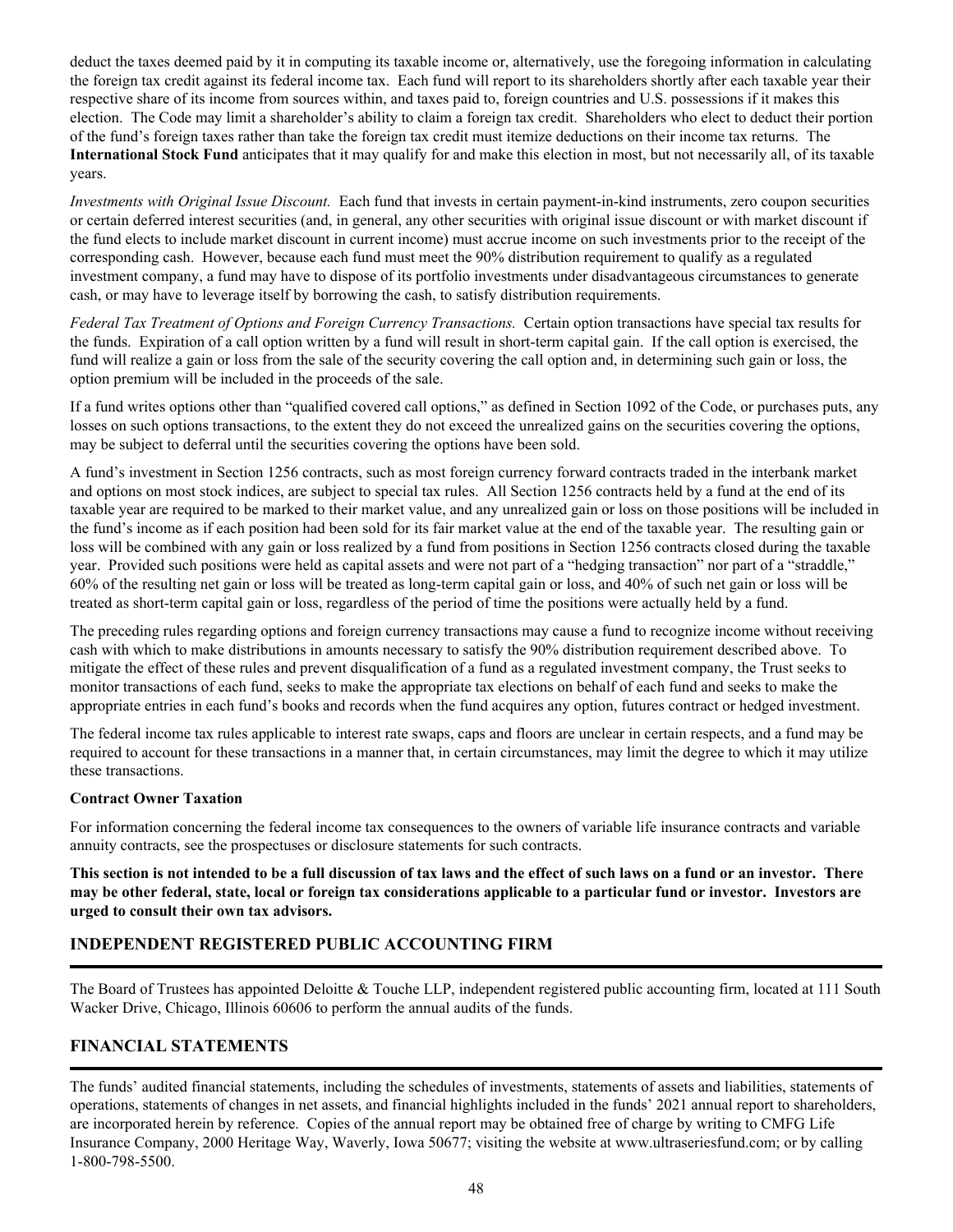<span id="page-51-0"></span>deduct the taxes deemed paid by it in computing its taxable income or, alternatively, use the foregoing information in calculating the foreign tax credit against its federal income tax. Each fund will report to its shareholders shortly after each taxable year their respective share of its income from sources within, and taxes paid to, foreign countries and U.S. possessions if it makes this election. The Code may limit a shareholder's ability to claim a foreign tax credit. Shareholders who elect to deduct their portion of the fund's foreign taxes rather than take the foreign tax credit must itemize deductions on their income tax returns. The **International Stock Fund** anticipates that it may qualify for and make this election in most, but not necessarily all, of its taxable years.

*Investments with Original Issue Discount.* Each fund that invests in certain payment-in-kind instruments, zero coupon securities or certain deferred interest securities (and, in general, any other securities with original issue discount or with market discount if the fund elects to include market discount in current income) must accrue income on such investments prior to the receipt of the corresponding cash. However, because each fund must meet the 90% distribution requirement to qualify as a regulated investment company, a fund may have to dispose of its portfolio investments under disadvantageous circumstances to generate cash, or may have to leverage itself by borrowing the cash, to satisfy distribution requirements.

*Federal Tax Treatment of Options and Foreign Currency Transactions.* Certain option transactions have special tax results for the funds. Expiration of a call option written by a fund will result in short-term capital gain. If the call option is exercised, the fund will realize a gain or loss from the sale of the security covering the call option and, in determining such gain or loss, the option premium will be included in the proceeds of the sale.

If a fund writes options other than "qualified covered call options," as defined in Section 1092 of the Code, or purchases puts, any losses on such options transactions, to the extent they do not exceed the unrealized gains on the securities covering the options, may be subject to deferral until the securities covering the options have been sold.

A fund's investment in Section 1256 contracts, such as most foreign currency forward contracts traded in the interbank market and options on most stock indices, are subject to special tax rules. All Section 1256 contracts held by a fund at the end of its taxable year are required to be marked to their market value, and any unrealized gain or loss on those positions will be included in the fund's income as if each position had been sold for its fair market value at the end of the taxable year. The resulting gain or loss will be combined with any gain or loss realized by a fund from positions in Section 1256 contracts closed during the taxable year. Provided such positions were held as capital assets and were not part of a "hedging transaction" nor part of a "straddle," 60% of the resulting net gain or loss will be treated as long-term capital gain or loss, and 40% of such net gain or loss will be treated as short-term capital gain or loss, regardless of the period of time the positions were actually held by a fund.

The preceding rules regarding options and foreign currency transactions may cause a fund to recognize income without receiving cash with which to make distributions in amounts necessary to satisfy the 90% distribution requirement described above. To mitigate the effect of these rules and prevent disqualification of a fund as a regulated investment company, the Trust seeks to monitor transactions of each fund, seeks to make the appropriate tax elections on behalf of each fund and seeks to make the appropriate entries in each fund's books and records when the fund acquires any option, futures contract or hedged investment.

The federal income tax rules applicable to interest rate swaps, caps and floors are unclear in certain respects, and a fund may be required to account for these transactions in a manner that, in certain circumstances, may limit the degree to which it may utilize these transactions.

#### **Contract Owner Taxation**

For information concerning the federal income tax consequences to the owners of variable life insurance contracts and variable annuity contracts, see the prospectuses or disclosure statements for such contracts.

**This section is not intended to be a full discussion of tax laws and the effect of such laws on a fund or an investor. There may be other federal, state, local or foreign tax considerations applicable to a particular fund or investor. Investors are urged to consult their own tax advisors.**

## **INDEPENDENT REGISTERED PUBLIC ACCOUNTING FIRM**

The Board of Trustees has appointed Deloitte & Touche LLP, independent registered public accounting firm, located at 111 South Wacker Drive, Chicago, Illinois 60606 to perform the annual audits of the funds.

## **FINANCIAL STATEMENTS**

The funds' audited financial statements, including the schedules of investments, statements of assets and liabilities, statements of operations, statements of changes in net assets, and financial highlights included in the funds' 2021 annual report to shareholders, are incorporated herein by reference.Copies of the annual report may be obtained free of charge by writing to CMFG Life Insurance Company, 2000 Heritage Way, Waverly, Iowa 50677; visiting the website at www.ultraseriesfund.com; or by calling 1-800-798-5500.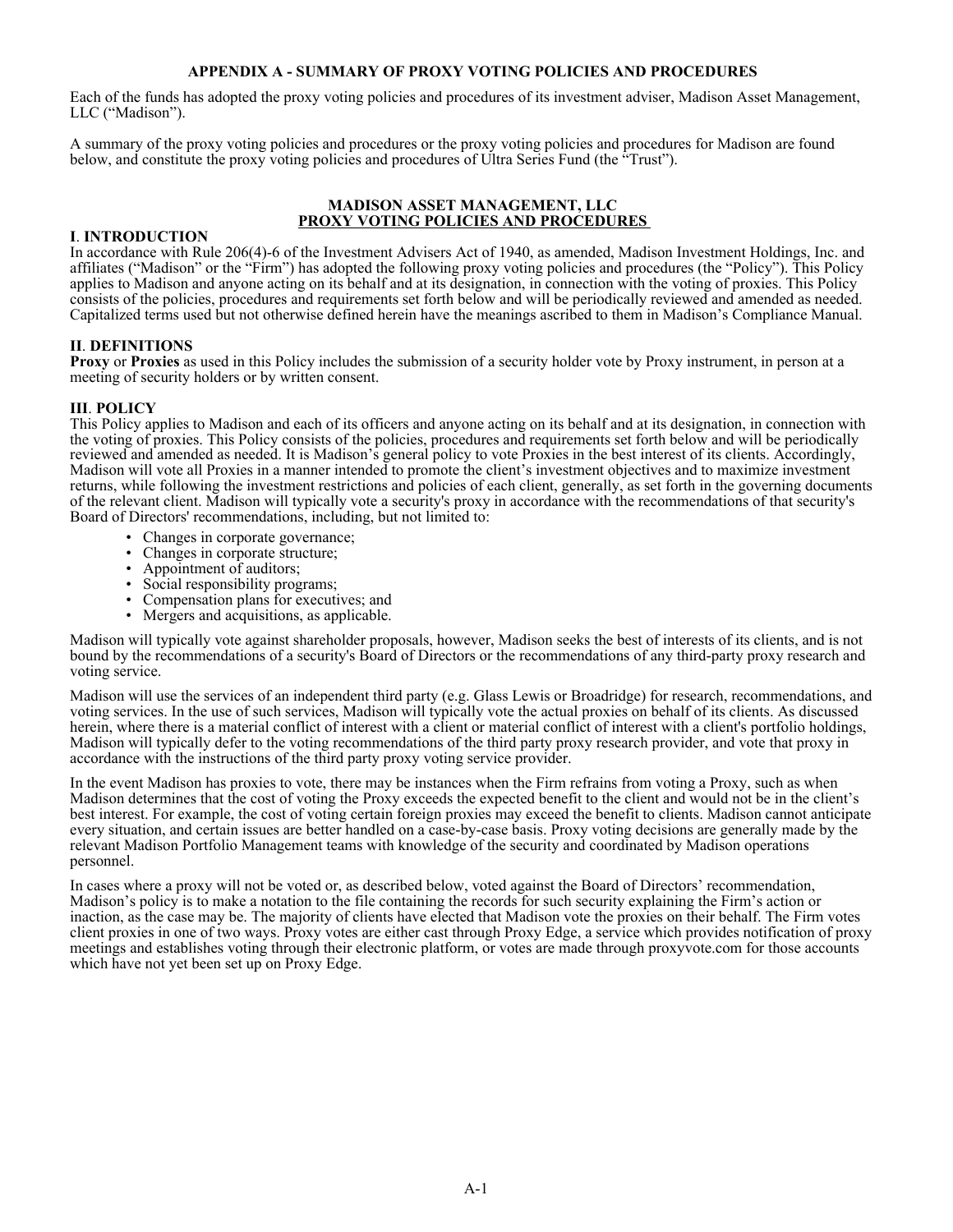#### **APPENDIX A - SUMMARY OF PROXY VOTING POLICIES AND PROCEDURES**

<span id="page-52-0"></span>Each of the funds has adopted the proxy voting policies and procedures of its investment adviser, Madison Asset Management, LLC ("Madison").

A summary of the proxy voting policies and procedures or the proxy voting policies and procedures for Madison are found below, and constitute the proxy voting policies and procedures of Ultra Series Fund (the "Trust").

#### **MADISON ASSET MANAGEMENT, LLC PROXY VOTING POLICIES AND PROCEDURES**

#### **I**. **INTRODUCTION**

In accordance with Rule 206(4)-6 of the Investment Advisers Act of 1940, as amended, Madison Investment Holdings, Inc. and affiliates ("Madison" or the "Firm") has adopted the following proxy voting policies and procedures (the "Policy"). This Policy applies to Madison and anyone acting on its behalf and at its designation, in connection with the voting of proxies. This Policy consists of the policies, procedures and requirements set forth below and will be periodically reviewed and amended as needed. Capitalized terms used but not otherwise defined herein have the meanings ascribed to them in Madison's Compliance Manual.

#### **II**. **DEFINITIONS**

**Proxy** or **Proxies** as used in this Policy includes the submission of a security holder vote by Proxy instrument, in person at a meeting of security holders or by written consent.

#### **III**. **POLICY**

This Policy applies to Madison and each of its officers and anyone acting on its behalf and at its designation, in connection with the voting of proxies. This Policy consists of the policies, procedures and requirements set forth below and will be periodically reviewed and amended as needed. It is Madison's general policy to vote Proxies in the best interest of its clients. Accordingly, Madison will vote all Proxies in a manner intended to promote the client's investment objectives and to maximize investment returns, while following the investment restrictions and policies of each client, generally, as set forth in the governing documents of the relevant client. Madison will typically vote a security's proxy in accordance with the recommendations of that security's Board of Directors' recommendations, including, but not limited to:

- Changes in corporate governance;
- Changes in corporate structure;
- Appointment of auditors;
- Social responsibility programs;
- Compensation plans for executives; and
- Mergers and acquisitions, as applicable.

Madison will typically vote against shareholder proposals, however, Madison seeks the best of interests of its clients, and is not bound by the recommendations of a security's Board of Directors or the recommendations of any third-party proxy research and voting service.

Madison will use the services of an independent third party (e.g. Glass Lewis or Broadridge) for research, recommendations, and voting services. In the use of such services, Madison will typically vote the actual proxies on behalf of its clients. As discussed herein, where there is a material conflict of interest with a client or material conflict of interest with a client's portfolio holdings, Madison will typically defer to the voting recommendations of the third party proxy research provider, and vote that proxy in accordance with the instructions of the third party proxy voting service provider.

In the event Madison has proxies to vote, there may be instances when the Firm refrains from voting a Proxy, such as when Madison determines that the cost of voting the Proxy exceeds the expected benefit to the client and would not be in the client's best interest. For example, the cost of voting certain foreign proxies may exceed the benefit to clients. Madison cannot anticipate every situation, and certain issues are better handled on a case-by-case basis. Proxy voting decisions are generally made by the relevant Madison Portfolio Management teams with knowledge of the security and coordinated by Madison operations personnel.

In cases where a proxy will not be voted or, as described below, voted against the Board of Directors' recommendation, Madison's policy is to make a notation to the file containing the records for such security explaining the Firm's action or inaction, as the case may be. The majority of clients have elected that Madison vote the proxies on their behalf. The Firm votes client proxies in one of two ways. Proxy votes are either cast through Proxy Edge, a service which provides notification of proxy meetings and establishes voting through their electronic platform, or votes are made through proxyvote.com for those accounts which have not yet been set up on Proxy Edge.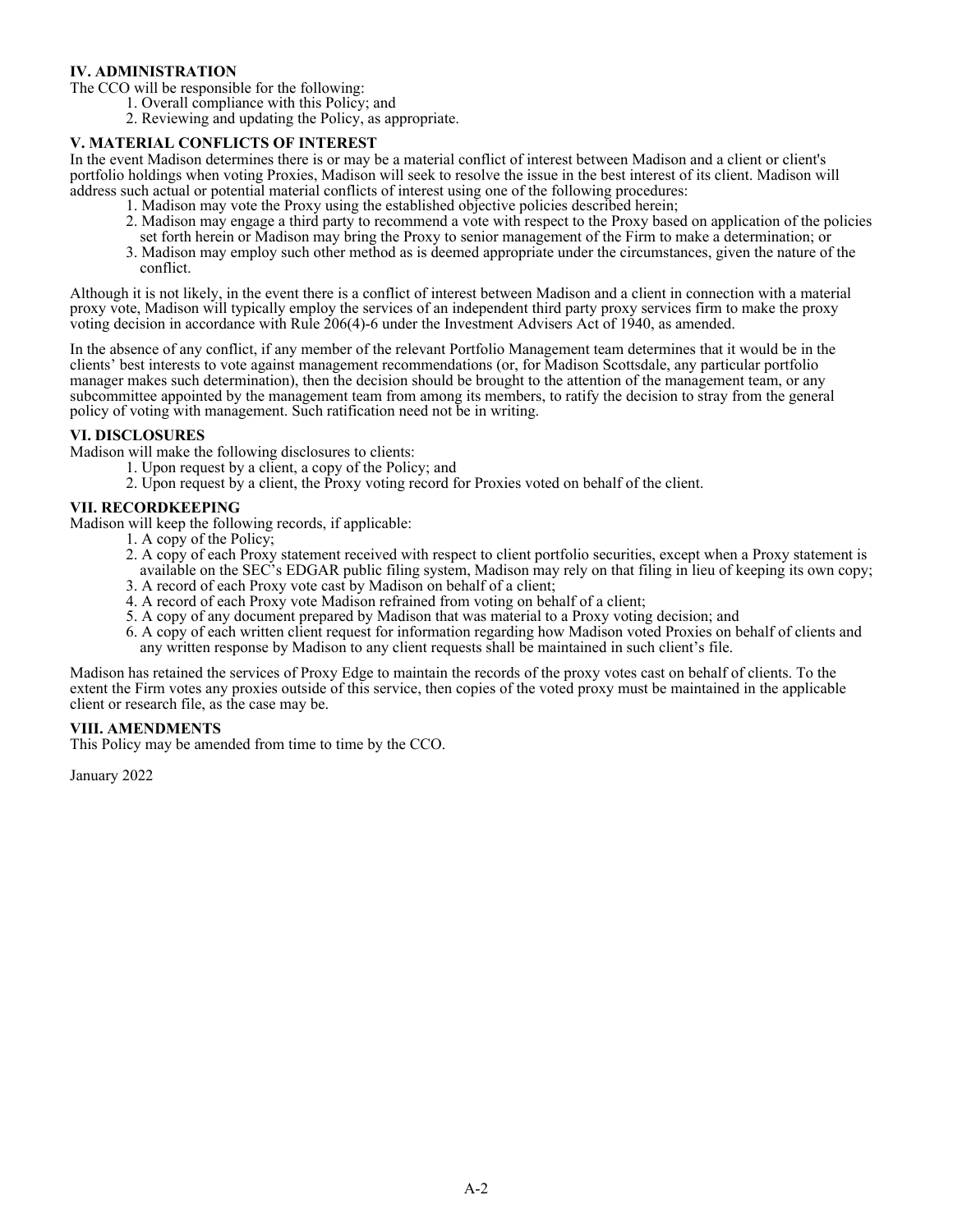### **IV. ADMINISTRATION**

The CCO will be responsible for the following:

- 1. Overall compliance with this Policy; and
- 2. Reviewing and updating the Policy, as appropriate.

#### **V. MATERIAL CONFLICTS OF INTEREST**

In the event Madison determines there is or may be a material conflict of interest between Madison and a client or client's portfolio holdings when voting Proxies, Madison will seek to resolve the issue in the best interest of its client. Madison will address such actual or potential material conflicts of interest using one of the following procedures:

- 1. Madison may vote the Proxy using the established objective policies described herein;
- 2. Madison may engage a third party to recommend a vote with respect to the Proxy based on application of the policies set forth herein or Madison may bring the Proxy to senior management of the Firm to make a determination; or
- 3. Madison may employ such other method as is deemed appropriate under the circumstances, given the nature of the conflict.

Although it is not likely, in the event there is a conflict of interest between Madison and a client in connection with a material proxy vote, Madison will typically employ the services of an independent third party proxy services firm to make the proxy voting decision in accordance with Rule 206(4)-6 under the Investment Advisers Act of 1940, as amended.

In the absence of any conflict, if any member of the relevant Portfolio Management team determines that it would be in the clients' best interests to vote against management recommendations (or, for Madison Scottsdale, any particular portfolio manager makes such determination), then the decision should be brought to the attention of the management team, or any subcommittee appointed by the management team from among its members, to ratify the decision to stray from the general policy of voting with management. Such ratification need not be in writing.

#### **VI. DISCLOSURES**

Madison will make the following disclosures to clients:

- 1. Upon request by a client, a copy of the Policy; and
- 2. Upon request by a client, the Proxy voting record for Proxies voted on behalf of the client.

#### **VII. RECORDKEEPING**

Madison will keep the following records, if applicable:

- 1. A copy of the Policy;
- 2. A copy of each Proxy statement received with respect to client portfolio securities, except when a Proxy statement is available on the SEC's EDGAR public filing system, Madison may rely on that filing in lieu of keeping its own copy;
- 3. A record of each Proxy vote cast by Madison on behalf of a client;
- 4. A record of each Proxy vote Madison refrained from voting on behalf of a client;
- 5. A copy of any document prepared by Madison that was material to a Proxy voting decision; and 6. A copy of each written client request for information regarding how Madison voted Proxies on behalf of clients and any written response by Madison to any client requests shall be maintained in such client's file.

Madison has retained the services of Proxy Edge to maintain the records of the proxy votes cast on behalf of clients. To the extent the Firm votes any proxies outside of this service, then copies of the voted proxy must be maintained in the applicable client or research file, as the case may be.

#### **VIII. AMENDMENTS**

This Policy may be amended from time to time by the CCO.

January 2022